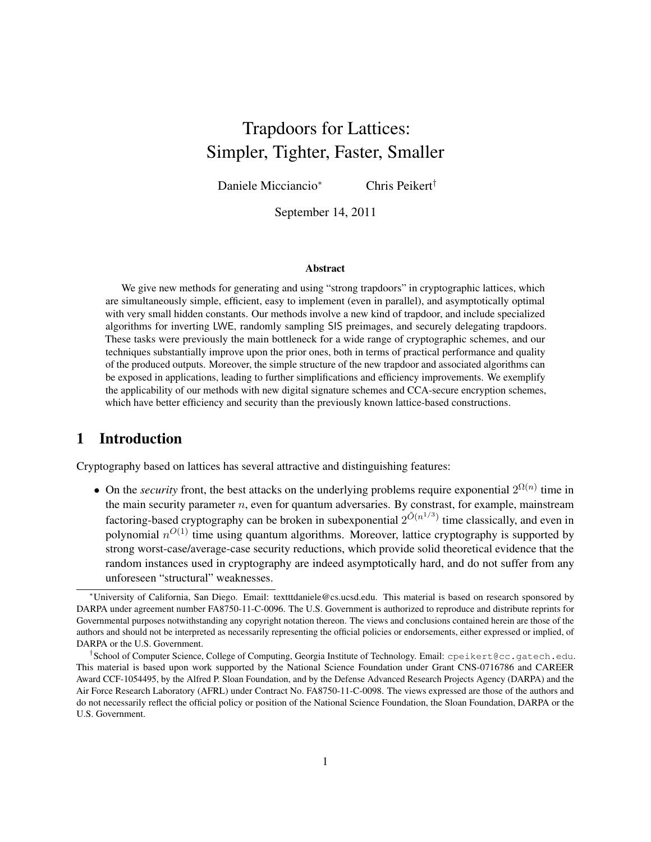# Trapdoors for Lattices: Simpler, Tighter, Faster, Smaller

Daniele Micciancio<sup>∗</sup> Chris Peikert†

September 14, 2011

#### Abstract

We give new methods for generating and using "strong trapdoors" in cryptographic lattices, which are simultaneously simple, efficient, easy to implement (even in parallel), and asymptotically optimal with very small hidden constants. Our methods involve a new kind of trapdoor, and include specialized algorithms for inverting LWE, randomly sampling SIS preimages, and securely delegating trapdoors. These tasks were previously the main bottleneck for a wide range of cryptographic schemes, and our techniques substantially improve upon the prior ones, both in terms of practical performance and quality of the produced outputs. Moreover, the simple structure of the new trapdoor and associated algorithms can be exposed in applications, leading to further simplifications and efficiency improvements. We exemplify the applicability of our methods with new digital signature schemes and CCA-secure encryption schemes, which have better efficiency and security than the previously known lattice-based constructions.

# 1 Introduction

Cryptography based on lattices has several attractive and distinguishing features:

• On the *security* front, the best attacks on the underlying problems require exponential  $2^{\Omega(n)}$  time in the main security parameter  $n$ , even for quantum adversaries. By constrast, for example, mainstream factoring-based cryptography can be broken in subexponential  $2^{\tilde{O}(n^{1/3})}$  time classically, and even in polynomial  $n^{O(1)}$  time using quantum algorithms. Moreover, lattice cryptography is supported by strong worst-case/average-case security reductions, which provide solid theoretical evidence that the random instances used in cryptography are indeed asymptotically hard, and do not suffer from any unforeseen "structural" weaknesses.

<sup>∗</sup>University of California, San Diego. Email: textttdaniele@cs.ucsd.edu. This material is based on research sponsored by DARPA under agreement number FA8750-11-C-0096. The U.S. Government is authorized to reproduce and distribute reprints for Governmental purposes notwithstanding any copyright notation thereon. The views and conclusions contained herein are those of the authors and should not be interpreted as necessarily representing the official policies or endorsements, either expressed or implied, of DARPA or the U.S. Government.

<sup>†</sup> School of Computer Science, College of Computing, Georgia Institute of Technology. Email: cpeikert@cc.gatech.edu. This material is based upon work supported by the National Science Foundation under Grant CNS-0716786 and CAREER Award CCF-1054495, by the Alfred P. Sloan Foundation, and by the Defense Advanced Research Projects Agency (DARPA) and the Air Force Research Laboratory (AFRL) under Contract No. FA8750-11-C-0098. The views expressed are those of the authors and do not necessarily reflect the official policy or position of the National Science Foundation, the Sloan Foundation, DARPA or the U.S. Government.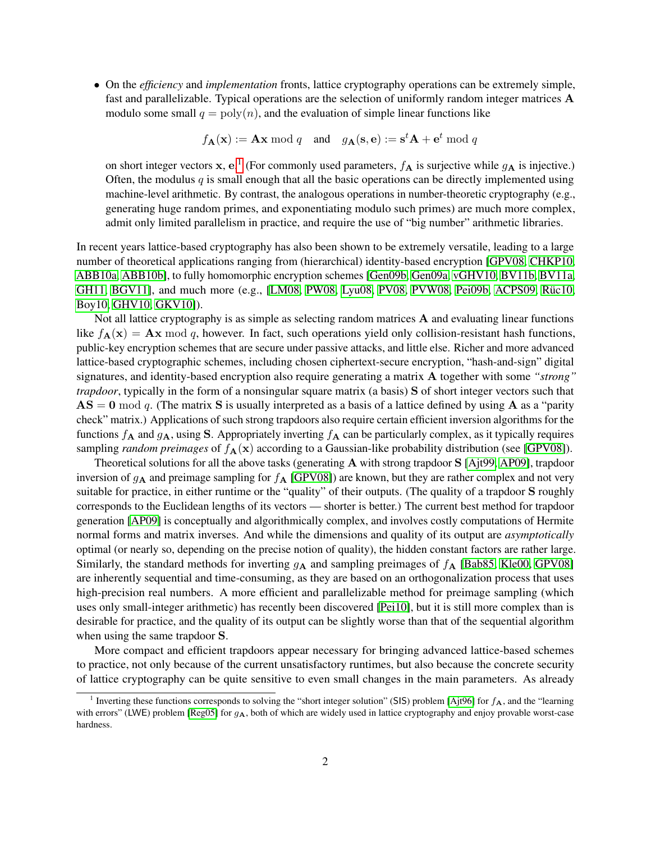• On the *efficiency* and *implementation* fronts, lattice cryptography operations can be extremely simple, fast and parallelizable. Typical operations are the selection of uniformly random integer matrices A modulo some small  $q = \text{poly}(n)$ , and the evaluation of simple linear functions like

$$
f_{\mathbf{A}}(\mathbf{x}) := \mathbf{A}\mathbf{x} \bmod q
$$
 and  $g_{\mathbf{A}}(\mathbf{s}, \mathbf{e}) := \mathbf{s}^t \mathbf{A} + \mathbf{e}^t \bmod q$ 

on short integer vectors x, e.<sup>[1](#page-1-0)</sup> (For commonly used parameters,  $f_A$  is surjective while  $g_A$  is injective.) Often, the modulus  $q$  is small enough that all the basic operations can be directly implemented using machine-level arithmetic. By contrast, the analogous operations in number-theoretic cryptography (e.g., generating huge random primes, and exponentiating modulo such primes) are much more complex, admit only limited parallelism in practice, and require the use of "big number" arithmetic libraries.

In recent years lattice-based cryptography has also been shown to be extremely versatile, leading to a large number of theoretical applications ranging from (hierarchical) identity-based encryption [\[GPV08,](#page-38-0) [CHKP10,](#page-37-0) [ABB10a,](#page-36-0) [ABB10b\]](#page-36-1), to fully homomorphic encryption schemes [\[Gen09b,](#page-38-1) [Gen09a,](#page-37-1) [vGHV10,](#page-40-0) [BV11b,](#page-37-2) [BV11a,](#page-37-3) [GH11,](#page-38-2) [BGV11\]](#page-37-4), and much more  $(e.g., [LM08, PW08, Lyu08, PV08, PVW08, Pei09b, ACPS09, Riic10, ...)$  $(e.g., [LM08, PW08, Lyu08, PV08, PVW08, Pei09b, ACPS09, Riic10, ...)$  $(e.g., [LM08, PW08, Lyu08, PV08, PVW08, Pei09b, ACPS09, Riic10, ...)$  $(e.g., [LM08, PW08, Lyu08, PV08, PVW08, Pei09b, ACPS09, Riic10, ...)$  $(e.g., [LM08, PW08, Lyu08, PV08, PVW08, Pei09b, ACPS09, Riic10, ...)$  $(e.g., [LM08, PW08, Lyu08, PV08, PVW08, Pei09b, ACPS09, Riic10, ...)$  $(e.g., [LM08, PW08, Lyu08, PV08, PVW08, Pei09b, ACPS09, Riic10, ...)$  $(e.g., [LM08, PW08, Lyu08, PV08, PVW08, Pei09b, ACPS09, Riic10, ...)$  $(e.g., [LM08, PW08, Lyu08, PV08, PVW08, Pei09b, ACPS09, Riic10, ...)$  $(e.g., [LM08, PW08, Lyu08, PV08, PVW08, Pei09b, ACPS09, Riic10, ...)$  $(e.g., [LM08, PW08, Lyu08, PV08, PVW08, Pei09b, ACPS09, Riic10, ...)$  $(e.g., [LM08, PW08, Lyu08, PV08, PVW08, Pei09b, ACPS09, Riic10, ...)$  $(e.g., [LM08, PW08, Lyu08, PV08, PVW08, Pei09b, ACPS09, Riic10, ...)$  $(e.g., [LM08, PW08, Lyu08, PV08, PVW08, Pei09b, ACPS09, Riic10, ...)$  $(e.g., [LM08, PW08, Lyu08, PV08, PVW08, Pei09b, ACPS09, Riic10, ...)$ [Boy10,](#page-37-6) [GHV10,](#page-38-5) [GKV10\]](#page-38-6)).

Not all lattice cryptography is as simple as selecting random matrices A and evaluating linear functions like  $f_{\bf A}({\bf x}) = {\bf A}{\bf x} \bmod q$ , however. In fact, such operations yield only collision-resistant hash functions, public-key encryption schemes that are secure under passive attacks, and little else. Richer and more advanced lattice-based cryptographic schemes, including chosen ciphertext-secure encryption, "hash-and-sign" digital signatures, and identity-based encryption also require generating a matrix A together with some *"strong" trapdoor*, typically in the form of a nonsingular square matrix (a basis) S of short integer vectors such that  $AS = 0 \mod q$ . (The matrix S is usually interpreted as a basis of a lattice defined by using A as a "parity" check" matrix.) Applications of such strong trapdoors also require certain efficient inversion algorithms for the functions  $f_A$  and  $g_A$ , using S. Appropriately inverting  $f_A$  can be particularly complex, as it typically requires sampling *random preimages* of  $f_{\mathbf{A}}(\mathbf{x})$  according to a Gaussian-like probability distribution (see [\[GPV08\]](#page-38-0)).

Theoretical solutions for all the above tasks (generating  $A$  with strong trapdoor  $S$  [\[Ajt99,](#page-37-7) [AP09\]](#page-37-8), trapdoor inversion of  $g_A$  and preimage sampling for  $f_A$  [\[GPV08\]](#page-38-0)) are known, but they are rather complex and not very suitable for practice, in either runtime or the "quality" of their outputs. (The quality of a trapdoor S roughly corresponds to the Euclidean lengths of its vectors — shorter is better.) The current best method for trapdoor generation [\[AP09\]](#page-37-8) is conceptually and algorithmically complex, and involves costly computations of Hermite normal forms and matrix inverses. And while the dimensions and quality of its output are *asymptotically* optimal (or nearly so, depending on the precise notion of quality), the hidden constant factors are rather large. Similarly, the standard methods for inverting  $g_A$  and sampling preimages of  $f_A$  [\[Bab85,](#page-37-9) [Kle00,](#page-38-7) [GPV08\]](#page-38-0) are inherently sequential and time-consuming, as they are based on an orthogonalization process that uses high-precision real numbers. A more efficient and parallelizable method for preimage sampling (which uses only small-integer arithmetic) has recently been discovered [\[Pei10\]](#page-39-5), but it is still more complex than is desirable for practice, and the quality of its output can be slightly worse than that of the sequential algorithm when using the same trapdoor S.

More compact and efficient trapdoors appear necessary for bringing advanced lattice-based schemes to practice, not only because of the current unsatisfactory runtimes, but also because the concrete security of lattice cryptography can be quite sensitive to even small changes in the main parameters. As already

<span id="page-1-0"></span><sup>&</sup>lt;sup>1</sup> Inverting these functions corresponds to solving the "short integer solution" (SIS) problem [\[Ajt96\]](#page-37-10) for  $f_A$ , and the "learning with errors" (LWE) problem [\[Reg05\]](#page-39-6) for  $g_A$ , both of which are widely used in lattice cryptography and enjoy provable worst-case hardness.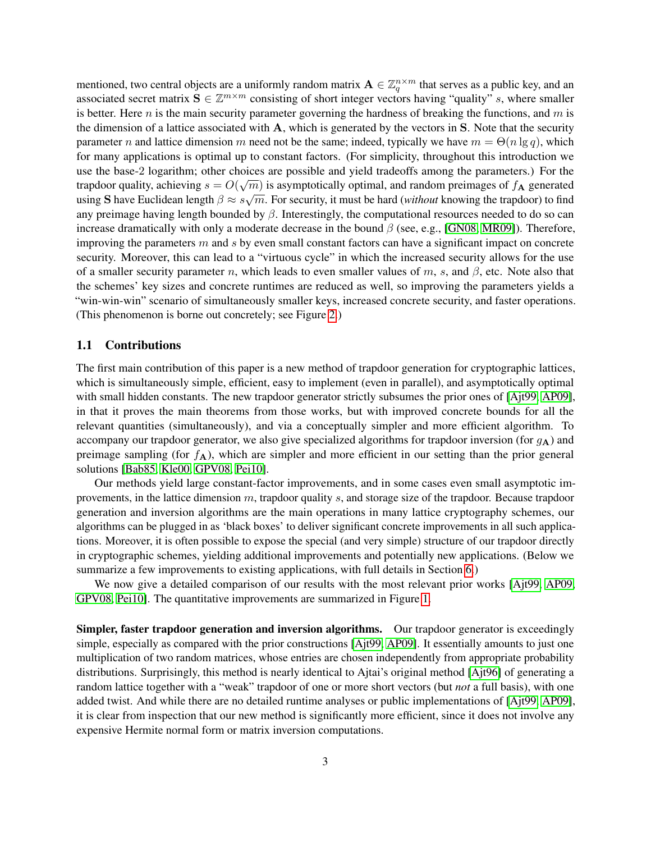mentioned, two central objects are a uniformly random matrix  $\mathbf{A} \in \mathbb{Z}_q^{n \times m}$  that serves as a public key, and an associated secret matrix  $S \in \mathbb{Z}^{m \times m}$  consisting of short integer vectors having "quality" s, where smaller is better. Here n is the main security parameter governing the hardness of breaking the functions, and  $m$  is the dimension of a lattice associated with A, which is generated by the vectors in S. Note that the security parameter n and lattice dimension m need not be the same; indeed, typically we have  $m = \Theta(n \lg q)$ , which for many applications is optimal up to constant factors. (For simplicity, throughout this introduction we use the base-2 logarithm; other choices are possible and yield tradeoffs among the parameters.) For the trapdoor quality, achieving  $s = O(\sqrt{m})$  is asymptotically optimal, and random preimages of  $f_A$  generated using S have Euclidean length  $\beta \approx s\sqrt{m}$ . For security, it must be hard (*without* knowing the trapdoor) to find any preimage having length bounded by  $\beta$ . Interestingly, the computational resources needed to do so can increase dramatically with only a moderate decrease in the bound  $\beta$  (see, e.g., [\[GN08,](#page-38-8) [MR09\]](#page-39-7)). Therefore, improving the parameters  $m$  and  $s$  by even small constant factors can have a significant impact on concrete security. Moreover, this can lead to a "virtuous cycle" in which the increased security allows for the use of a smaller security parameter n, which leads to even smaller values of m, s, and  $\beta$ , etc. Note also that the schemes' key sizes and concrete runtimes are reduced as well, so improving the parameters yields a "win-win-win" scenario of simultaneously smaller keys, increased concrete security, and faster operations. (This phenomenon is borne out concretely; see Figure [2.](#page-5-0))

### 1.1 Contributions

The first main contribution of this paper is a new method of trapdoor generation for cryptographic lattices, which is simultaneously simple, efficient, easy to implement (even in parallel), and asymptotically optimal with small hidden constants. The new trapdoor generator strictly subsumes the prior ones of [\[Ajt99,](#page-37-7) [AP09\]](#page-37-8), in that it proves the main theorems from those works, but with improved concrete bounds for all the relevant quantities (simultaneously), and via a conceptually simpler and more efficient algorithm. To accompany our trapdoor generator, we also give specialized algorithms for trapdoor inversion (for  $g_A$ ) and preimage sampling (for  $f_{\mathbf{A}}$ ), which are simpler and more efficient in our setting than the prior general solutions [\[Bab85,](#page-37-9) [Kle00,](#page-38-7) [GPV08,](#page-38-0) [Pei10\]](#page-39-5).

Our methods yield large constant-factor improvements, and in some cases even small asymptotic improvements, in the lattice dimension m, trapdoor quality s, and storage size of the trapdoor. Because trapdoor generation and inversion algorithms are the main operations in many lattice cryptography schemes, our algorithms can be plugged in as 'black boxes' to deliver significant concrete improvements in all such applications. Moreover, it is often possible to expose the special (and very simple) structure of our trapdoor directly in cryptographic schemes, yielding additional improvements and potentially new applications. (Below we summarize a few improvements to existing applications, with full details in Section [6.](#page-29-0))

We now give a detailed comparison of our results with the most relevant prior works [\[Ajt99,](#page-37-7) [AP09,](#page-37-8) [GPV08,](#page-38-0) [Pei10\]](#page-39-5). The quantitative improvements are summarized in Figure [1.](#page-4-0)

Simpler, faster trapdoor generation and inversion algorithms. Our trapdoor generator is exceedingly simple, especially as compared with the prior constructions [\[Ajt99,](#page-37-7) [AP09\]](#page-37-8). It essentially amounts to just one multiplication of two random matrices, whose entries are chosen independently from appropriate probability distributions. Surprisingly, this method is nearly identical to Ajtai's original method [\[Ajt96\]](#page-37-10) of generating a random lattice together with a "weak" trapdoor of one or more short vectors (but *not* a full basis), with one added twist. And while there are no detailed runtime analyses or public implementations of [\[Ajt99,](#page-37-7) [AP09\]](#page-37-8), it is clear from inspection that our new method is significantly more efficient, since it does not involve any expensive Hermite normal form or matrix inversion computations.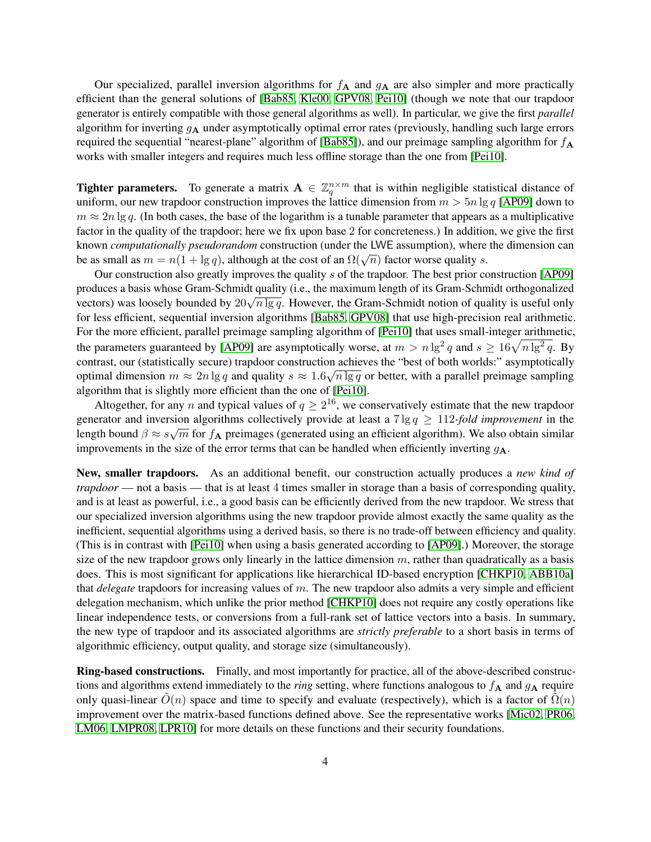Our specialized, parallel inversion algorithms for  $f_{\mathbf{A}}$  and  $g_{\mathbf{A}}$  are also simpler and more practically efficient than the general solutions of [\[Bab85,](#page-37-9) [Kle00,](#page-38-7) [GPV08,](#page-38-0) [Pei10\]](#page-39-5) (though we note that our trapdoor generator is entirely compatible with those general algorithms as well). In particular, we give the first *parallel* algorithm for inverting  $g_A$  under asymptotically optimal error rates (previously, handling such large errors required the sequential "nearest-plane" algorithm of [\[Bab85\]](#page-37-9)), and our preimage sampling algorithm for  $f_{\rm A}$ works with smaller integers and requires much less offline storage than the one from [\[Pei10\]](#page-39-5).

**Tighter parameters.** To generate a matrix  $A \in \mathbb{Z}_q^{n \times m}$  that is within negligible statistical distance of uniform, our new trapdoor construction improves the lattice dimension from  $m > 5n \lg q$  [\[AP09\]](#page-37-8) down to  $m \approx 2n \lg q$ . (In both cases, the base of the logarithm is a tunable parameter that appears as a multiplicative factor in the quality of the trapdoor; here we fix upon base 2 for concreteness.) In addition, we give the first known *computationally pseudorandom* construction (under the LWE assumption), where the dimension can be as small as  $m = n(1 + \lg q)$ , although at the cost of an  $\Omega(\sqrt{n})$  factor worse quality s.

Our construction also greatly improves the quality s of the trapdoor. The best prior construction [\[AP09\]](#page-37-8) produces a basis whose Gram-Schmidt quality (i.e., the maximum length of its Gram-Schmidt orthogonalized produces a basis whose Gram-Schmidt quality (i.e., the maximum length of its Gram-Schmidt orthogonalized vectors) was loosely bounded by  $20\sqrt{n\lg q}$ . However, the Gram-Schmidt notion of quality is useful only for less efficient, sequential inversion algorithms [\[Bab85,](#page-37-9) [GPV08\]](#page-38-0) that use high-precision real arithmetic. For the more efficient, parallel preimage sampling algorithm of [\[Pei10\]](#page-39-5) that uses small-integer arithmetic, the parameters guaranteed by [\[AP09\]](#page-37-8) are asymptotically worse, at  $m > n \lg^2 q$  and  $s \ge 16\sqrt{n \lg^2 q}$ . By contrast, our (statistically secure) trapdoor construction achieves the "best of both worlds:" asymptotically √ optimal dimension  $m \approx 2n \lg q$  and quality  $s \approx 1.6\sqrt{n \lg q}$  or better, with a parallel preimage sampling algorithm that is slightly more efficient than the one of [\[Pei10\]](#page-39-5).

Altogether, for any n and typical values of  $q \geq 2^{16}$ , we conservatively estimate that the new trapdoor generator and inversion algorithms collectively provide at least a  $7 \lg q \ge 112$ -fold improvement in the length bound  $\beta \approx s\sqrt{m}$  for  $f_{\bf A}$  preimages (generated using an efficient algorithm). We also obtain similar improvements in the size of the error terms that can be handled when efficiently inverting  $g_{\mathbf{A}}$ .

New, smaller trapdoors. As an additional benefit, our construction actually produces a *new kind of trapdoor* — not a basis — that is at least 4 times smaller in storage than a basis of corresponding quality, and is at least as powerful, i.e., a good basis can be efficiently derived from the new trapdoor. We stress that our specialized inversion algorithms using the new trapdoor provide almost exactly the same quality as the inefficient, sequential algorithms using a derived basis, so there is no trade-off between efficiency and quality. (This is in contrast with [\[Pei10\]](#page-39-5) when using a basis generated according to [\[AP09\]](#page-37-8).) Moreover, the storage size of the new trapdoor grows only linearly in the lattice dimension  $m$ , rather than quadratically as a basis does. This is most significant for applications like hierarchical ID-based encryption [\[CHKP10,](#page-37-0) [ABB10a\]](#page-36-0) that *delegate* trapdoors for increasing values of m. The new trapdoor also admits a very simple and efficient delegation mechanism, which unlike the prior method [\[CHKP10\]](#page-37-0) does not require any costly operations like linear independence tests, or conversions from a full-rank set of lattice vectors into a basis. In summary, the new type of trapdoor and its associated algorithms are *strictly preferable* to a short basis in terms of algorithmic efficiency, output quality, and storage size (simultaneously).

Ring-based constructions. Finally, and most importantly for practice, all of the above-described constructions and algorithms extend immediately to the *ring* setting, where functions analogous to  $f_A$  and  $g_A$  require only quasi-linear  $\tilde{O}(n)$  space and time to specify and evaluate (respectively), which is a factor of  $\tilde{\Omega}(n)$ improvement over the matrix-based functions defined above. See the representative works [\[Mic02,](#page-39-8) [PR06,](#page-39-9) [LM06,](#page-38-9) [LMPR08,](#page-38-10) [LPR10\]](#page-38-11) for more details on these functions and their security foundations.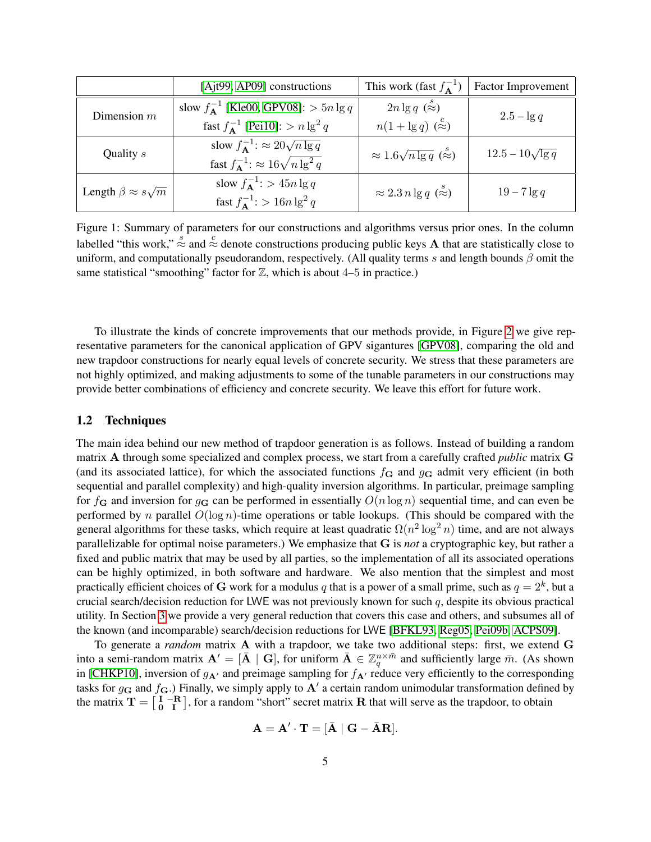|                                  | [Ajt99, AP09] constructions                                   | This work (fast $f_{\mathbf{A}}^{-1}$ )  | Factor Improvement      |
|----------------------------------|---------------------------------------------------------------|------------------------------------------|-------------------------|
| Dimension $m$                    | slow $f_{\mathbf{A}}^{-1}$ [Kle00, GPV08]: $> 5n \lg q$       | $2n \lg q \left(\frac{s}{\infty}\right)$ | $2.5 - \lg q$           |
|                                  | fast $f_{\mathbf{A}}^{-1}$ [Pei10]: $> n \lg^2 q$             | $n(1+\lg q)$ $(\approx)$                 |                         |
| Quality s                        | slow $f_{\mathbf{\Delta}}^{-1}$ : $\approx 20\sqrt{n \lg q}$  | $\approx 1.6\sqrt{n\lg q}$ ( $\approx$ ) | $12.5 - 10\sqrt{\lg q}$ |
|                                  | fast $f_{\mathbf{\Delta}}^{-1}$ : $\approx 16\sqrt{n\lg^2 q}$ |                                          |                         |
| Length $\beta \approx s\sqrt{m}$ | slow $f_{\mathbf{\Delta}}^{-1}$ : > 45n lg q                  | $\approx 2.3 n \lg q \; (\approx)$       | $19-7\lg q$             |
|                                  | fast $f_{\mathbf{A}}^{-1}$ : > 16n $\lg^2 q$                  |                                          |                         |

<span id="page-4-0"></span>Figure 1: Summary of parameters for our constructions and algorithms versus prior ones. In the column labelled "this work,"  $\approx$  and  $\approx$  denote constructions producing public keys A that are statistically close to uniform, and computationally pseudorandom, respectively. (All quality terms s and length bounds  $\beta$  omit the same statistical "smoothing" factor for  $\mathbb{Z}$ , which is about 4–5 in practice.)

To illustrate the kinds of concrete improvements that our methods provide, in Figure [2](#page-5-0) we give representative parameters for the canonical application of GPV sigantures [\[GPV08\]](#page-38-0), comparing the old and new trapdoor constructions for nearly equal levels of concrete security. We stress that these parameters are not highly optimized, and making adjustments to some of the tunable parameters in our constructions may provide better combinations of efficiency and concrete security. We leave this effort for future work.

### 1.2 Techniques

The main idea behind our new method of trapdoor generation is as follows. Instead of building a random matrix A through some specialized and complex process, we start from a carefully crafted *public* matrix G (and its associated lattice), for which the associated functions  $f_{\bf G}$  and  $g_{\bf G}$  admit very efficient (in both sequential and parallel complexity) and high-quality inversion algorithms. In particular, preimage sampling for  $f_{\bf G}$  and inversion for  $g_{\bf G}$  can be performed in essentially  $O(n \log n)$  sequential time, and can even be performed by n parallel  $O(\log n)$ -time operations or table lookups. (This should be compared with the general algorithms for these tasks, which require at least quadratic  $\Omega(n^2 \log^2 n)$  time, and are not always parallelizable for optimal noise parameters.) We emphasize that G is *not* a cryptographic key, but rather a fixed and public matrix that may be used by all parties, so the implementation of all its associated operations can be highly optimized, in both software and hardware. We also mention that the simplest and most practically efficient choices of G work for a modulus  $q$  that is a power of a small prime, such as  $q = 2^k$ , but a crucial search/decision reduction for LWE was not previously known for such  $q$ , despite its obvious practical utility. In Section [3](#page-14-0) we provide a very general reduction that covers this case and others, and subsumes all of the known (and incomparable) search/decision reductions for LWE [\[BFKL93,](#page-37-11) [Reg05,](#page-39-6) [Pei09b,](#page-39-3) [ACPS09\]](#page-37-5).

To generate a *random* matrix A with a trapdoor, we take two additional steps: first, we extend G into a semi-random matrix  $\mathbf{A}' = [\bar{\mathbf{A}} \mid \mathbf{G}]$ , for uniform  $\bar{\mathbf{A}} \in \mathbb{Z}_q^{n \times \bar{m}}$  and sufficiently large  $\bar{m}$ . (As shown in [\[CHKP10\]](#page-37-0), inversion of  $g_{A}$  and preimage sampling for  $f_{A}$  reduce very efficiently to the corresponding tasks for  $g_{\bf G}$  and  $f_{\bf G}$ .) Finally, we simply apply to  ${\bf A}'$  a certain random unimodular transformation defined by the matrix  $T = \begin{bmatrix} I & -R \\ 0 & I \end{bmatrix}$ , for a random "short" secret matrix R that will serve as the trapdoor, to obtain

$$
\mathbf{A} = \mathbf{A}' \cdot \mathbf{T} = [\bar{\mathbf{A}} \mid \mathbf{G} - \bar{\mathbf{A}} \mathbf{R}].
$$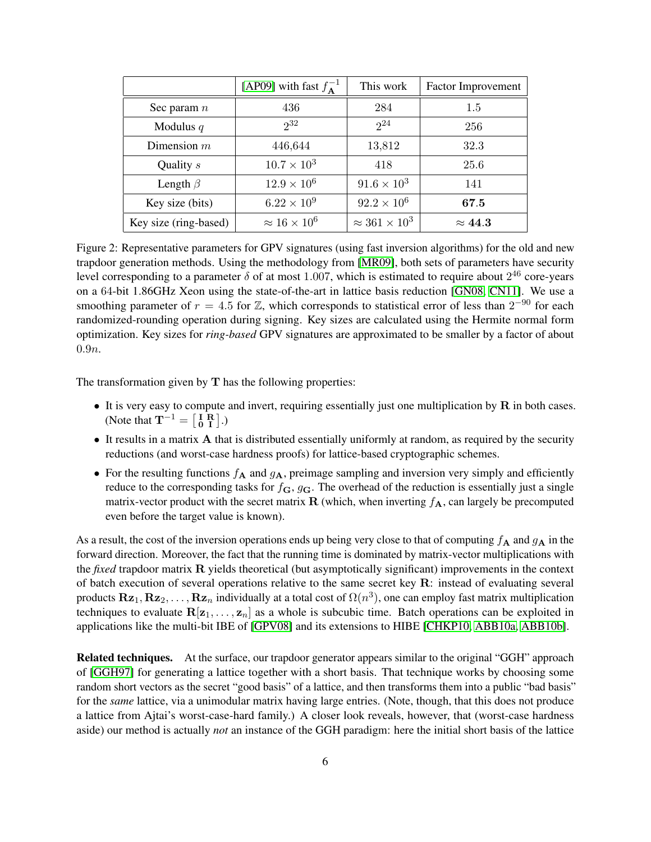|                       | [AP09] with fast $f_{\mathbf{A}}^{-1}$ | This work                 | <b>Factor Improvement</b> |
|-----------------------|----------------------------------------|---------------------------|---------------------------|
| Sec param $n$         | 436                                    | 284                       | 1.5                       |
| Modulus $q$           | $2^3$                                  | $2^{24}$                  | 256                       |
| Dimension $m$         | 446,644                                | 13,812                    | 32.3                      |
| Quality s             | $10.7 \times 10^{3}$                   | 418                       | 25.6                      |
| Length $\beta$        | $12.9 \times 10^{6}$                   | $91.6 \times 10^{3}$      | 141                       |
| Key size (bits)       | $6.22 \times 10^{9}$                   | $92.2 \times 10^6$        | 67.5                      |
| Key size (ring-based) | $\approx 16 \times 10^6$               | $\approx 361 \times 10^3$ | $\approx 44.3$            |

<span id="page-5-0"></span>Figure 2: Representative parameters for GPV signatures (using fast inversion algorithms) for the old and new trapdoor generation methods. Using the methodology from [\[MR09\]](#page-39-7), both sets of parameters have security level corresponding to a parameter  $\delta$  of at most 1.007, which is estimated to require about  $2^{46}$  core-years on a 64-bit 1.86GHz Xeon using the state-of-the-art in lattice basis reduction [\[GN08,](#page-38-8) [CN11\]](#page-37-12). We use a smoothing parameter of  $r = 4.5$  for  $\mathbb{Z}$ , which corresponds to statistical error of less than  $2^{-90}$  for each randomized-rounding operation during signing. Key sizes are calculated using the Hermite normal form optimization. Key sizes for *ring-based* GPV signatures are approximated to be smaller by a factor of about 0.9n.

The transformation given by  $T$  has the following properties:

- It is very easy to compute and invert, requiring essentially just one multiplication by  $R$  in both cases. (Note that  $\mathbf{T}^{-1} = \begin{bmatrix} \mathbf{I} & \mathbf{R} \\ \mathbf{0} & \mathbf{I} \end{bmatrix}$ .)
- It results in a matrix A that is distributed essentially uniformly at random, as required by the security reductions (and worst-case hardness proofs) for lattice-based cryptographic schemes.
- For the resulting functions  $f_A$  and  $g_A$ , preimage sampling and inversion very simply and efficiently reduce to the corresponding tasks for  $f_{\bf G}$ ,  $g_{\bf G}$ . The overhead of the reduction is essentially just a single matrix-vector product with the secret matrix  $\bf{R}$  (which, when inverting  $f_{\bf{A}}$ , can largely be precomputed even before the target value is known).

As a result, the cost of the inversion operations ends up being very close to that of computing  $f_A$  and  $g_A$  in the forward direction. Moreover, the fact that the running time is dominated by matrix-vector multiplications with the *fixed* trapdoor matrix R yields theoretical (but asymptotically significant) improvements in the context of batch execution of several operations relative to the same secret key  $\bf{R}$ : instead of evaluating several products  ${\bf Rz}_1,{\bf Rz}_2,\ldots,{\bf Rz}_n$  individually at a total cost of  $\Omega(n^3)$ , one can employ fast matrix multiplication techniques to evaluate  $R[z_1, \ldots, z_n]$  as a whole is subcubic time. Batch operations can be exploited in applications like the multi-bit IBE of [\[GPV08\]](#page-38-0) and its extensions to HIBE [\[CHKP10,](#page-37-0) [ABB10a,](#page-36-0) [ABB10b\]](#page-36-1).

Related techniques. At the surface, our trapdoor generator appears similar to the original "GGH" approach of [\[GGH97\]](#page-38-12) for generating a lattice together with a short basis. That technique works by choosing some random short vectors as the secret "good basis" of a lattice, and then transforms them into a public "bad basis" for the *same* lattice, via a unimodular matrix having large entries. (Note, though, that this does not produce a lattice from Ajtai's worst-case-hard family.) A closer look reveals, however, that (worst-case hardness aside) our method is actually *not* an instance of the GGH paradigm: here the initial short basis of the lattice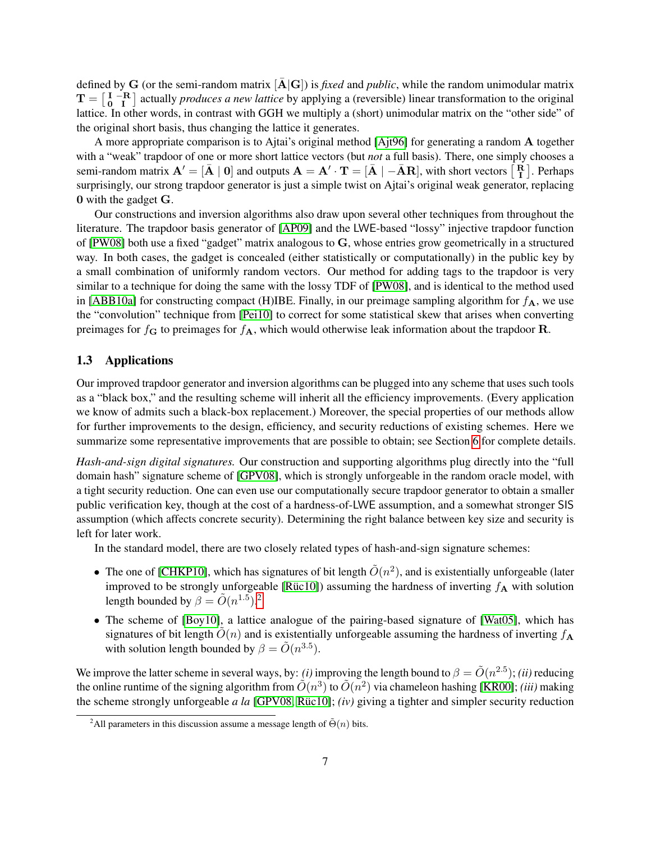defined by G (or the semi-random matrix  $[\bar{A} | G]$ ) is *fixed* and *public*, while the random unimodular matrix  $T = \begin{bmatrix} I & -R \\ 0 & I \end{bmatrix}$  actually *produces a new lattice* by applying a (reversible) linear transformation to the original lattice. In other words, in contrast with GGH we multiply a (short) unimodular matrix on the "other side" of the original short basis, thus changing the lattice it generates.

A more appropriate comparison is to Ajtai's original method [\[Ajt96\]](#page-37-10) for generating a random A together with a "weak" trapdoor of one or more short lattice vectors (but *not* a full basis). There, one simply chooses a semi-random matrix  $\mathbf{A}' = [\bar{\mathbf{A}} \mid \mathbf{0}]$  and outputs  $\mathbf{A} = \mathbf{A}' \cdot \mathbf{T} = [\bar{\mathbf{A}} \mid -\bar{\mathbf{A}} \mathbf{R}]$ , with short vectors  $\begin{bmatrix} \mathbf{R} \\ \mathbf{I} \end{bmatrix}$ . Perhaps surprisingly, our strong trapdoor generator is just a simple twist on Ajtai's original weak generator, replacing 0 with the gadget G.

Our constructions and inversion algorithms also draw upon several other techniques from throughout the literature. The trapdoor basis generator of [\[AP09\]](#page-37-8) and the LWE-based "lossy" injective trapdoor function of [\[PW08\]](#page-39-0) both use a fixed "gadget" matrix analogous to G, whose entries grow geometrically in a structured way. In both cases, the gadget is concealed (either statistically or computationally) in the public key by a small combination of uniformly random vectors. Our method for adding tags to the trapdoor is very similar to a technique for doing the same with the lossy TDF of [\[PW08\]](#page-39-0), and is identical to the method used in [\[ABB10a\]](#page-36-0) for constructing compact (H)IBE. Finally, in our preimage sampling algorithm for  $f_{\mathbf{A}}$ , we use the "convolution" technique from [\[Pei10\]](#page-39-5) to correct for some statistical skew that arises when converting preimages for  $f_{\bf G}$  to preimages for  $f_{\bf A}$ , which would otherwise leak information about the trapdoor **R**.

### 1.3 Applications

Our improved trapdoor generator and inversion algorithms can be plugged into any scheme that uses such tools as a "black box," and the resulting scheme will inherit all the efficiency improvements. (Every application we know of admits such a black-box replacement.) Moreover, the special properties of our methods allow for further improvements to the design, efficiency, and security reductions of existing schemes. Here we summarize some representative improvements that are possible to obtain; see Section [6](#page-29-0) for complete details.

*Hash-and-sign digital signatures.* Our construction and supporting algorithms plug directly into the "full domain hash" signature scheme of [\[GPV08\]](#page-38-0), which is strongly unforgeable in the random oracle model, with a tight security reduction. One can even use our computationally secure trapdoor generator to obtain a smaller public verification key, though at the cost of a hardness-of-LWE assumption, and a somewhat stronger SIS assumption (which affects concrete security). Determining the right balance between key size and security is left for later work.

In the standard model, there are two closely related types of hash-and-sign signature schemes:

- The one of [\[CHKP10\]](#page-37-0), which has signatures of bit length  $\tilde{O}(n^2)$ , and is existentially unforgeable (later improved to be strongly unforgeable [Rüc10]) assuming the hardness of inverting  $f_A$  with solution length bounded by  $\beta = \tilde{O}(n^{1.5})$ .<sup>[2](#page-6-0)</sup>
- The scheme of [\[Boy10\]](#page-37-6), a lattice analogue of the pairing-based signature of [\[Wat05\]](#page-40-1), which has signatures of bit length  $\tilde{O}(n)$  and is existentially unforgeable assuming the hardness of inverting  $f_{\mathbf{A}}$ with solution length bounded by  $\beta = \tilde{O}(n^{3.5})$ .

We improve the latter scheme in several ways, by: *(i)* improving the length bound to  $\beta = \tilde{O}(n^{2.5})$ ; *(ii)* reducing the online runtime of the signing algorithm from  $\tilde{O}(n^3)$  to  $\tilde{O}(n^2)$  via chameleon hashing [\[KR00\]](#page-38-13); *(iii)* making the scheme strongly unforgeable *a la* [\[GPV08,](#page-38-0) Rüc10]; *(iv)* giving a tighter and simpler security reduction

<span id="page-6-0"></span><sup>&</sup>lt;sup>2</sup>All parameters in this discussion assume a message length of  $\tilde{\Theta}(n)$  bits.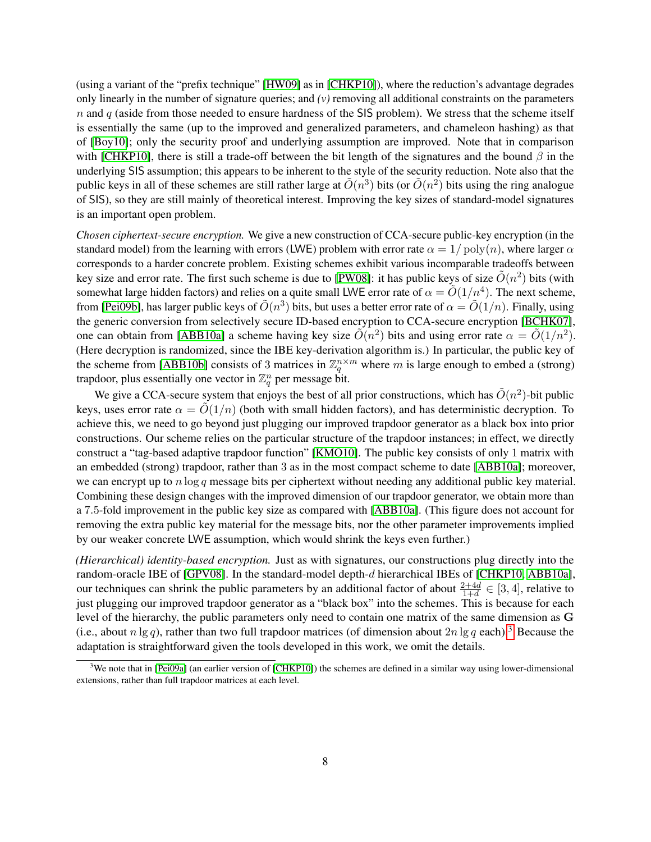(using a variant of the "prefix technique" [\[HW09\]](#page-38-14) as in [\[CHKP10\]](#page-37-0)), where the reduction's advantage degrades only linearly in the number of signature queries; and  $(v)$  removing all additional constraints on the parameters  $n$  and  $q$  (aside from those needed to ensure hardness of the SIS problem). We stress that the scheme itself is essentially the same (up to the improved and generalized parameters, and chameleon hashing) as that of [\[Boy10\]](#page-37-6); only the security proof and underlying assumption are improved. Note that in comparison with [\[CHKP10\]](#page-37-0), there is still a trade-off between the bit length of the signatures and the bound  $\beta$  in the underlying SIS assumption; this appears to be inherent to the style of the security reduction. Note also that the public keys in all of these schemes are still rather large at  $\tilde{O}(n^3)$  bits (or  $\tilde{O}(n^2)$  bits using the ring analogue of SIS), so they are still mainly of theoretical interest. Improving the key sizes of standard-model signatures is an important open problem.

*Chosen ciphertext-secure encryption.* We give a new construction of CCA-secure public-key encryption (in the standard model) from the learning with errors (LWE) problem with error rate  $\alpha = 1/\text{poly}(n)$ , where larger  $\alpha$ corresponds to a harder concrete problem. Existing schemes exhibit various incomparable tradeoffs between key size and error rate. The first such scheme is due to [\[PW08\]](#page-39-0): it has public keys of size  $\tilde{O}(n^2)$  bits (with somewhat large hidden factors) and relies on a quite small LWE error rate of  $\alpha = \tilde{O}(1/n^4)$ . The next scheme, from [\[Pei09b\]](#page-39-3), has larger public keys of  $\tilde{O}(n^3)$  bits, but uses a better error rate of  $\alpha = \tilde{O}(1/n)$ . Finally, using the generic conversion from selectively secure ID-based encryption to CCA-secure encryption [\[BCHK07\]](#page-37-13), one can obtain from [\[ABB10a\]](#page-36-0) a scheme having key size  $\tilde{O}(n^2)$  bits and using error rate  $\alpha = \tilde{O}(1/n^2)$ . (Here decryption is randomized, since the IBE key-derivation algorithm is.) In particular, the public key of the scheme from [\[ABB10b\]](#page-36-1) consists of 3 matrices in  $\mathbb{Z}_q^{n \times m}$  where m is large enough to embed a (strong) trapdoor, plus essentially one vector in  $\mathbb{Z}_q^n$  per message bit.

We give a CCA-secure system that enjoys the best of all prior constructions, which has  $\tilde{O}(n^2)$ -bit public keys, uses error rate  $\alpha = \tilde{O}(1/n)$  (both with small hidden factors), and has deterministic decryption. To achieve this, we need to go beyond just plugging our improved trapdoor generator as a black box into prior constructions. Our scheme relies on the particular structure of the trapdoor instances; in effect, we directly construct a "tag-based adaptive trapdoor function" [\[KMO10\]](#page-38-15). The public key consists of only 1 matrix with an embedded (strong) trapdoor, rather than 3 as in the most compact scheme to date [\[ABB10a\]](#page-36-0); moreover, we can encrypt up to  $n \log q$  message bits per ciphertext without needing any additional public key material. Combining these design changes with the improved dimension of our trapdoor generator, we obtain more than a 7.5-fold improvement in the public key size as compared with [\[ABB10a\]](#page-36-0). (This figure does not account for removing the extra public key material for the message bits, nor the other parameter improvements implied by our weaker concrete LWE assumption, which would shrink the keys even further.)

*(Hierarchical) identity-based encryption.* Just as with signatures, our constructions plug directly into the random-oracle IBE of [\[GPV08\]](#page-38-0). In the standard-model depth-d hierarchical IBEs of [\[CHKP10,](#page-37-0) [ABB10a\]](#page-36-0), our techniques can shrink the public parameters by an additional factor of about  $\frac{2+4d}{1+d} \in [3, 4]$ , relative to just plugging our improved trapdoor generator as a "black box" into the schemes. This is because for each level of the hierarchy, the public parameters only need to contain one matrix of the same dimension as G (i.e., about  $n \lg q$ ), rather than two full trapdoor matrices (of dimension about  $2n \lg q$  each).<sup>[3](#page-7-0)</sup> Because the adaptation is straightforward given the tools developed in this work, we omit the details.

<span id="page-7-0"></span> $3$ We note that in [\[Pei09a\]](#page-39-10) (an earlier version of [\[CHKP10\]](#page-37-0)) the schemes are defined in a similar way using lower-dimensional extensions, rather than full trapdoor matrices at each level.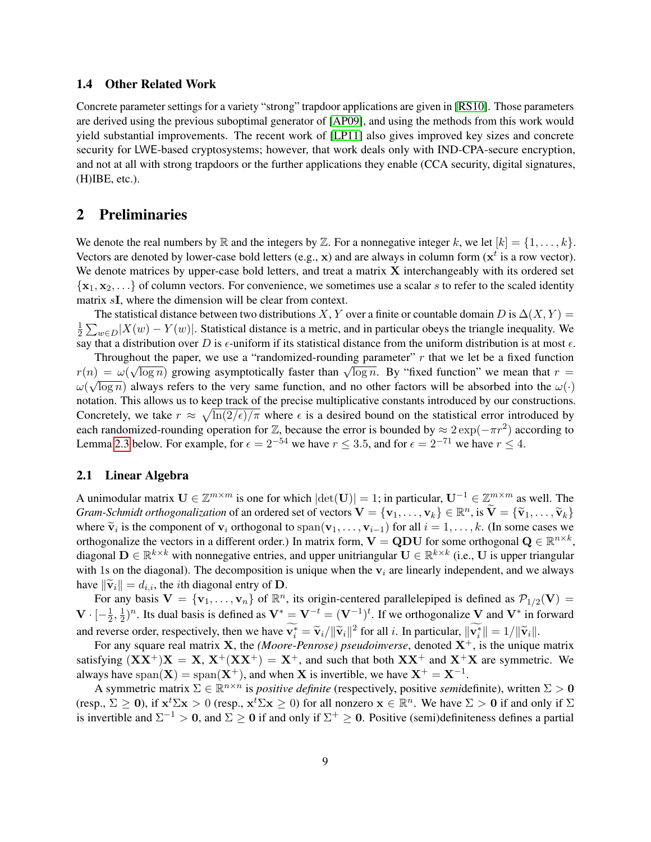### 1.4 Other Related Work

Concrete parameter settings for a variety "strong" trapdoor applications are given in [\[RS10\]](#page-39-11). Those parameters are derived using the previous suboptimal generator of [\[AP09\]](#page-37-8), and using the methods from this work would yield substantial improvements. The recent work of [\[LP11\]](#page-38-16) also gives improved key sizes and concrete security for LWE-based cryptosystems; however, that work deals only with IND-CPA-secure encryption, and not at all with strong trapdoors or the further applications they enable (CCA security, digital signatures, (H)IBE, etc.).

# 2 Preliminaries

We denote the real numbers by  $\mathbb R$  and the integers by  $\mathbb Z$ . For a nonnegative integer k, we let  $[k] = \{1, \ldots, k\}$ . Vectors are denoted by lower-case bold letters (e.g.,  $x$ ) and are always in column form ( $x^t$  is a row vector). We denote matrices by upper-case bold letters, and treat a matrix  $X$  interchangeably with its ordered set  $\{x_1, x_2, \ldots\}$  of column vectors. For convenience, we sometimes use a scalar s to refer to the scaled identity matrix sI, where the dimension will be clear from context.

The statistical distance between two distributions X, Y over a finite or countable domain D is  $\Delta(X, Y)$  = 1  $\frac{1}{2}\sum_{w\in D}|X(w)-Y(w)|$ . Statistical distance is a metric, and in particular obeys the triangle inequality. We say that a distribution over D is  $\epsilon$ -uniform if its statistical distance from the uniform distribution is at most  $\epsilon$ .

Throughout the paper, we use a "randomized-rounding parameter" r that we let be a fixed function Throughout the paper, we use a Tandonnized-founding parameter r that we let be a fixed function<br>  $r(n) = \omega(\sqrt{\log n})$  growing asymptotically faster than  $\sqrt{\log n}$ . By "fixed function" we mean that  $r = \sqrt{\log n}$  $\omega(\sqrt{\log n})$  always refers to the very same function, and no other factors will be absorbed into the  $\omega(\cdot)$ notation. This allows us to keep track of the precise multiplicative constants introduced by our constructions. Concretely, we take  $r \approx \sqrt{\ln(2/\epsilon)/\pi}$  where  $\epsilon$  is a desired bound on the statistical error introduced by each randomized-rounding operation for  $\mathbb{Z}$ , because the error is bounded by  $\approx 2 \exp(-\pi r^2)$  according to Lemma [2.3](#page-11-0) below. For example, for  $\epsilon = 2^{-54}$  we have  $r \le 3.5$ , and for  $\epsilon = 2^{-71}$  we have  $r \le 4$ .

### 2.1 Linear Algebra

A unimodular matrix  $U \in \mathbb{Z}^{m \times m}$  is one for which  $|\text{det}(U)| = 1$ ; in particular,  $U^{-1} \in \mathbb{Z}^{m \times m}$  as well. The *Gram-Schmidt orthogonalization* of an ordered set of vectors  $\mathbf{V} = {\mathbf{v}_1, \dots, \mathbf{v}_k} \in \mathbb{R}^n$ , is  $\tilde{\mathbf{V}} = {\tilde{\mathbf{v}}_1, \dots, \tilde{\mathbf{v}}_k}$ where  $\tilde{\mathbf{v}}_i$  is the component of  $\mathbf{v}_i$  orthogonal to span $(\mathbf{v}_1, \dots, \mathbf{v}_{i-1})$  for all  $i = 1, \dots, k$ . (In some cases we orthogonalize the vectors in a different order) In matrix form  $\mathbf{V} = \mathbf{ODH}$  for some o orthogonalize the vectors in a different order.) In matrix form,  $V = QDU$  for some orthogonal  $Q \in \mathbb{R}^{n \times k}$ , diagonal  $\mathbf{D} \in \mathbb{R}^{k \times k}$  with nonnegative entries, and upper unitriangular  $\mathbf{U} \in \mathbb{R}^{k \times k}$  (i.e.,  $\mathbf{U}$  is upper triangular with 1s on the diagonal). The decomposition is unique when the  $v_i$  are linearly independent, and we always have  $\|\widetilde{\mathbf{v}}_i\| = d_{i,i}$ , the *i*th diagonal entry of **D**.

For any basis  $V = \{v_1, \ldots, v_n\}$  of  $\mathbb{R}^n$ , its origin-centered parallelepiped is defined as  $P_{1/2}(V) =$  ${\bf V}\cdot[-\frac{1}{2}$  $\frac{1}{2}, \frac{1}{2}$  $\frac{1}{2}$ <sup>n</sup>. Its dual basis is defined as  $V^* = V^{-t} = (V^{-1})^t$ . If we orthogonalize V and  $V^*$  in forward and reverse order, respectively, then we have  $\mathbf{v}_i^* = \tilde{\mathbf{v}}_i / ||\tilde{\mathbf{v}}_i||^2$  for all i. In particular,  $||\mathbf{v}_i^*|| = 1 / ||\tilde{\mathbf{v}}_i||$ .<br>For any causes real metrix  $\mathbf{X}$ , the *(Moore Parmoss)* negydainwares, den

For any square real matrix X, the *(Moore-Penrose)* pseudoinverse, denoted  $X^+$ , is the unique matrix satisfying  $(XX^+)X = X$ ,  $X^+(XX^+) = X^+$ , and such that both  $XX^+$  and  $X^+X$  are symmetric. We always have span $(X) = \text{span}(X^+)$ , and when X is invertible, we have  $X^+ = X^{-1}$ .

A symmetric matrix  $\Sigma \in \mathbb{R}^{n \times n}$  is *positive definite* (respectively, positive *semi*definite), written  $\Sigma > 0$ (resp.,  $\Sigma \ge 0$ ), if  $\mathbf{x}^t \Sigma \mathbf{x} > 0$  (resp.,  $\mathbf{x}^t \Sigma \mathbf{x} \ge 0$ ) for all nonzero  $\mathbf{x} \in \mathbb{R}^n$ . We have  $\Sigma > 0$  if and only if  $\Sigma$ is invertible and  $\Sigma^{-1} > 0$ , and  $\Sigma \ge 0$  if and only if  $\Sigma^+ \ge 0$ . Positive (semi)definiteness defines a partial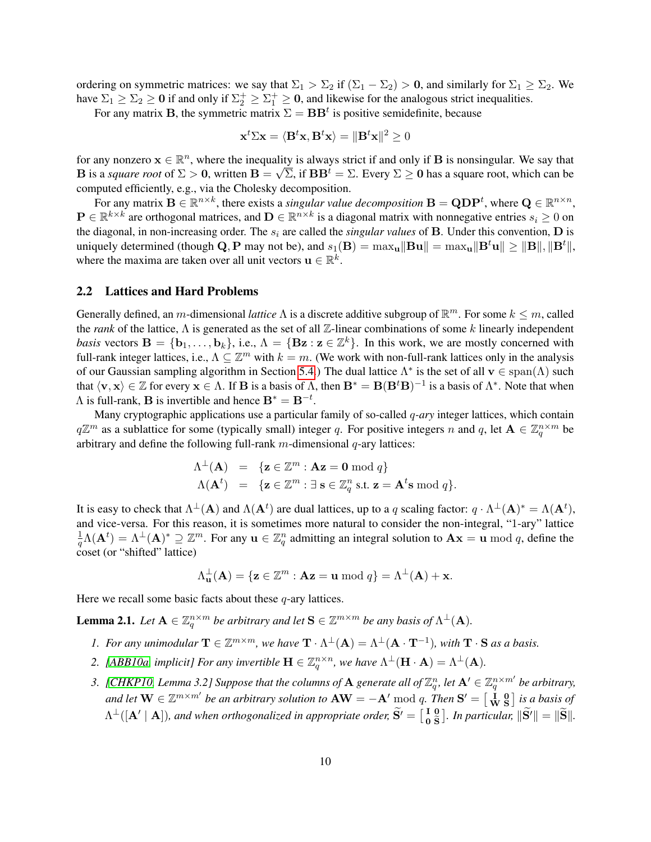ordering on symmetric matrices: we say that  $\Sigma_1 > \Sigma_2$  if  $(\Sigma_1 - \Sigma_2) > 0$ , and similarly for  $\Sigma_1 \geq \Sigma_2$ . We have  $\Sigma_1 \geq \Sigma_2 \geq 0$  if and only if  $\Sigma_2^+ \geq \Sigma_1^+ \geq 0$ , and likewise for the analogous strict inequalities.

For any matrix **B**, the symmetric matrix  $\Sigma = \mathbf{BB}^t$  is positive semidefinite, because

$$
\mathbf{x}^t \Sigma \mathbf{x} = \langle \mathbf{B}^t \mathbf{x}, \mathbf{B}^t \mathbf{x} \rangle = \|\mathbf{B}^t \mathbf{x}\|^2 \ge 0
$$

for any nonzero  $x \in \mathbb{R}^n$ , where the inequality is always strict if and only if **B** is nonsingular. We say that **B** is a *square root* of  $\Sigma > 0$ , written  $B = \sqrt{\Sigma}$ , if  $BB^t = \Sigma$ . Every  $\Sigma \ge 0$  has a square root, which can be computed efficiently, e.g., via the Cholesky decomposition.

For any matrix  $B \in \mathbb{R}^{n \times k}$ , there exists a *singular value decomposition*  $B = \text{QDP}^t$ , where  $\text{Q} \in \mathbb{R}^{n \times n}$ ,  $P \in \mathbb{R}^{k \times k}$  are orthogonal matrices, and  $D \in \mathbb{R}^{n \times k}$  is a diagonal matrix with nonnegative entries  $s_i \geq 0$  on the diagonal, in non-increasing order. The  $s_i$  are called the *singular values* of **B**. Under this convention, **D** is uniquely determined (though Q, P may not be), and  $s_1(\mathbf{B}) = \max_{\mathbf{u}} \|\mathbf{B}\mathbf{u}\| = \max_{\mathbf{u}} \|\mathbf{B}^t \mathbf{u}\| \geq \|\mathbf{B}\|, \|\mathbf{B}^t\|,$ where the maxima are taken over all unit vectors  $\mathbf{u} \in \mathbb{R}^k$ .

### 2.2 Lattices and Hard Problems

Generally defined, an m-dimensional *lattice*  $\Lambda$  is a discrete additive subgroup of  $\mathbb{R}^m$ . For some  $k \leq m$ , called the *rank* of the lattice, Λ is generated as the set of all Z-linear combinations of some k linearly independent *basis* vectors  $\mathbf{B} = \{\mathbf{b}_1, \dots, \mathbf{b}_k\}$ , i.e.,  $\Lambda = \{\mathbf{Bz} : \mathbf{z} \in \mathbb{Z}^k\}$ . In this work, we are mostly concerned with full-rank integer lattices, i.e.,  $\Lambda \subseteq \mathbb{Z}^m$  with  $k = m$ . (We work with non-full-rank lattices only in the analysis of our Gaussian sampling algorithm in Section [5.4.](#page-25-0)) The dual lattice  $\Lambda^*$  is the set of all  $\mathbf{v} \in \text{span}(\Lambda)$  such that  $\langle v, x \rangle \in \mathbb{Z}$  for every  $x \in \Lambda$ . If **B** is a basis of  $\Lambda$ , then  $\mathbf{B}^* = \mathbf{B}(\mathbf{B}^t \mathbf{B})^{-1}$  is a basis of  $\Lambda^*$ . Note that when  $\Lambda$  is full-rank, **B** is invertible and hence  $\mathbf{B}^* = \mathbf{B}^{-t}$ .

Many cryptographic applications use a particular family of so-called q*-ary* integer lattices, which contain  $q\mathbb{Z}^m$  as a sublattice for some (typically small) integer q. For positive integers n and q, let  $\mathbf{A} \in \mathbb{Z}_q^{n \times m}$  be arbitrary and define the following full-rank  $m$ -dimensional  $q$ -ary lattices:

$$
\Lambda^{\perp}(\mathbf{A}) = \{ \mathbf{z} \in \mathbb{Z}^m : \mathbf{A}\mathbf{z} = \mathbf{0} \bmod q \}
$$
  

$$
\Lambda(\mathbf{A}^t) = \{ \mathbf{z} \in \mathbb{Z}^m : \exists \mathbf{s} \in \mathbb{Z}_q^n \text{ s.t. } \mathbf{z} = \mathbf{A}^t \mathbf{s} \bmod q \}.
$$

It is easy to check that  $\Lambda^{\perp}(A)$  and  $\Lambda(A^t)$  are dual lattices, up to a q scaling factor:  $q \cdot \Lambda^{\perp}(A)^* = \Lambda(A^t)$ , and vice-versa. For this reason, it is sometimes more natural to consider the non-integral, "1-ary" lattice  $\frac{1}{q}\Lambda(\mathbf{A}^t)=\Lambda^{\perp}(\mathbf{A})^*\supseteq\mathbb{Z}^m$ . For any  $\mathbf{u}\in\mathbb{Z}_q^n$  admitting an integral solution to  $\mathbf{A}\mathbf{x}=\mathbf{u} \bmod q$ , define the coset (or "shifted" lattice)

$$
\Lambda_{\mathbf{u}}^{\perp}(\mathbf{A}) = \{ \mathbf{z} \in \mathbb{Z}^m : \mathbf{A}\mathbf{z} = \mathbf{u} \bmod q \} = \Lambda^{\perp}(\mathbf{A}) + \mathbf{x}.
$$

Here we recall some basic facts about these  $q$ -ary lattices.

<span id="page-9-1"></span>**Lemma 2.1.** Let  $A \in \mathbb{Z}_q^{n \times m}$  be arbitrary and let  $S \in \mathbb{Z}^{m \times m}$  be any basis of  $\Lambda^{\perp}(A)$ .

- *1. For any unimodular*  $\mathbf{T} \in \mathbb{Z}^{m \times m}$ , we have  $\mathbf{T} \cdot \Lambda^{\perp}(\mathbf{A}) = \Lambda^{\perp}(\mathbf{A} \cdot \mathbf{T}^{-1})$ , with  $\mathbf{T} \cdot \mathbf{S}$  *as a basis.*
- 2. [\[ABB10a,](#page-36-0) implicit] For any invertible  $\mathbf{H} \in \mathbb{Z}_q^{n \times n}$ , we have  $\Lambda^{\perp}(\mathbf{H} \cdot \mathbf{A}) = \Lambda^{\perp}(\mathbf{A})$ .
- <span id="page-9-0"></span>3. [\[CHKP10,](#page-37-0) Lemma 3.2] Suppose that the columns of  $A$  generate all of  $\mathbb{Z}_q^n$ , let  $A' \in \mathbb{Z}_q^{n \times m'}$  be arbitrary, and let  $\bf{W}\in\mathbb{Z}^{m\times m'}$  be an arbitrary solution to  $\bf{AW}=-A' \bmod q$ . Then  $\bf{S'}=\begin{bmatrix} \bf{i}& \bf{0}\\ \bf{W}&\bf{S} \end{bmatrix}$  is a basis of  $\Lambda^\perp([{\bf A}'\mid {\bf A}]),$  and when orthogonalized in appropriate order,  $\widetilde{{\bf S}}' = \left[\begin{smallmatrix} {\bf I} & {\bf 0} \\ {\bf 0} & \widetilde{\bf S} \end{smallmatrix}\right]$  $\begin{bmatrix} 1 & 0 \\ 0 & \tilde{S} \end{bmatrix}$ . In particular,  $\|\mathbf{S}'\| = \|\tilde{\mathbf{S}}\|$ .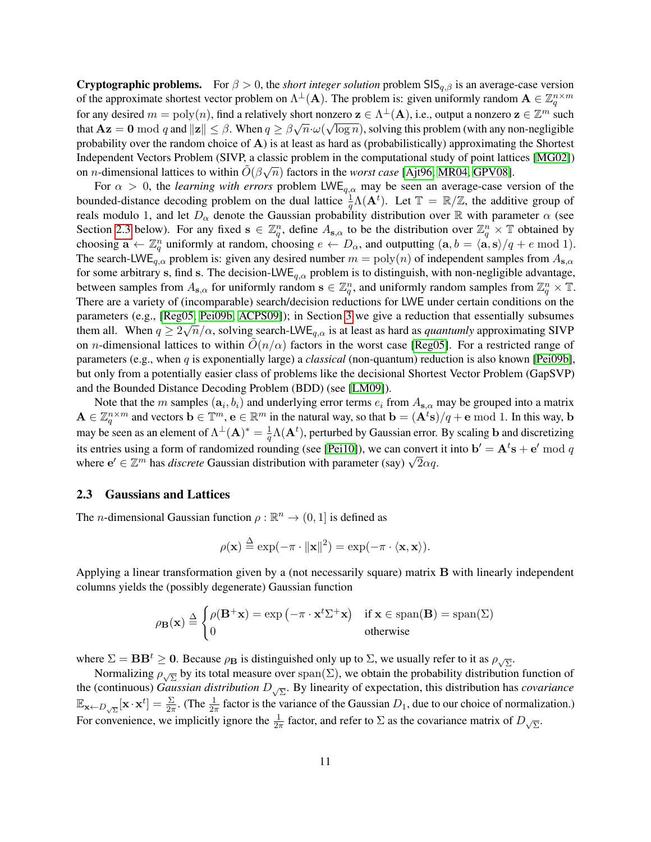**Cryptographic problems.** For  $\beta > 0$ , the *short integer solution* problem SIS<sub>q, $\beta$ </sub> is an average-case version of the approximate shortest vector problem on  $\Lambda^{\perp}(A)$ . The problem is: given uniformly random  $A \in \mathbb{Z}_q^{n \times m}$ for any desired  $m = poly(n)$ , find a relatively short nonzero  $\mathbf{z} \in \Lambda^{\perp}(\mathbf{A})$ , i.e., output a nonzero  $\mathbf{z} \in \mathbb{Z}^m$  such that  $A\mathbf{z} = \mathbf{0} \bmod q$  and  $\|\mathbf{z}\| \leq \beta$ . When  $q \geq \beta \sqrt{n} \cdot \omega$ ∤⊔י<br>∕  $\overline{\log n}$ ), solving this problem (with any non-negligible probability over the random choice of  $\bf{A}$ ) is at least as hard as (probabilistically) approximating the Shortest Independent Vectors Problem (SIVP, a classic problem in the computational study of point lattices [\[MG02\]](#page-39-12)) on *n*-dimensional lattices to within  $\tilde{O}(\beta\sqrt{n})$  factors in the *worst case* [\[Ajt96,](#page-37-10) [MR04,](#page-39-13) [GPV08\]](#page-38-0).

For  $\alpha > 0$ , the *learning with errors* problem LWE<sub>q, $\alpha$ </sub> may be seen an average-case version of the bounded-distance decoding problem on the dual lattice  $\frac{1}{q}\Lambda(\mathbf{A}^t)$ . Let  $\mathbb{T} = \mathbb{R}/\mathbb{Z}$ , the additive group of reals modulo 1, and let  $D_{\alpha}$  denote the Gaussian probability distribution over R with parameter  $\alpha$  (see Section [2.3](#page-10-0) below). For any fixed  $s \in \mathbb{Z}_q^n$ , define  $A_{s,\alpha}$  to be the distribution over  $\mathbb{Z}_q^n \times \mathbb{T}$  obtained by choosing  $\mathbf{a} \leftarrow \mathbb{Z}_q^n$  uniformly at random, choosing  $e \leftarrow D_\alpha$ , and outputting  $(\mathbf{a}, b = \langle \mathbf{a}, \mathbf{s} \rangle / q + e \mod 1)$ . The search-LWE<sub>q, $\alpha$ </sub> problem is: given any desired number  $m = \text{poly}(n)$  of independent samples from  $A_{s,\alpha}$ for some arbitrary s, find s. The decision-LWE<sub>q, $\alpha$ </sub> problem is to distinguish, with non-negligible advantage, between samples from  $A_{s,\alpha}$  for uniformly random  $s \in \mathbb{Z}_q^n$ , and uniformly random samples from  $\mathbb{Z}_q^n \times \mathbb{T}$ . There are a variety of (incomparable) search/decision reductions for LWE under certain conditions on the parameters (e.g., [\[Reg05,](#page-39-6) [Pei09b,](#page-39-3) [ACPS09\]](#page-37-5)); in Section [3](#page-14-0) we give a reduction that essentially subsumes them all. When  $q \ge 2\sqrt{n}/\alpha$ , solving search-LWE<sub>q, $\alpha$ </sub> is at least as hard as *quantumly* approximating SIVP on *n*-dimensional lattices to within  $O(n/\alpha)$  factors in the worst case [\[Reg05\]](#page-39-6). For a restricted range of parameters (e.g., when q is exponentially large) a *classical* (non-quantum) reduction is also known [\[Pei09b\]](#page-39-3), but only from a potentially easier class of problems like the decisional Shortest Vector Problem (GapSVP) and the Bounded Distance Decoding Problem (BDD) (see [\[LM09\]](#page-38-17)).

Note that the m samples  $(a_i, b_i)$  and underlying error terms  $e_i$  from  $A_{s,\alpha}$  may be grouped into a matrix  $\mathbf{A} \in \mathbb{Z}_q^{n \times m}$  and vectors  $\mathbf{b} \in \mathbb{T}^m$ ,  $\mathbf{e} \in \mathbb{R}^m$  in the natural way, so that  $\mathbf{b} = (\mathbf{A}^t \mathbf{s})/q + \mathbf{e} \bmod 1$ . In this way,  $\mathbf{b}$ may be seen as an element of  $\Lambda^{\perp}(A)^* = \frac{1}{q}\Lambda(A^t)$ , perturbed by Gaussian error. By scaling b and discretizing its entries using a form of randomized rounding (see [\[Pei10\]](#page-39-5)), we can convert it into  $\mathbf{b}' = \mathbf{A}^t \mathbf{s} + \mathbf{e}' \bmod q$ the entries using a form of randomized rounding (see [Perful]), we can convert<br>where  $e' \in \mathbb{Z}^m$  has *discrete* Gaussian distribution with parameter (say)  $\sqrt{2\alpha q}$ .

#### <span id="page-10-0"></span>2.3 Gaussians and Lattices

The *n*-dimensional Gaussian function  $\rho : \mathbb{R}^n \to (0, 1]$  is defined as

$$
\rho(\mathbf{x}) \stackrel{\Delta}{=} \exp(-\pi \cdot ||\mathbf{x}||^2) = \exp(-\pi \cdot \langle \mathbf{x}, \mathbf{x} \rangle).
$$

Applying a linear transformation given by a (not necessarily square) matrix B with linearly independent columns yields the (possibly degenerate) Gaussian function

$$
\rho_{\mathbf{B}}(\mathbf{x}) \stackrel{\Delta}{=} \begin{cases} \rho(\mathbf{B}^+\mathbf{x}) = \exp\left(-\pi \cdot \mathbf{x}^t \Sigma^+\mathbf{x}\right) & \text{if } \mathbf{x} \in \text{span}(\mathbf{B}) = \text{span}(\Sigma) \\ 0 & \text{otherwise} \end{cases}
$$

where  $\Sigma = \mathbf{BB}^t \geq 0$ . Because  $\rho_{\mathbf{B}}$  is distinguished only up to  $\Sigma$ , we usually refer to it as  $\rho_{\sqrt{\Sigma}}$ .

Normalizing  $\rho_{\sqrt{\Sigma}}$  by its total measure over  $\text{span}(\Sigma)$ , we obtain the probability distribution function of the (continuous) *Gaussian distribution* D<sup>√</sup> Σ . By linearity of expectation, this distribution has *covariance*  $\mathbb{E}_{\mathbf{x} \leftarrow D_{\sqrt{\Sigma}}}[\mathbf{x} \cdot \mathbf{x}^t] = \frac{\Sigma}{2\pi}$ . (The  $\frac{1}{2\pi}$  factor is the variance of the Gaussian  $D_1$ , due to our choice of normalization.) For convenience, we implicitly ignore the  $\frac{1}{2\pi}$  factor, and refer to  $\Sigma$  as the covariance matrix of  $D_{\sqrt{\Sigma}}$ .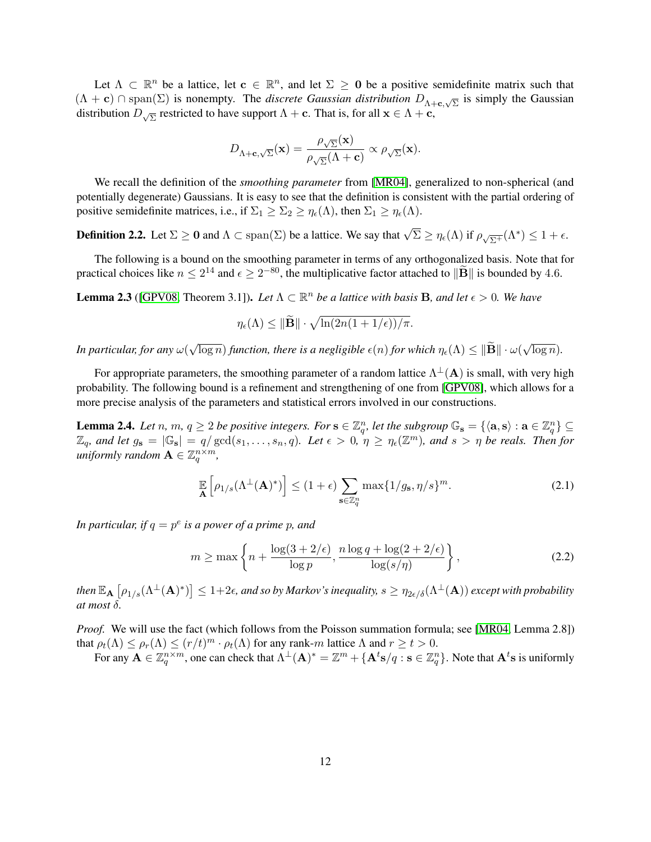Let  $\Lambda \subset \mathbb{R}^n$  be a lattice, let  $c \in \mathbb{R}^n$ , and let  $\Sigma \ge 0$  be a positive semidefinite matrix such that  $(\Lambda + c)$  ∩ span( $\Sigma$ ) is nonempty. The *discrete Gaussian distribution*  $D_{\Lambda + c, \sqrt{\Sigma}}$  is simply the Gaussian distribution  $D_{\sqrt{\Sigma}}$  restricted to have support  $\Lambda + \mathbf{c}$ . That is, for all  $\mathbf{x} \in \Lambda + \mathbf{c}$ ,

$$
D_{\Lambda+\mathbf{c},\sqrt{\Sigma}}(\mathbf{x})=\frac{\rho_{\sqrt{\Sigma}}(\mathbf{x})}{\rho_{\sqrt{\Sigma}}(\Lambda+\mathbf{c})}\propto\rho_{\sqrt{\Sigma}}(\mathbf{x}).
$$

We recall the definition of the *smoothing parameter* from [\[MR04\]](#page-39-13), generalized to non-spherical (and potentially degenerate) Gaussians. It is easy to see that the definition is consistent with the partial ordering of positive semidefinite matrices, i.e., if  $\Sigma_1 \geq \Sigma_2 \geq \eta_\epsilon(\Lambda)$ , then  $\Sigma_1 \geq \eta_\epsilon(\Lambda)$ .

**Definition 2.2.** Let  $\Sigma \ge 0$  and  $\Lambda \subset \text{span}(\Sigma)$  be a lattice. We say that  $\sqrt{\Sigma} \ge \eta_{\epsilon}(\Lambda)$  if  $\rho_{\sqrt{\Sigma^{+}}}(\Lambda^{*}) \le 1 + \epsilon$ .

The following is a bound on the smoothing parameter in terms of any orthogonalized basis. Note that for practical choices like  $n \leq 2^{14}$  and  $\epsilon \geq 2^{-80}$ , the multiplicative factor attached to  $\|\widetilde{\mathbf{B}}\|$  is bounded by 4.6.

<span id="page-11-0"></span>**Lemma 2.3** ([\[GPV08,](#page-38-0) Theorem 3.1]). Let  $\Lambda \subset \mathbb{R}^n$  be a lattice with basis B, and let  $\epsilon > 0$ . We have

$$
\eta_{\epsilon}(\Lambda) \leq \|\widetilde{\mathbf{B}}\| \cdot \sqrt{\ln(2n(1+1/\epsilon))/\pi}.
$$

*In particular, for any* ω( √  $\overline{\log n})$  *function, there is a negligible*  $\epsilon(n)$  *for which*  $\eta_{\epsilon}(\Lambda) \leq \|\mathbf{B}\| \cdot \omega(n)$ √  $\overline{\log n}$ ).

For appropriate parameters, the smoothing parameter of a random lattice  $\Lambda^{\perp}(A)$  is small, with very high probability. The following bound is a refinement and strengthening of one from [\[GPV08\]](#page-38-0), which allows for a more precise analysis of the parameters and statistical errors involved in our constructions.

<span id="page-11-2"></span>**Lemma 2.4.** Let n, m,  $q \ge 2$  be positive integers. For  $s \in \mathbb{Z}_q^n$ , let the subgroup  $\mathbb{G}_s = \{\langle a, s \rangle : a \in \mathbb{Z}_q^n\} \subseteq$  $\mathbb{Z}_q$ *, and let*  $g_s = |\mathbb{G}_s| = q/\gcd(s_1, \ldots, s_n, q)$ *. Let*  $\epsilon > 0, \eta \ge \eta_{\epsilon}(\mathbb{Z}^m)$ *, and*  $s > \eta$  be reals. Then for *uniformly random*  $\mathbf{A} \in \mathbb{Z}_q^{n \times m}$ ,

$$
\mathbb{E}\left[\rho_{1/s}(\Lambda^{\perp}(\mathbf{A})^*)\right] \le (1+\epsilon) \sum_{\mathbf{s}\in \mathbb{Z}_q^n} \max\{1/g_\mathbf{s}, \eta/s\}^m. \tag{2.1}
$$

In particular, if  $q = p^e$  is a power of a prime  $p$ , and

<span id="page-11-1"></span>
$$
m \ge \max\left\{n + \frac{\log(3 + 2/\epsilon)}{\log p}, \frac{n\log q + \log(2 + 2/\epsilon)}{\log(s/\eta)}\right\},\tag{2.2}
$$

then  $\mathbb{E}_{\bf A}\left[\rho_{1/s}(\Lambda^\perp({\bf A})^*)\right]\leq 1+2\epsilon$ , and so by Markov's inequality,  $s\geq \eta_{2\epsilon/\delta}(\Lambda^\perp({\bf A}))$  except with probability *at most* δ*.*

*Proof.* We will use the fact (which follows from the Poisson summation formula; see [\[MR04,](#page-39-13) Lemma 2.8]) that  $\rho_t(\Lambda) \leq \rho_r(\Lambda) \leq (r/t)^m \cdot \rho_t(\Lambda)$  for any rank-m lattice  $\Lambda$  and  $r \geq t > 0$ .

For any  $\mathbf{A} \in \mathbb{Z}_q^{n \times m}$ , one can check that  $\Lambda^{\perp}(\mathbf{A})^* = \mathbb{Z}^m + \{\mathbf{A}^t\mathbf{s}/q : \mathbf{s} \in \mathbb{Z}_q^n\}$ . Note that  $\mathbf{A}^t\mathbf{s}$  is uniformly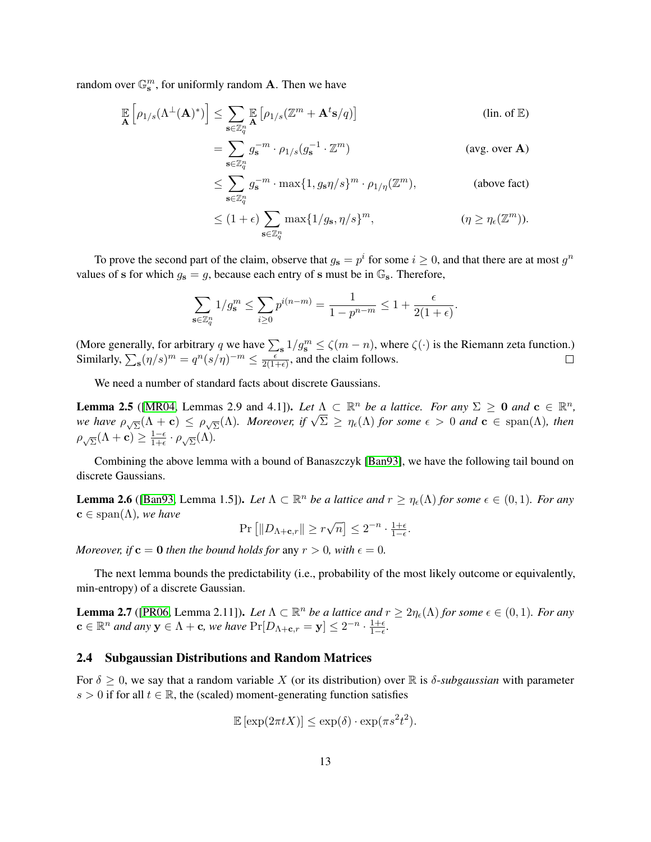random over  $\mathbb{G}_{s}^{m}$ , for uniformly random **A**. Then we have

$$
\mathbb{E}\left[\rho_{1/s}(\Lambda^{\perp}(\mathbf{A})^*)\right] \leq \sum_{\mathbf{s}\in\mathbb{Z}_q^n} \mathbb{E}\left[\rho_{1/s}(\mathbb{Z}^m + \mathbf{A}^t \mathbf{s}/q)\right]
$$
 (lin. of **E**)  
\n
$$
= \sum_{\mathbf{s}\in\mathbb{Z}_q^n} g_{\mathbf{s}}^{-m} \cdot \rho_{1/s}(g_{\mathbf{s}}^{-1} \cdot \mathbb{Z}^m)
$$
 (avg. over **A**)

$$
\leq \sum_{\mathbf{s}\in\mathbb{Z}_q^n} g_{\mathbf{s}}^{-m} \cdot \max\{1, g_{\mathbf{s}}\eta/s\}^m \cdot \rho_{1/\eta}(\mathbb{Z}^m),
$$
\n(above fact)

\n
$$
\leq (1+\epsilon) \sum_{\mathbf{s}\in\mathbb{Z}_q^n} \max\{1/g_{\mathbf{s}}, \eta/s\}^m,
$$
\n
$$
(\eta \geq \eta_{\epsilon}(\mathbb{Z}^m)).
$$

To prove the second part of the claim, observe that  $g_s = p^i$  for some  $i \ge 0$ , and that there are at most  $g^n$ values of s for which  $g_s = g$ , because each entry of s must be in  $\mathbb{G}_s$ . Therefore,

$$
\sum_{s \in \mathbb{Z}_q^n} 1/g_s^m \le \sum_{i \ge 0} p^{i(n-m)} = \frac{1}{1 - p^{n-m}} \le 1 + \frac{\epsilon}{2(1 + \epsilon)}.
$$

(More generally, for arbitrary q we have  $\sum_{s} 1/g_s^m \le \zeta(m-n)$ , where  $\zeta(\cdot)$  is the Riemann zeta function.) Similarly,  $\sum_{s} (\eta/s)^m = q^n (s/\eta)^{-m} \le \frac{\epsilon}{2(1-\epsilon)}$  $\frac{\epsilon}{2(1+\epsilon)}$ , and the claim follows.

We need a number of standard facts about discrete Gaussians.

 $\mathbf{s}$ 

<span id="page-12-0"></span>**Lemma 2.5** ([\[MR04,](#page-39-13) Lemmas 2.9 and 4.1]). Let  $\Lambda \subset \mathbb{R}^n$  be a lattice. For any  $\Sigma \ge 0$  and  $\mathbf{c} \in \mathbb{R}^n$ , **Lemma 2.5** ([MKO4, Lemmas 2.9 and 4.1]). Let  $\Lambda \subset \mathbb{R}^n$  be a lattice. For any  $\Delta \geq 0$  and  $\mathbf{c} \in \mathbb{R}^n$ ,<br>we have  $\rho_{\sqrt{\Sigma}}(\Lambda + \mathbf{c}) \leq \rho_{\sqrt{\Sigma}}(\Lambda)$ . Moreover, if  $\sqrt{\Sigma} \geq \eta_{\epsilon}(\Lambda)$  for some  $\epsilon > 0$  and  $\mathbf{c}$  $\rho_{\sqrt{\Sigma}}(\Lambda+\mathbf{c}) \geq \frac{1-\epsilon}{1+\epsilon}$  $\frac{1-\epsilon}{1+\epsilon}\cdot \rho_{\sqrt{\Sigma}}(\Lambda).$ 

Combining the above lemma with a bound of Banaszczyk [\[Ban93\]](#page-37-14), we have the following tail bound on discrete Gaussians.

<span id="page-12-2"></span>**Lemma 2.6** ([\[Ban93,](#page-37-14) Lemma 1.5]). Let  $\Lambda \subset \mathbb{R}^n$  be a lattice and  $r \geq \eta_{\epsilon}(\Lambda)$  for some  $\epsilon \in (0,1)$ . For any  $c \in \text{span}(\Lambda)$ *, we have* √

$$
\Pr\left[\|D_{\Lambda+\mathbf{c},r}\|\geq r\sqrt{n}\right]\leq 2^{-n}\cdot\tfrac{1+\epsilon}{1-\epsilon}.
$$

*Moreover, if*  $\mathbf{c} = \mathbf{0}$  *then the bound holds for* any  $r > 0$ *, with*  $\epsilon = 0$ *.* 

The next lemma bounds the predictability (i.e., probability of the most likely outcome or equivalently, min-entropy) of a discrete Gaussian.

<span id="page-12-1"></span>**Lemma 2.7** ([\[PR06,](#page-39-9) Lemma 2.11]). Let  $\Lambda \subset \mathbb{R}^n$  be a lattice and  $r \geq 2\eta_{\epsilon}(\Lambda)$  for some  $\epsilon \in (0,1)$ . For any  $\mathbf{c} \in \mathbb{R}^n$  and any  $\mathbf{y} \in \Lambda + \mathbf{c}$ , we have  $Pr[D_{\Lambda+\mathbf{c},r}=\mathbf{y}] \leq 2^{-n} \cdot \frac{1+\epsilon}{1-\epsilon}$ .

### 2.4 Subgaussian Distributions and Random Matrices

For  $\delta \geq 0$ , we say that a random variable X (or its distribution) over R is  $\delta$ -*subgaussian* with parameter s > 0 if for all  $t \in \mathbb{R}$ , the (scaled) moment-generating function satisfies

$$
\mathbb{E}\left[\exp(2\pi t X)\right] \le \exp(\delta) \cdot \exp(\pi s^2 t^2).
$$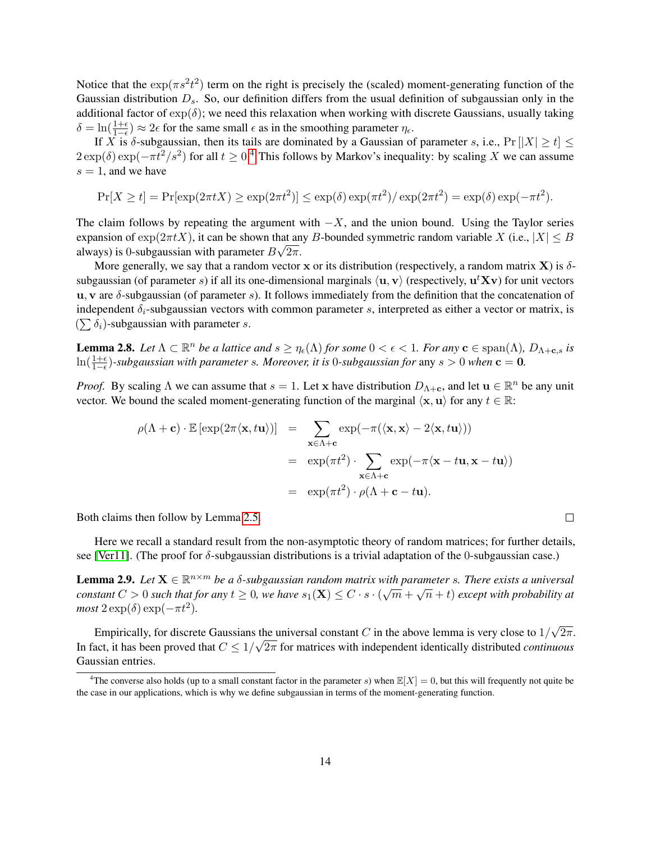Notice that the  $\exp(\pi s^2 t^2)$  term on the right is precisely the (scaled) moment-generating function of the Gaussian distribution  $D_s$ . So, our definition differs from the usual definition of subgaussian only in the additional factor of  $\exp(\delta)$ ; we need this relaxation when working with discrete Gaussians, usually taking  $\delta = \ln(\frac{1+\epsilon}{1-\epsilon}) \approx 2\epsilon$  for the same small  $\epsilon$  as in the smoothing parameter  $\eta_{\epsilon}$ .

If X is  $\delta$ -subgaussian, then its tails are dominated by a Gaussian of parameter s, i.e.,  $Pr[|X| \ge t] \le$  $2 \exp(\delta) \exp(-\pi t^2/s^2)$  for all  $t \ge 0.4$  $t \ge 0.4$  This follows by Markov's inequality: by scaling X we can assume  $s = 1$ , and we have

$$
\Pr[X \ge t] = \Pr[\exp(2\pi t X) \ge \exp(2\pi t^2)] \le \exp(\delta) \exp(\pi t^2) / \exp(2\pi t^2) = \exp(\delta) \exp(-\pi t^2).
$$

The claim follows by repeating the argument with  $-X$ , and the union bound. Using the Taylor series expansion of  $\exp(2\pi t X)$ , it can be shown that any B-bounded symmetric random variable X (i.e.,  $|X| \leq B$ always) is 0-subgaussian with parameter  $B\sqrt{2\pi}$ .

More generally, we say that a random vector x or its distribution (respectively, a random matrix  $X$ ) is  $\delta$ subgaussian (of parameter s) if all its one-dimensional marginals  $\langle u, v \rangle$  (respectively,  $u^tXv$ ) for unit vectors u, v are  $\delta$ -subgaussian (of parameter s). It follows immediately from the definition that the concatenation of independent  $\delta_i$ -subgaussian vectors with common parameter s, interpreted as either a vector or matrix, is  $(\sum \delta_i)$ -subgaussian with parameter s.

<span id="page-13-2"></span>**Lemma 2.8.** Let  $\Lambda \subset \mathbb{R}^n$  be a lattice and  $s \geq \eta_{\epsilon}(\Lambda)$  for some  $0 < \epsilon < 1$ . For any  $\mathbf{c} \in \text{span}(\Lambda)$ ,  $D_{\Lambda+\mathbf{c},s}$  is  $\ln(\frac{1+\epsilon}{1-\epsilon})$ -subgaussian with parameter s. Moreover, it is 0-subgaussian for any  $s > 0$  when  $c = 0$ .

*Proof.* By scaling  $\Lambda$  we can assume that  $s = 1$ . Let x have distribution  $D_{\Lambda + \mathbf{c}}$ , and let  $\mathbf{u} \in \mathbb{R}^n$  be any unit vector. We bound the scaled moment-generating function of the marginal  $\langle x, u \rangle$  for any  $t \in \mathbb{R}$ :

$$
\rho(\Lambda + \mathbf{c}) \cdot \mathbb{E} [\exp(2\pi \langle \mathbf{x}, t\mathbf{u} \rangle)] = \sum_{\mathbf{x} \in \Lambda + \mathbf{c}} \exp(-\pi (\langle \mathbf{x}, \mathbf{x} \rangle - 2 \langle \mathbf{x}, t\mathbf{u} \rangle))
$$
  
\n
$$
= \exp(\pi t^2) \cdot \sum_{\mathbf{x} \in \Lambda + \mathbf{c}} \exp(-\pi \langle \mathbf{x} - t\mathbf{u}, \mathbf{x} - t\mathbf{u} \rangle)
$$
  
\n
$$
= \exp(\pi t^2) \cdot \rho(\Lambda + \mathbf{c} - t\mathbf{u}).
$$

Both claims then follow by Lemma [2.5.](#page-12-0)

Here we recall a standard result from the non-asymptotic theory of random matrices; for further details, see [\[Ver11\]](#page-39-14). (The proof for δ-subgaussian distributions is a trivial adaptation of the 0-subgaussian case.)

<span id="page-13-1"></span>**Lemma 2.9.** Let  $X \in \mathbb{R}^{n \times m}$  be a  $\delta$ -subgaussian random matrix with parameter s. There exists a universal *constant*  $C > 0$  *such that for any*  $t \ge 0$ *, we have*  $s_1(\mathbf{X}) \le C \cdot s \cdot (\sqrt{m} + \sqrt{n} + t)$  *except with probability at*  $most 2 \exp(\delta) \exp(-\pi t^2)$ .

Empirically, for discrete Gaussians the universal constant  $C$  in the above lemma is very close to  $1/$ √ the universal constant C in the above lemma is very close to  $1/\sqrt{2\pi}$ . In fact, it has been proved that  $C \leq 1/\sqrt{2\pi}$  for matrices with independent identically distributed *continuous* Gaussian entries.

 $\Box$ 

<span id="page-13-0"></span><sup>&</sup>lt;sup>4</sup>The converse also holds (up to a small constant factor in the parameter s) when  $\mathbb{E}[X] = 0$ , but this will frequently not quite be the case in our applications, which is why we define subgaussian in terms of the moment-generating function.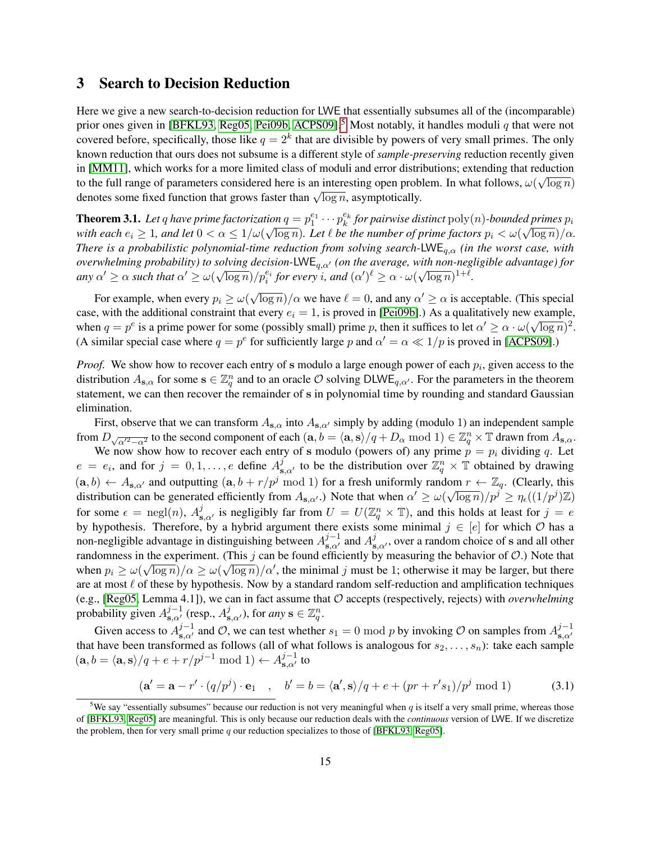# <span id="page-14-0"></span>3 Search to Decision Reduction

Here we give a new search-to-decision reduction for LWE that essentially subsumes all of the (incomparable) prior ones given in [\[BFKL93,](#page-37-11) [Reg05,](#page-39-6) [Pei09b,](#page-39-3) [ACPS09\]](#page-37-5).<sup>[5](#page-14-1)</sup> Most notably, it handles moduli q that were not covered before, specifically, those like  $q = 2<sup>k</sup>$  that are divisible by powers of very small primes. The only known reduction that ours does not subsume is a different style of *sample-preserving* reduction recently given in [\[MM11\]](#page-39-15), which works for a more limited class of moduli and error distributions; extending that reduction to the full range of parameters considered here is an interesting open problem. In what follows,  $\omega(\sqrt{\log n})$ to the fun range of parameters considered here is an interesting open problem<br>denotes some fixed function that grows faster than  $\sqrt{\log n}$ , asymptotically.

**Theorem 3.1.** Let q have prime factorization  $q = p_1^{e_1} \cdots p_k^{e_k}$  for pairwise distinct  $poly(n)$ -bounded primes  $p_i$ with each  $e_i\geq 1$ , and let  $0<\alpha\leq 1/\omega(\sqrt{\log n})$ . Let  $\ell$  be the number of prime factors  $p_i<\omega(\sqrt{\log n})/\alpha$ . *There is a probabilistic polynomial-time reduction from solving search-*LWEq,α *(in the worst case, with overwhelming probability) to solving decision-LWE<sub>q,α'</sub> (on the average, with non-negligible advantage) for*  $\alpha' \ge \alpha$  such that  $\alpha' \ge \omega(\sqrt{\log n})/p_i^{e_i}$  for every i, and  $(\alpha')^{\ell} \ge \alpha \cdot \omega(\sqrt{\log n})^{1+\ell}$ .

For example, when every  $p_i \ge \omega$ √  $\overline{\log n}/\alpha$  we have  $\ell = 0$ , and any  $\alpha' \ge \alpha$  is acceptable. (This special case, with the additional constraint that every  $e_i = 1$ , is proved in [\[Pei09b\]](#page-39-3).) As a qualitatively new example, when  $q = p^e$  is a prime power for some (possibly small) prime p, then it suffices to let  $\alpha' \geq \alpha \cdot \omega(\sqrt{\log n})^2$ . (A similar special case where  $q = p^e$  for sufficiently large p and  $\alpha' = \alpha \ll 1/p$  is proved in [\[ACPS09\]](#page-37-5).)

*Proof.* We show how to recover each entry of s modulo a large enough power of each  $p_i$ , given access to the distribution  $A_{s,\alpha}$  for some  $s \in \mathbb{Z}_q^n$  and to an oracle  $\mathcal O$  solving DLWE<sub>q, $\alpha'$ </sub>. For the parameters in the theorem statement, we can then recover the remainder of s in polynomial time by rounding and standard Gaussian elimination.

First, observe that we can transform  $A_{s,\alpha}$  into  $A_{s,\alpha'}$  simply by adding (modulo 1) an independent sample from  $D_{\sqrt{\alpha'^2-\alpha^2}}$  to the second component of each  $(\mathbf{a}, b = \langle \mathbf{a}, \mathbf{s} \rangle/q + D_\alpha \bmod 1) \in \mathbb{Z}_q^n \times \mathbb{T}$  drawn from  $A_{\mathbf{s},\alpha}$ .

We now show how to recover each entry of s modulo (powers of) any prime  $p = p_i$  dividing q. Let  $e = e_i$ , and for  $j = 0, 1, \ldots, e$  define  $A_{s, \alpha'}^j$  to be the distribution over  $\mathbb{Z}_q^n \times \mathbb{T}$  obtained by drawing  $(a, b) \leftarrow A_{s, \alpha'}$  and outputting  $(a, b + r/p^j \mod 1)$  for a fresh uniformly random  $r \leftarrow \mathbb{Z}_q$ . (Clearly, this distribution can be generated efficiently from  $A_{s,\alpha'}$ .) Note that when  $\alpha' \ge \omega(\sqrt{\log n})/p^j \ge \eta_{\epsilon}((1/p^j)\mathbb{Z})$ for some  $\epsilon = \text{negl}(n)$ ,  $A_{s,\alpha'}^j$  is negligibly far from  $U = U(\mathbb{Z}_q^n \times \mathbb{T})$ , and this holds at least for  $j = e$ by hypothesis. Therefore, by a hybrid argument there exists some minimal  $j \in [e]$  for which  $\mathcal O$  has a non-negligible advantage in distinguishing between  $A_{s,a'}^{j-1}$  and  $A_{s,a'}^j$ , over a random choice of s and all other randomness in the experiment. (This j can be found efficiently by measuring the behavior of  $\mathcal{O}$ .) Note that when  $p_i \ge \omega(\sqrt{\log n})/\alpha \ge \omega(\sqrt{\log n})/\alpha'$ , the minimal j must be 1; otherwise it may be larger, but there are at most  $\ell$  of these by hypothesis. Now by a standard random self-reduction and amplification techniques (e.g., [\[Reg05,](#page-39-6) Lemma 4.1]), we can in fact assume that O accepts (respectively, rejects) with *overwhelming* probability given  $A_{s,\alpha'}^{j-1}$  (resp.,  $A_{s,\alpha'}^j$ ), for *any*  $s \in \mathbb{Z}_q^n$ .

Given access to  $A_{s,\alpha'}^{j-1}$  and  $\mathcal{O}$ , we can test whether  $s_1 = 0 \mod p$  by invoking  $\mathcal{O}$  on samples from  $A_{s,\alpha'}^{j-1}$  $_{\mathbf{s},\alpha'}$ that have been transformed as follows (all of what follows is analogous for  $s_2, \ldots, s_n$ ): take each sample  $(\mathbf{a}, b = \langle \mathbf{a}, \mathbf{s} \rangle / q + e + r/p^{j-1} \bmod 1) \leftarrow A_{\mathbf{s}, \alpha'}^{j-1}$  to

<span id="page-14-2"></span>
$$
(\mathbf{a}' = \mathbf{a} - r' \cdot (q/p^j) \cdot \mathbf{e}_1 \quad , \quad b' = b = \langle \mathbf{a}', \mathbf{s} \rangle / q + e + (pr + r's_1) / p^j \bmod 1 \tag{3.1}
$$

<span id="page-14-1"></span><sup>&</sup>lt;sup>5</sup>We say "essentially subsumes" because our reduction is not very meaningful when q is itself a very small prime, whereas those of [\[BFKL93,](#page-37-11) [Reg05\]](#page-39-6) are meaningful. This is only because our reduction deals with the *continuous* version of LWE. If we discretize the problem, then for very small prime  $q$  our reduction specializes to those of [\[BFKL93,](#page-37-11) [Reg05\]](#page-39-6).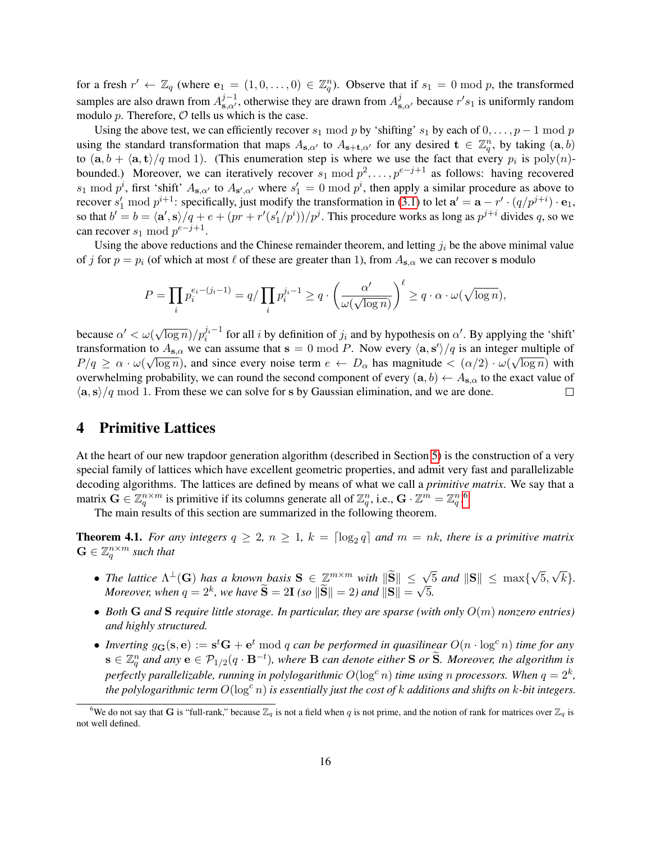for a fresh  $r' \leftarrow \mathbb{Z}_q$  (where  $e_1 = (1, 0, \dots, 0) \in \mathbb{Z}_q^n$ ). Observe that if  $s_1 = 0 \mod p$ , the transformed samples are also drawn from  $A_{s,\alpha'}^{j-1}$ , otherwise they are drawn from  $A_{s,\alpha'}^j$  because  $r's_1$  is uniformly random modulo  $p$ . Therefore,  $O$  tells us which is the case.

Using the above test, we can efficiently recover  $s_1 \mod p$  by 'shifting'  $s_1$  by each of  $0, \ldots, p - 1 \mod p$ using the standard transformation that maps  $A_{s,a'}$  to  $A_{s+t,a'}$  for any desired  $t \in \mathbb{Z}_q^n$ , by taking  $(a, b)$ to  $(a, b + \langle a, t \rangle/q \mod 1)$ . (This enumeration step is where we use the fact that every  $p_i$  is  $poly(n)$ bounded.) Moreover, we can iteratively recover  $s_1 \mod p^2, \ldots, p^{e-j+1}$  as follows: having recovered  $s_1 \mod p^i$ , first 'shift'  $A_{s,\alpha'}$  to  $A_{s',\alpha'}$  where  $s'_1 = 0 \mod p^i$ , then apply a similar procedure as above to recover  $s'_1$  mod  $p^{i+1}$ : specifically, just modify the transformation in [\(3.1\)](#page-14-2) to let  $\mathbf{a}' = \mathbf{a} - r' \cdot (q/p^{j+i}) \cdot \mathbf{e}_1$ , so that  $b' = b = \langle a', s \rangle / q + e + (pr + r'(s'_1/p^i)) / p^j$ . This procedure works as long as  $p^{j+i}$  divides q, so we can recover  $s_1 \bmod p^{e-j+1}$ .

Using the above reductions and the Chinese remainder theorem, and letting  $j_i$  be the above minimal value of j for  $p = p_i$  (of which at most  $\ell$  of these are greater than 1), from  $A_{s,\alpha}$  we can recover s modulo

$$
P = \prod_i p_i^{e_i - (j_i - 1)} = q / \prod_i p_i^{j_i - 1} \ge q \cdot \left(\frac{\alpha'}{\omega(\sqrt{\log n})}\right)^{\ell} \ge q \cdot \alpha \cdot \omega(\sqrt{\log n}),
$$

because  $\alpha' < \omega(\sqrt{\log n})/p_i^{j_i-1}$  for all i by definition of  $j_i$  and by hypothesis on  $\alpha'$ . By applying the 'shift' transformation to  $A_{s,\alpha}$  we can assume that  $s = 0 \mod P$ . Now every  $\langle a, s' \rangle / q$  is an integer multiple of  $P/q \ge \alpha \cdot \omega(\sqrt{\log n})$ , and since every noise term  $e \leftarrow D_\alpha$  has magnitude  $\lt (\alpha/2) \cdot \omega(\sqrt{\log n})$  with overwhelming probability, we can round the second component of every  $(a, b) \leftarrow A_{s,\alpha}$  to the exact value of  $\langle a, s \rangle / q$  mod 1. From these we can solve for s by Gaussian elimination, and we are done.  $\Box$ 

# <span id="page-15-2"></span>4 Primitive Lattices

At the heart of our new trapdoor generation algorithm (described in Section [5\)](#page-21-0) is the construction of a very special family of lattices which have excellent geometric properties, and admit very fast and parallelizable decoding algorithms. The lattices are defined by means of what we call a *primitive matrix*. We say that a matrix  $\mathbf{G} \in \mathbb{Z}_q^{n \times m}$  is primitive if its columns generate all of  $\mathbb{Z}_q^n$ , i.e.,  $\mathbf{G} \cdot \mathbb{Z}^m = \mathbb{Z}_q^n$ .

The main results of this section are summarized in the following theorem.

<span id="page-15-1"></span>**Theorem 4.1.** For any integers  $q \geq 2$ ,  $n \geq 1$ ,  $k = \lceil \log_2 q \rceil$  and  $m = nk$ , there is a primitive matrix  $\mathbf{G} \in \mathbb{Z}_q^{n \times m}$  such that

- *The lattice*  $\Lambda^{\perp}(\mathbf{G})$  *has a known basis*  $\mathbf{S} \in \mathbb{Z}^{m \times m}$  *with*  $\|\widetilde{\mathbf{S}}\| \leq \sqrt{5}$  *and*  $\|\mathbf{S}\| \leq \max\{0, 1\}$ √ 5, √ k}*. Moreover, when*  $q = 2^k$ *, we have*  $\widetilde{\mathbf{S}} = 2\mathbf{I}$  *(so*  $\|\widetilde{\mathbf{S}}\| = 2$ *) and*  $\|\mathbf{S}\| =$ √ 5*.*
- *Both* **G** and **S** *require little storage. In particular, they are sparse (with only*  $O(m)$  *nonzero entries) and highly structured.*
- Inverting  $g_{G}(s, e) := s^{t}G + e^{t} \mod q$  can be performed in quasilinear  $O(n \cdot \log^c n)$  time for any  $\mathbf{s} \in \mathbb{Z}_q^n$  and any  $\mathbf{e} \in \mathcal{P}_{1/2}(q \cdot \mathbf{B}^{-t})$ , where  $\mathbf{B}$  can denote either  $\mathbf{S}$  or  $\widetilde{\mathbf{S}}$ . Moreover, the algorithm is perfectly parallelizable, running in polylogarithmic  $O(\log^c n)$  time using n processors. When  $q=2^k$ , *the polylogarithmic term*  $O(\log^c n)$  *is essentially just the cost of* k *additions and shifts on* k-bit integers.

<span id="page-15-0"></span><sup>&</sup>lt;sup>6</sup>We do not say that G is "full-rank," because  $\mathbb{Z}_q$  is not a field when q is not prime, and the notion of rank for matrices over  $\mathbb{Z}_q$  is not well defined.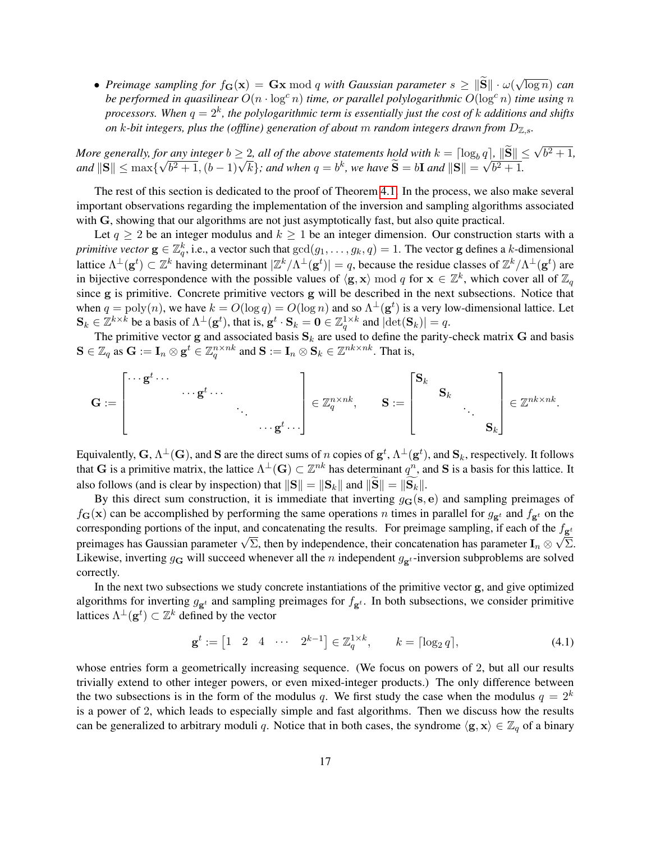• *Preimage sampling for*  $f_{\mathbf{G}}(\mathbf{x}) = \mathbf{G}\mathbf{x} \bmod q$  *with Gaussian parameter*  $s \geq ||\mathbf{S}|| \cdot \omega$ √ log n) *can be performed in quasilinear*  $O(n \cdot \log^c n)$  *time, or parallel polylogarithmic*  $O(\log^c n)$  *time using* n  $p$ rocessors. When  $q=2^k$ , the polylogarithmic term is essentially just the cost of  $k$  additions and shifts *on* k-bit integers, plus the (offline) generation of about m random integers drawn from  $D_{\mathbb{Z},s}$ .

*More generally, for any integer*  $b \geq 2$ *, all of the above statements hold with*  $k = \left[\log_b q\right]$ ,  $\left\|\widetilde{S}\right\| \leq \sqrt{b^2 + 1}$ , *and*  $\|\mathbf{S}\| \leq \max\{$  $\frac{r}{4}$ any integer  $b \ge 2$ , all of the above statements hold with  $\kappa = |\log_b b^2 + 1$ ,  $(b-1)\sqrt{k}$ ; and when  $q = b^k$ , we have  $\widetilde{S} = bI$  and  $||S|| =$  $q_{\parallel}$  $\overline{b^2+1}$ .

The rest of this section is dedicated to the proof of Theorem [4.1.](#page-15-1) In the process, we also make several important observations regarding the implementation of the inversion and sampling algorithms associated with G, showing that our algorithms are not just asymptotically fast, but also quite practical.

Let  $q > 2$  be an integer modulus and  $k > 1$  be an integer dimension. Our construction starts with a *primitive vector*  $g \in \mathbb{Z}_q^k$ , i.e., a vector such that  $gcd(g_1, \ldots, g_k, q) = 1$ . The vector g defines a k-dimensional lattice  $\Lambda^{\perp}(\mathbf{g}^t) \subset \mathbb{Z}^k$  having determinant  $|\mathbb{Z}^k/\Lambda^{\perp}(\mathbf{g}^t)| = q$ , because the residue classes of  $\mathbb{Z}^k/\Lambda^{\perp}(\mathbf{g}^t)$  are in bijective correspondence with the possible values of  $\langle g, x \rangle \mod q$  for  $x \in \mathbb{Z}^k$ , which cover all of  $\mathbb{Z}_q$ since g is primitive. Concrete primitive vectors g will be described in the next subsections. Notice that when  $q = \text{poly}(n)$ , we have  $k = O(\log q) = O(\log n)$  and so  $\Lambda^{\perp}(\mathbf{g}^t)$  is a very low-dimensional lattice. Let  $\mathbf{S}_k \in \mathbb{Z}^{k \times k}$  be a basis of  $\Lambda^{\perp}(\mathbf{g}^t)$ , that is,  $\mathbf{g}^t \cdot \mathbf{S}_k = \mathbf{0} \in \mathbb{Z}_q^{1 \times k}$  and  $|\text{det}(\mathbf{S}_k)| = q$ .

The primitive vector g and associated basis  $S_k$  are used to define the parity-check matrix G and basis  $S \in \mathbb{Z}_q$  as  $\mathbf{G} := \mathbf{I}_n \otimes \mathbf{g}^t \in \mathbb{Z}_q^{n \times nk}$  and  $\mathbf{S} := \mathbf{I}_n \otimes \mathbf{S}_k \in \mathbb{Z}^{nk \times nk}$ . That is,

$$
\mathbf{G}:=\begin{bmatrix} \cdots \mathbf{g}^t \cdots & & & \\ & \cdots \mathbf{g}^t \cdots & & \\ & & \ddots & \\ & & & \cdots \mathbf{g}^t \cdots \end{bmatrix}\in\mathbb{Z}_q^{n\times nk}, \qquad \mathbf{S}:=\begin{bmatrix} \mathbf{S}_k & & & \\ & \mathbf{S}_k & & \\ & & \ddots & \\ & & & \mathbf{S}_k \end{bmatrix}\in\mathbb{Z}^{nk\times nk}.
$$

Equivalently,  $G,$   $\Lambda^\perp(G)$ , and  $S$  are the direct sums of  $n$  copies of  $g^t,$   $\Lambda^\perp(g^t)$ , and  $S_k$ , respectively. It follows that G is a primitive matrix, the lattice  $\Lambda^{\perp}(G) \subset \mathbb{Z}^{nk}$  has determinant  $q^n$ , and S is a basis for this lattice. It also follows (and is clear by inspection) that  $||S|| = ||S_k||$  and  $||S|| = ||S_k||$ .

By this direct sum construction, it is immediate that inverting  $g_G(s, e)$  and sampling preimages of  $f_{\bf G}({\bf x})$  can be accomplished by performing the same operations n times in parallel for  $g_{\bf g}t$  and  $f_{\bf g}t$  on the corresponding portions of the input, and concatenating the results. For preimage sampling, if each of the  $f_{\mathbf{g}^t}$ corresponding portions of the mput, and concatenating the results. For prefinage sampling, if each of the  $J_{\mathbf{g}^t}$  preimages has Gaussian parameter  $\sqrt{\Sigma}$ , then by independence, their concatenation has parameter  $\math$ Likewise, inverting  $g_G$  will succeed whenever all the n independent  $g_{\mathbf{g}^t}$ -inversion subproblems are solved correctly.

In the next two subsections we study concrete instantiations of the primitive vector g, and give optimized algorithms for inverting  $g_{\mathbf{g}^t}$  and sampling preimages for  $f_{\mathbf{g}^t}$ . In both subsections, we consider primitive lattices  $\Lambda^{\perp}(\mathbf{g}^t) \subset \mathbb{Z}^k$  defined by the vector

<span id="page-16-0"></span>
$$
\mathbf{g}^t := \begin{bmatrix} 1 & 2 & 4 & \cdots & 2^{k-1} \end{bmatrix} \in \mathbb{Z}_q^{1 \times k}, \qquad k = \lceil \log_2 q \rceil,
$$
 (4.1)

whose entries form a geometrically increasing sequence. (We focus on powers of 2, but all our results trivially extend to other integer powers, or even mixed-integer products.) The only difference between the two subsections is in the form of the modulus q. We first study the case when the modulus  $q = 2^k$ is a power of 2, which leads to especially simple and fast algorithms. Then we discuss how the results can be generalized to arbitrary moduli q. Notice that in both cases, the syndrome  $\langle g, x \rangle \in \mathbb{Z}_q$  of a binary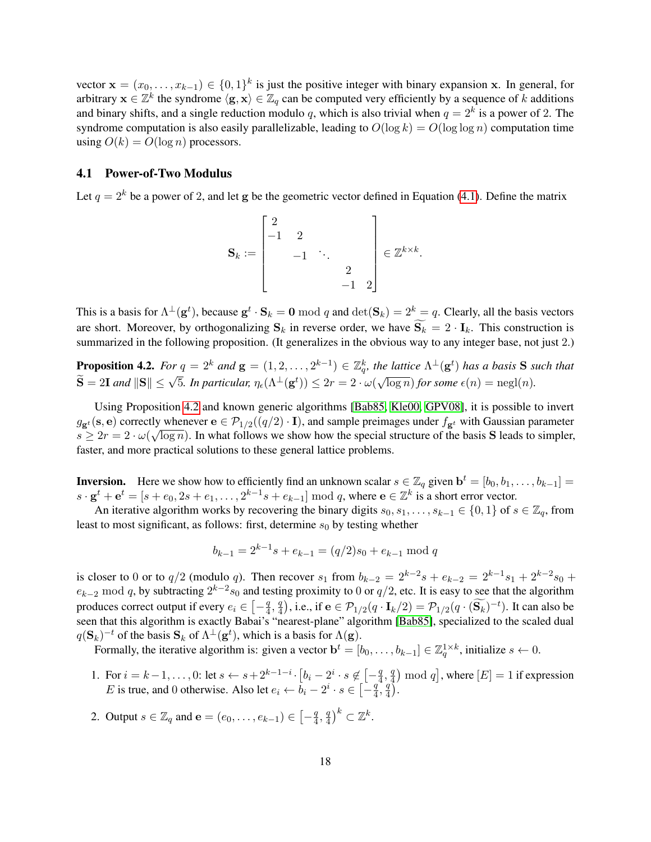vector  $\mathbf{x} = (x_0, \dots, x_{k-1}) \in \{0,1\}^k$  is just the positive integer with binary expansion x. In general, for arbitrary  $x \in \mathbb{Z}^k$  the syndrome  $\langle g, x \rangle \in \mathbb{Z}_q$  can be computed very efficiently by a sequence of k additions and binary shifts, and a single reduction modulo q, which is also trivial when  $q = 2^k$  is a power of 2. The syndrome computation is also easily parallelizable, leading to  $O(\log k) = O(\log \log n)$  computation time using  $O(k) = O(\log n)$  processors.

### 4.1 Power-of-Two Modulus

Let  $q = 2^k$  be a power of 2, and let g be the geometric vector defined in Equation [\(4.1\)](#page-16-0). Define the matrix

$$
\mathbf{S}_k := \begin{bmatrix} 2 \\ -1 & 2 \\ & -1 & \ddots \\ & & 2 \\ & & -1 & 2 \end{bmatrix} \in \mathbb{Z}^{k \times k}.
$$

This is a basis for  $\Lambda^{\perp}(\mathbf{g}^t)$ , because  $\mathbf{g}^t \cdot \mathbf{S}_k = \mathbf{0} \bmod q$  and  $\det(\mathbf{S}_k) = 2^k = q$ . Clearly, all the basis vectors are short. Moreover, by orthogonalizing  $S_k$  in reverse order, we have  $\widetilde{S_k} = 2 \cdot I_k$ . This construction is summarized in the following proposition. (It generalizes in the obvious way to any integer base, not just 2.)

<span id="page-17-0"></span>**Proposition 4.2.** For  $q = 2^k$  and  $\mathbf{g} = (1, 2, \ldots, 2^{k-1}) \in \mathbb{Z}_q^k$ , the lattice  $\Lambda^{\perp}(\mathbf{g}^t)$  has a basis S such that  $\widetilde{\mathbf{S}} = 2\mathbf{I}$  *and*  $\|\mathbf{S}\| \le \sqrt{5}$ . In particular,  $\eta_{\epsilon}(\Lambda^{\perp}(\mathbf{g}^t)) \le 2r = 2 \cdot \omega(n)$ √  $\overline{\log n}$ *) for some*  $\epsilon(n) = \text{negl}(n)$ *.* 

Using Proposition [4.2](#page-17-0) and known generic algorithms [\[Bab85,](#page-37-9) [Kle00,](#page-38-7) [GPV08\]](#page-38-0), it is possible to invert  $g_{\mathbf{g}^t}(\mathbf{s}, \mathbf{e})$  correctly whenever  $\mathbf{e} \in \mathcal{P}_{1/2}((q/2) \cdot \mathbf{I})$ , and sample preimages under  $f_{\mathbf{g}^t}$  with Gaussian parameter  $s \ge 2r = 2 \cdot \omega(\sqrt{\log n})$ . In what follows we show how the special structure of the basis **S** leads to simpler, faster, and more practical solutions to these general lattice problems.

**Inversion.** Here we show how to efficiently find an unknown scalar  $s \in \mathbb{Z}_q$  given  $\mathbf{b}^t = [b_0, b_1, \dots, b_{k-1}] =$  $s \cdot \mathbf{g}^t + \mathbf{e}^t = [s + e_0, 2s + e_1, \dots, 2^{k-1}s + e_{k-1}] \bmod q$ , where  $\mathbf{e} \in \mathbb{Z}^k$  is a short error vector.

An iterative algorithm works by recovering the binary digits  $s_0, s_1, \ldots, s_{k-1} \in \{0, 1\}$  of  $s \in \mathbb{Z}_q$ , from least to most significant, as follows: first, determine  $s_0$  by testing whether

$$
b_{k-1} = 2^{k-1}s + e_{k-1} = (q/2)s_0 + e_{k-1} \bmod q
$$

is closer to 0 or to  $q/2$  (modulo q). Then recover  $s_1$  from  $b_{k-2} = 2^{k-2}s + e_{k-2} = 2^{k-1}s_1 + 2^{k-2}s_0 +$  $e_{k-2}$  mod q, by subtracting  $2^{k-2} s_0$  and testing proximity to 0 or  $q/2$ , etc. It is easy to see that the algorithm produces correct output if every  $e_i \in \left[-\frac{q}{4}\right]$  $\frac{q}{4}, \frac{q}{4}$  $\left(\frac{q}{4}\right)$ , i.e., if  $\mathbf{e} \in \mathcal{P}_{1/2}(q \cdot \mathbf{I}_k/2) = \mathcal{P}_{1/2}(q \cdot (\widetilde{\mathbf{S}_k})^{-t})$ . It can also be seen that this algorithm is exactly Babai's "nearest-plane" algorithm [\[Bab85\]](#page-37-9), specialized to the scaled dual  $q(S_k)^{-t}$  of the basis  $S_k$  of  $\Lambda^{\perp}(g^t)$ , which is a basis for  $\Lambda(g)$ .

Formally, the iterative algorithm is: given a vector  $\mathbf{b}^t = [b_0, \dots, b_{k-1}] \in \mathbb{Z}_q^{1 \times k}$ , initialize  $s \leftarrow 0$ .

- 1. For  $i = k-1, ..., 0$ : let  $s \leftarrow s+2^{k-1-i} \cdot [b_i 2^i \cdot s \notin [-\frac{q}{4}]$  $\frac{q}{4}, \frac{q}{4}$  $\left(\frac{q}{4}\right) \bmod q$ , where  $[E]=1$  if expression E is true, and 0 otherwise. Also let  $e_i \leftarrow \overline{b}_i - 2^i \cdot s \in \left[-\frac{q}{4}\right]$  $\frac{q}{4}$ ,  $\frac{q}{4}$  $\frac{q}{4}$ .
- 2. Output  $s \in \mathbb{Z}_q$  and  $e = (e_0, \dots, e_{k-1}) \in \left[ -\frac{q}{4} \right]$  $\frac{q}{4}, \frac{q}{4}$  $\left(\frac{q}{4}\right)^k \subset \mathbb{Z}^k$ .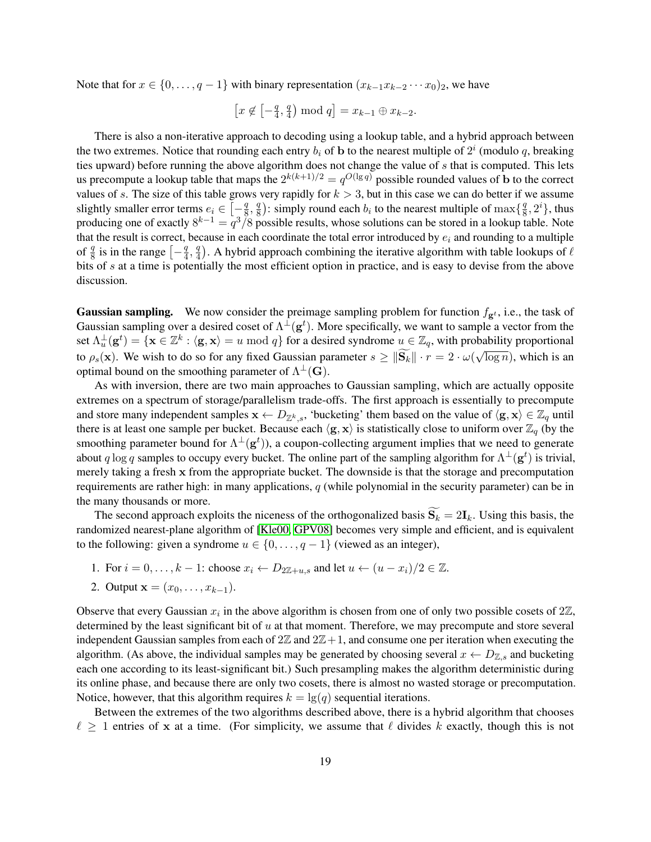Note that for  $x \in \{0, \ldots, q-1\}$  with binary representation  $(x_{k-1}x_{k-2} \cdots x_0)_2$ , we have

$$
[x \notin \left[-\frac{q}{4}, \frac{q}{4}\right) \mod q] = x_{k-1} \oplus x_{k-2}.
$$

There is also a non-iterative approach to decoding using a lookup table, and a hybrid approach between the two extremes. Notice that rounding each entry  $b_i$  of b to the nearest multiple of  $2^i$  (modulo q, breaking ties upward) before running the above algorithm does not change the value of s that is computed. This lets us precompute a lookup table that maps the  $2^{k(k+1)/2} = q^{O(\lg q)}$  possible rounded values of b to the correct values of s. The size of this table grows very rapidly for  $k > 3$ , but in this case we can do better if we assume slightly smaller error terms  $e_i \in \left[-\frac{q}{8}\right]$  $\frac{q}{8}, \frac{q}{8}$  $\frac{q}{8}$ ): simply round each  $b_i$  to the nearest multiple of  $\max\{\frac{q}{8}\}$  $\frac{q}{8}, 2^i\},$  thus producing one of exactly  $8^{k-1} = q^3/8$  possible results, whose solutions can be stored in a lookup table. Note that the result is correct, because in each coordinate the total error introduced by  $e_i$  and rounding to a multiple of  $\frac{q}{8}$  is in the range  $\left[-\frac{q}{4}\right]$  $\frac{q}{4}, \frac{q}{4}$  $\frac{q}{4}$ ). A hybrid approach combining the iterative algorithm with table lookups of  $\ell$ bits of s at a time is potentially the most efficient option in practice, and is easy to devise from the above discussion.

**Gaussian sampling.** We now consider the preimage sampling problem for function  $f_{g<sup>t</sup>}$ , i.e., the task of Gaussian sampling over a desired coset of  $\Lambda^{\perp}(\mathbf{g}^t)$ . More specifically, we want to sample a vector from the set  $\Lambda_u^{\perp}(\mathbf{g}^t) = \{\mathbf{x} \in \mathbb{Z}^k : \langle \mathbf{g}, \mathbf{x} \rangle = u \bmod q\}$  for a desired syndrome  $u \in \mathbb{Z}_q$ , with probability proportional to  $\rho_s(\mathbf{x})$ . We wish to do so for any fixed Gaussian parameter  $s \ge ||\mathbf{S}_k|| \cdot r = 2 \cdot \omega$ √  $\overline{\log n}$ ), which is an optimal bound on the smoothing parameter of  $\Lambda^{\perp}(\mathbf{G})$ .

As with inversion, there are two main approaches to Gaussian sampling, which are actually opposite extremes on a spectrum of storage/parallelism trade-offs. The first approach is essentially to precompute and store many independent samples  $\mathbf{x} \leftarrow D_{\mathbb{Z}^k, s}$ , 'bucketing' them based on the value of  $\langle \mathbf{g}, \mathbf{x} \rangle \in \mathbb{Z}_q$  until there is at least one sample per bucket. Because each  $\langle g, x \rangle$  is statistically close to uniform over  $\mathbb{Z}_q$  (by the smoothing parameter bound for  $\Lambda^{\perp}(\mathbf{g}^t)$ ), a coupon-collecting argument implies that we need to generate about q log q samples to occupy every bucket. The online part of the sampling algorithm for  $\Lambda^{\perp}(\mathbf{g}^t)$  is trivial, merely taking a fresh x from the appropriate bucket. The downside is that the storage and precomputation requirements are rather high: in many applications, q (while polynomial in the security parameter) can be in the many thousands or more.

The second approach exploits the niceness of the orthogonalized basis  $\widetilde{S_k} = 2I_k$ . Using this basis, the randomized nearest-plane algorithm of [\[Kle00,](#page-38-7) [GPV08\]](#page-38-0) becomes very simple and efficient, and is equivalent to the following: given a syndrome  $u \in \{0, \ldots, q-1\}$  (viewed as an integer),

- 1. For  $i = 0, \ldots, k 1$ : choose  $x_i \leftarrow D_{2\mathbb{Z}+\mu,s}$  and let  $u \leftarrow (u x_i)/2 \in \mathbb{Z}$ .
- 2. Output  $\mathbf{x} = (x_0, \dots, x_{k-1}).$

Observe that every Gaussian  $x_i$  in the above algorithm is chosen from one of only two possible cosets of  $2\mathbb{Z}$ , determined by the least significant bit of  $u$  at that moment. Therefore, we may precompute and store several independent Gaussian samples from each of  $2\mathbb{Z}$  and  $2\mathbb{Z}+1$ , and consume one per iteration when executing the algorithm. (As above, the individual samples may be generated by choosing several  $x \leftarrow D_{\mathbb{Z},s}$  and bucketing each one according to its least-significant bit.) Such presampling makes the algorithm deterministic during its online phase, and because there are only two cosets, there is almost no wasted storage or precomputation. Notice, however, that this algorithm requires  $k = \lg(q)$  sequential iterations.

Between the extremes of the two algorithms described above, there is a hybrid algorithm that chooses  $\ell \geq 1$  entries of x at a time. (For simplicity, we assume that  $\ell$  divides k exactly, though this is not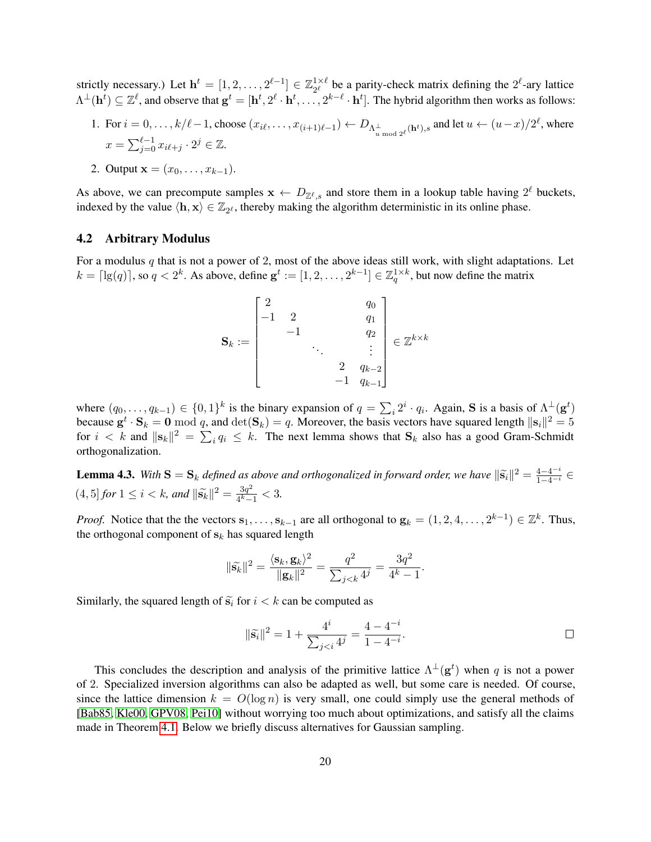strictly necessary.) Let  $h^t = [1, 2, ..., 2^{\ell-1}] \in \mathbb{Z}_{2^{\ell}}^{1 \times \ell}$  $2^{\ell}$  be a parity-check matrix defining the  $2^{\ell}$ -ary lattice  $\Lambda^{\perp}(\mathbf{h}^t) \subseteq \mathbb{Z}^{\ell}$ , and observe that  $\mathbf{g}^t = [\mathbf{h}^t, 2^{\ell} \cdot \mathbf{h}^t, \dots, 2^{k-\ell} \cdot \mathbf{h}^t]$ . The hybrid algorithm then works as follows:

- 1. For  $i = 0, \ldots, k/\ell 1$ , choose  $(x_{i\ell}, \ldots, x_{(i+1)\ell-1}) \leftarrow D_{\Lambda_{u \mod 2^{\ell}}}$  (ht),s and let  $u \leftarrow (u-x)/2^{\ell}$ , where  $x = \sum_{j=0}^{\ell-1} x_{i\ell+j} \cdot 2^j \in \mathbb{Z}$ .
- 2. Output  $x = (x_0, \ldots, x_{k-1}).$

As above, we can precompute samples  $x \leftarrow D_{\mathbb{Z}^{\ell},s}$  and store them in a lookup table having  $2^{\ell}$  buckets, indexed by the value  $\langle \mathbf{h}, \mathbf{x} \rangle \in \mathbb{Z}_{2^{\ell}}$ , thereby making the algorithm deterministic in its online phase.

### 4.2 Arbitrary Modulus

For a modulus  $q$  that is not a power of 2, most of the above ideas still work, with slight adaptations. Let  $k = \lceil \lg(q) \rceil$ , so  $q < 2^k$ . As above, define  $\mathbf{g}^t := [1, 2, \ldots, 2^{k-1}] \in \mathbb{Z}_q^{1 \times k}$ , but now define the matrix

$$
\mathbf{S}_k := \begin{bmatrix} 2 & & & q_0 \\ -1 & 2 & & q_1 \\ & -1 & & q_2 \\ & & \ddots & & \vdots \\ & & & 2 & q_{k-2} \\ & & & & -1 & q_{k-1} \end{bmatrix} \in \mathbb{Z}^{k \times k}
$$

where  $(q_0, \ldots, q_{k-1}) \in \{0,1\}^k$  is the binary expansion of  $q = \sum_i 2^i \cdot q_i$ . Again, S is a basis of  $\Lambda^{\perp}(\mathbf{g}^t)$ because  $\mathbf{g}^t \cdot \mathbf{S}_k = \mathbf{0} \bmod q$ , and  $\det(\mathbf{S}_k) = q$ . Moreover, the basis vectors have squared length  $\|\mathbf{s}_i\|^2 = 5$ for  $i < k$  and  $||\mathbf{s}_k||^2 = \sum_i q_i \leq k$ . The next lemma shows that  $\mathbf{S}_k$  also has a good Gram-Schmidt orthogonalization.

<span id="page-19-0"></span>**Lemma 4.3.** With  $S = S_k$  defined as above and orthogonalized in forward order, we have  $\|\tilde{s_i}\|^2 = \frac{4-4^{-i}}{1-4^{-i}} \in$  $(4, 5]$  *for*  $1 \le i < k$ *, and*  $\|\widetilde{\mathbf{s}_{k}}\|^{2} = \frac{3q^{2}}{4^{k}-1}$  $\frac{3q^2}{4^k-1} < 3.$ 

*Proof.* Notice that the the vectors  $\mathbf{s}_1, \ldots, \mathbf{s}_{k-1}$  are all orthogonal to  $\mathbf{g}_k = (1, 2, 4, \ldots, 2^{k-1}) \in \mathbb{Z}^k$ . Thus, the orthogonal component of  $s_k$  has squared length

$$
\|\widetilde{\mathbf{s}}_k\|^2 = \frac{\langle \mathbf{s}_k, \mathbf{g}_k \rangle^2}{\|\mathbf{g}_k\|^2} = \frac{q^2}{\sum_{j < k} 4^j} = \frac{3q^2}{4^k - 1}.
$$

Similarly, the squared length of  $\tilde{s_i}$  for  $i < k$  can be computed as

$$
\|\tilde{\mathbf{s}}_i\|^2 = 1 + \frac{4^i}{\sum_{j
$$

This concludes the description and analysis of the primitive lattice  $\Lambda^{\perp}(\mathbf{g}^t)$  when q is not a power of 2. Specialized inversion algorithms can also be adapted as well, but some care is needed. Of course, since the lattice dimension  $k = O(\log n)$  is very small, one could simply use the general methods of [\[Bab85,](#page-37-9) [Kle00,](#page-38-7) [GPV08,](#page-38-0) [Pei10\]](#page-39-5) without worrying too much about optimizations, and satisfy all the claims made in Theorem [4.1.](#page-15-1) Below we briefly discuss alternatives for Gaussian sampling.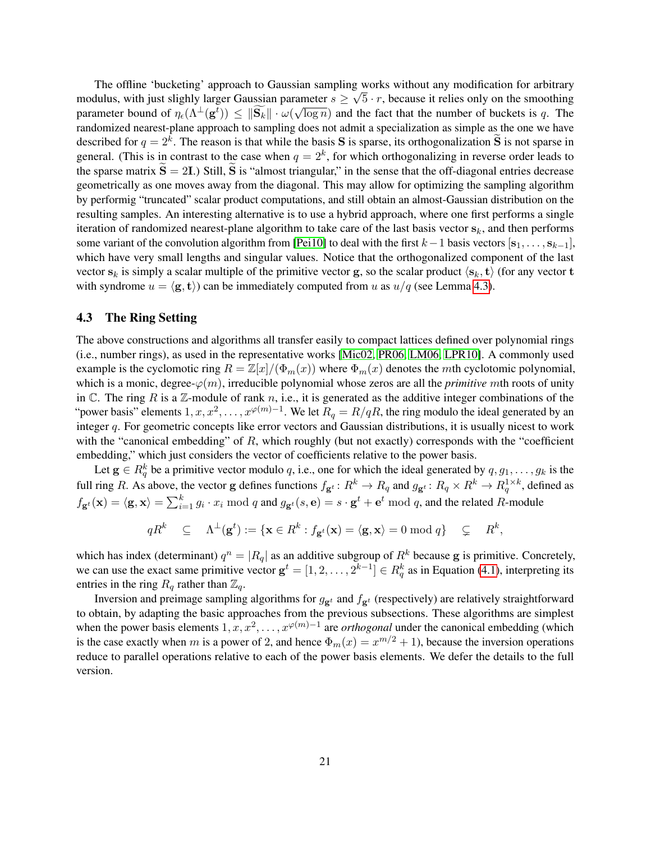The offline 'bucketing' approach to Gaussian sampling works without any modification for arbitrary modulus, with just slighly larger Gaussian parameter  $s \ge \sqrt{5} \cdot r$ , because it relies only on the smoothing parameter bound of  $\eta_{\epsilon}(\Lambda^{\perp}(\mathbf{g}^t)) \leq ||\mathbf{S}_k|| \cdot \omega(\sqrt{\log n})$  and the fact that the number of buckets is q. The randomized nearest-plane approach to sampling does not admit a specialization as simple as the one we have described for  $q = 2^k$ . The reason is that while the basis **S** is sparse, its orthogonalization **S** is not sparse in general. (This is in contrast to the case when  $q = 2<sup>k</sup>$ , for which orthogonalizing in reverse order leads to the sparse matrix  $\hat{S} = 2I$ .) Still,  $\hat{S}$  is "almost triangular," in the sense that the off-diagonal entries decrease geometrically as one moves away from the diagonal. This may allow for optimizing the sampling algorithm by performig "truncated" scalar product computations, and still obtain an almost-Gaussian distribution on the resulting samples. An interesting alternative is to use a hybrid approach, where one first performs a single iteration of randomized nearest-plane algorithm to take care of the last basis vector  $s_k$ , and then performs some variant of the convolution algorithm from [\[Pei10\]](#page-39-5) to deal with the first  $k-1$  basis vectors  $[s_1, \ldots, s_{k-1}],$ which have very small lengths and singular values. Notice that the orthogonalized component of the last vector  $s_k$  is simply a scalar multiple of the primitive vector g, so the scalar product  $\langle s_k, t \rangle$  (for any vector t with syndrome  $u = \langle g, t \rangle$  can be immediately computed from u as  $u/q$  (see Lemma [4.3\)](#page-19-0).

### <span id="page-20-0"></span>4.3 The Ring Setting

The above constructions and algorithms all transfer easily to compact lattices defined over polynomial rings (i.e., number rings), as used in the representative works [\[Mic02,](#page-39-8) [PR06,](#page-39-9) [LM06,](#page-38-9) [LPR10\]](#page-38-11). A commonly used example is the cyclomotic ring  $R = \mathbb{Z}[x]/(\Phi_m(x))$  where  $\Phi_m(x)$  denotes the mth cyclotomic polynomial, which is a monic, degree- $\varphi(m)$ , irreducible polynomial whose zeros are all the *primitive* mth roots of unity in  $\mathbb C$ . The ring R is a Z-module of rank n, i.e., it is generated as the additive integer combinations of the "power basis" elements  $1, x, x^2, \ldots, x^{\varphi(m)-1}$ . We let  $R_q = R/qR$ , the ring modulo the ideal generated by an integer q. For geometric concepts like error vectors and Gaussian distributions, it is usually nicest to work with the "canonical embedding" of R, which roughly (but not exactly) corresponds with the "coefficient embedding," which just considers the vector of coefficients relative to the power basis.

Let  $g \in R_q^k$  be a primitive vector modulo q, i.e., one for which the ideal generated by  $q, g_1, \ldots, g_k$  is the full ring R. As above, the vector g defines functions  $f_{g^t}: R^k \to R_q$  and  $g_{g^t}: R_q \times R^k \to R_q^{1 \times k}$ , defined as  $f_{\mathbf{g}^t}(\mathbf{x}) = \langle \mathbf{g}, \mathbf{x} \rangle = \sum_{i=1}^k g_i \cdot x_i \bmod q$  and  $g_{\mathbf{g}^t}(s, \mathbf{e}) = s \cdot \mathbf{g}^t + \mathbf{e}^t \bmod q$ , and the related R-module

$$
qR^k \quad \subseteq \quad \Lambda^{\perp}(\mathbf{g}^t):=\{\mathbf{x}\in R^k: f_{\mathbf{g}^t}(\mathbf{x})=\langle \mathbf{g}, \mathbf{x}\rangle=0 \bmod q\} \quad \subsetneq \quad R^k,
$$

which has index (determinant)  $q^n = |R_q|$  as an additive subgroup of  $R^k$  because g is primitive. Concretely, we can use the exact same primitive vector  $g^t = [1, 2, ..., 2^{k-1}] \in R_q^k$  as in Equation [\(4.1\)](#page-16-0), interpreting its entries in the ring  $R_q$  rather than  $\mathbb{Z}_q$ .

Inversion and preimage sampling algorithms for  $g_{\mathbf{g}^t}$  and  $f_{\mathbf{g}^t}$  (respectively) are relatively straightforward to obtain, by adapting the basic approaches from the previous subsections. These algorithms are simplest when the power basis elements  $1, x, x^2, \ldots, x^{\varphi(m)-1}$  are *orthogonal* under the canonical embedding (which is the case exactly when m is a power of 2, and hence  $\Phi_m(x) = x^{m/2} + 1$ , because the inversion operations reduce to parallel operations relative to each of the power basis elements. We defer the details to the full version.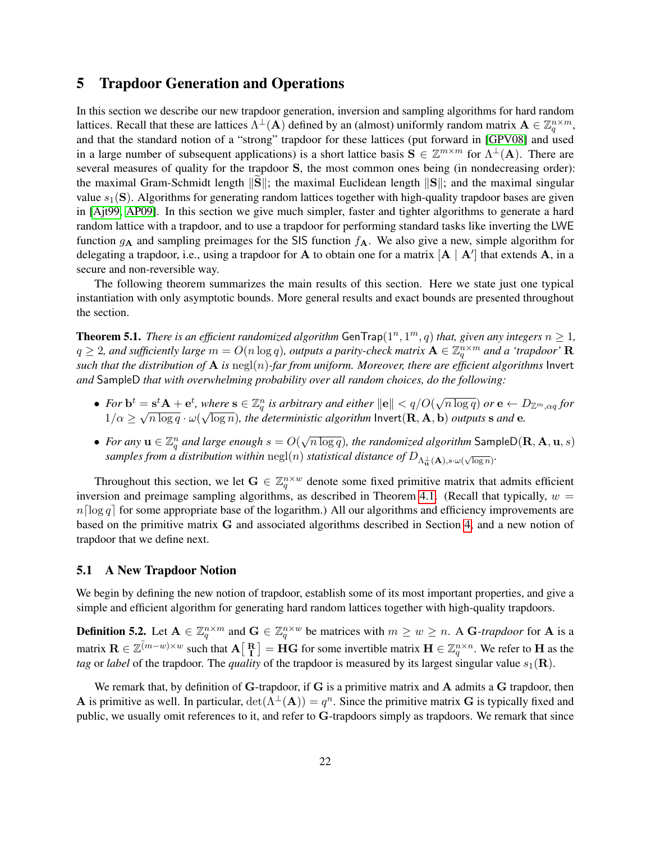# <span id="page-21-0"></span>5 Trapdoor Generation and Operations

In this section we describe our new trapdoor generation, inversion and sampling algorithms for hard random lattices. Recall that these are lattices  $\Lambda^{\perp}(A)$  defined by an (almost) uniformly random matrix  $A \in \mathbb{Z}_q^{n \times m}$ , and that the standard notion of a "strong" trapdoor for these lattices (put forward in [\[GPV08\]](#page-38-0) and used in a large number of subsequent applications) is a short lattice basis  $S \in \mathbb{Z}^{m \times m}$  for  $\Lambda^{\perp}(A)$ . There are several measures of quality for the trapdoor S, the most common ones being (in nondecreasing order): the maximal Gram-Schmidt length  $||S||$ ; the maximal Euclidean length  $||S||$ ; and the maximal singular value  $s_1(S)$ . Algorithms for generating random lattices together with high-quality trapdoor bases are given in [\[Ajt99,](#page-37-7) [AP09\]](#page-37-8). In this section we give much simpler, faster and tighter algorithms to generate a hard random lattice with a trapdoor, and to use a trapdoor for performing standard tasks like inverting the LWE function  $g_A$  and sampling preimages for the SIS function  $f_A$ . We also give a new, simple algorithm for delegating a trapdoor, i.e., using a trapdoor for A to obtain one for a matrix  $[A \mid A']$  that extends A, in a secure and non-reversible way.

The following theorem summarizes the main results of this section. Here we state just one typical instantiation with only asymptotic bounds. More general results and exact bounds are presented throughout the section.

**Theorem 5.1.** There is an efficient randomized algorithm GenTrap $(1^n, 1^m, q)$  that, given any integers  $n \geq 1$ ,  $q\geq 2$ , and sufficiently large  $m=O(n\log q)$ , outputs a parity-check matrix  $\mathbf{A}\in \mathbb{Z}_q^{n\times m}$  and a 'trapdoor'  $\mathbf{R}$ *such that the distribution of*  $\bf{A}$  *is* negl(n)-far from uniform. Moreover, there are efficient algorithms Invert *and* SampleD *that with overwhelming probability over all random choices, do the following:*

- For  $\mathbf{b}^t = \mathbf{s}^t \mathbf{A} + \mathbf{e}^t$ , where  $\mathbf{s} \in \mathbb{Z}_q^n$  is arbitrary and either  $\|\mathbf{e}\| < q/O($ √  $\overline{n \log q})$   $or$   ${\bf e} \leftarrow D_{{\mathbb Z}^m, \alpha q}$  for  $1/\alpha \geq$ √  $\overline{n \log q} \cdot \omega($ w!  $\overline{\log n}$ )*, the deterministic algorithm*  ${\sf Invert}({\bf R},{\bf A},{\bf b})$  *outputs* **s** and **e**.
- For any  $\mathbf{u} \in \mathbb{Z}_q^n$  and large enough  $s = O(n)$ √  $\overline{n \log q}$ )*, the randomized algorithm* <code>SampleD( $\mathbf{R}, \mathbf{A}, \mathbf{u}, s)$ </code>  $samples$  *from a distribution within*  $\mathrm{negl}(n)$  *statistical distance of*  $D_{\Lambda_{\mathbf{u}}^{\perp}(\mathbf{A}),s\cdot\omega(\sqrt{\log n})}$ .

Throughout this section, we let  $G \in \mathbb{Z}_q^{n \times w}$  denote some fixed primitive matrix that admits efficient inversion and preimage sampling algorithms, as described in Theorem [4.1.](#page-15-1) (Recall that typically,  $w =$  $n\lceil \log q \rceil$  for some appropriate base of the logarithm.) All our algorithms and efficiency improvements are based on the primitive matrix G and associated algorithms described in Section [4,](#page-15-2) and a new notion of trapdoor that we define next.

#### 5.1 A New Trapdoor Notion

We begin by defining the new notion of trapdoor, establish some of its most important properties, and give a simple and efficient algorithm for generating hard random lattices together with high-quality trapdoors.

<span id="page-21-1"></span>**Definition 5.2.** Let  $A \in \mathbb{Z}_q^{n \times m}$  and  $G \in \mathbb{Z}_q^{n \times w}$  be matrices with  $m \geq w \geq n$ . A G-trapdoor for A is a matrix  $\mathbf{R} \in \mathbb{Z}^{(m-w)\times w}$  such that  $\mathbf{A}[\begin{bmatrix} \mathbf{R} \\ \mathbf{I} \end{bmatrix}]=\dot{\mathbf{H}}\mathbf{G}$  for some invertible matrix  $\mathbf{H} \in \mathbb{Z}_q^{n\times n}$ . We refer to  $\mathbf{H}$  as the *tag* or *label* of the trapdoor. The *quality* of the trapdoor is measured by its largest singular value  $s_1(\mathbf{R})$ .

We remark that, by definition of  $G$ -trapdoor, if  $G$  is a primitive matrix and  $A$  admits a  $G$  trapdoor, then A is primitive as well. In particular,  $\det(\Lambda^{\perp}(A)) = q^n$ . Since the primitive matrix G is typically fixed and public, we usually omit references to it, and refer to G-trapdoors simply as trapdoors. We remark that since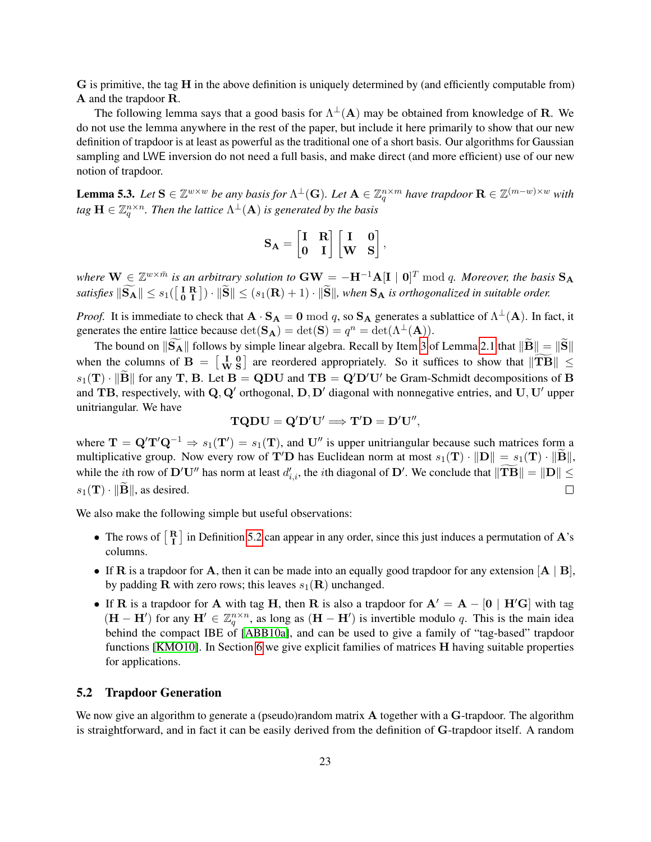G is primitive, the tag H in the above definition is uniquely determined by (and efficiently computable from) A and the trapdoor R.

The following lemma says that a good basis for  $\Lambda^{\perp}(A)$  may be obtained from knowledge of R. We do not use the lemma anywhere in the rest of the paper, but include it here primarily to show that our new definition of trapdoor is at least as powerful as the traditional one of a short basis. Our algorithms for Gaussian sampling and LWE inversion do not need a full basis, and make direct (and more efficient) use of our new notion of trapdoor.

<span id="page-22-0"></span>**Lemma 5.3.** Let  $S \in \mathbb{Z}^{w \times w}$  be any basis for  $\Lambda^{\perp}(G)$ . Let  $A \in \mathbb{Z}_q^{n \times m}$  have trapdoor  $R \in \mathbb{Z}^{(m-w) \times w}$  with tag  $\mathbf{H} \in \mathbb{Z}_q^{n \times n}$ . Then the lattice  $\Lambda^\perp(\mathbf{A})$  is generated by the basis

$$
\mathbf{S_A} = \begin{bmatrix} \mathbf{I} & \mathbf{R} \\ \mathbf{0} & \mathbf{I} \end{bmatrix} \begin{bmatrix} \mathbf{I} & \mathbf{0} \\ \mathbf{W} & \mathbf{S} \end{bmatrix},
$$

where  $\bf W\in\mathbb Z^{w\times\bar m}$  is an arbitrary solution to  $\bf GW=-H^{-1}A[I \mid 0]^T$  mod q. Moreover, the basis  $\bf S_A$  $satisfies$   $\|\widetilde{\bf S}_{\bf A}\| \leq s_1(\begin{bmatrix} {\bf I} \ {\bf B} \ {\bf I} \end{bmatrix}) \cdot \|\widetilde{\bf S}\| \leq (s_1({\bf R})+1) \cdot \|\widetilde{\bf S}\|$ , when  ${\bf S}_{\bf A}$  is orthogonalized in suitable order.

*Proof.* It is immediate to check that  $\mathbf{A} \cdot \mathbf{S_A} = \mathbf{0} \bmod q$ , so  $\mathbf{S_A}$  generates a sublattice of  $\Lambda^{\perp}(\mathbf{A})$ . In fact, it generates the entire lattice because  $\det(S_A) = \det(S) = q^n = \det(\Lambda^{\perp}(A)).$ 

The bound on  $\|\tilde{S_A}\|$  follows by simple linear algebra. Recall by Item [3](#page-9-0) of Lemma [2.1](#page-9-1) that  $\|\tilde{B}\| = \|\tilde{S}\|$ when the columns of  $B = \begin{bmatrix} I & 0 \\ W & S \end{bmatrix}$  are reordered appropriately. So it suffices to show that  $\|\mathbf{T}\mathbf{B}\| \leq$  $s_1(T)$  ·  $\|\tilde{\mathbf{B}}\|$  for any T, B. Let  $\mathbf{B} = \mathbf{Q} \mathbf{D} \mathbf{U}$  and  $\mathbf{T} \mathbf{B} = \mathbf{Q}' \mathbf{D}' \mathbf{U}'$  be Gram-Schmidt decompositions of B and TB, respectively, with  $\mathbf{Q}, \mathbf{Q}'$  orthogonal,  $\mathbf{D}, \mathbf{D}'$  diagonal with nonnegative entries, and  $\mathbf{U}, \mathbf{U}'$  upper unitriangular. We have

$$
\mathbf{TQDU}=\mathbf{Q}'\mathbf{D}'\mathbf{U}' \Longrightarrow \mathbf{T}'\mathbf{D}=\mathbf{D}'\mathbf{U}'',
$$

where  $T = Q'T'Q^{-1} \Rightarrow s_1(T') = s_1(T)$ , and U'' is upper unitriangular because such matrices form a multiplicative group. Now every row of T'D has Euclidean norm at most  $s_1(T) \cdot ||D|| = s_1(T) \cdot ||B||$ , while the *i*th row of D'U" has norm at least  $d'_{i,i}$ , the *i*th diagonal of D'. We conclude that  $\|\mathbf{T}\mathbf{B}\| = \|\mathbf{D}\| \leq \frac{1}{2}$  $s_1(\mathbf{T}) \cdot ||\mathbf{B}||$ , as desired.

We also make the following simple but useful observations:

- The rows of  $\begin{bmatrix} R \\ I \end{bmatrix}$  in Definition [5.2](#page-21-1) can appear in any order, since this just induces a permutation of  $A$ 's columns.
- If  $\bf{R}$  is a trapdoor for  $\bf{A}$ , then it can be made into an equally good trapdoor for any extension  $\bf{[A \mid B]}$ , by padding **R** with zero rows; this leaves  $s_1(\mathbf{R})$  unchanged.
- If **R** is a trapdoor for **A** with tag **H**, then **R** is also a trapdoor for  $A' = A [0 | H'G]$  with tag  $(H - H')$  for any  $H' \in \mathbb{Z}_q^{n \times n}$ , as long as  $(H - H')$  is invertible modulo q. This is the main idea behind the compact IBE of [\[ABB10a\]](#page-36-0), and can be used to give a family of "tag-based" trapdoor functions [\[KMO10\]](#page-38-15). In Section [6](#page-29-0) we give explicit families of matrices H having suitable properties for applications.

#### 5.2 Trapdoor Generation

We now give an algorithm to generate a (pseudo)random matrix **A** together with a **G**-trapdoor. The algorithm is straightforward, and in fact it can be easily derived from the definition of G-trapdoor itself. A random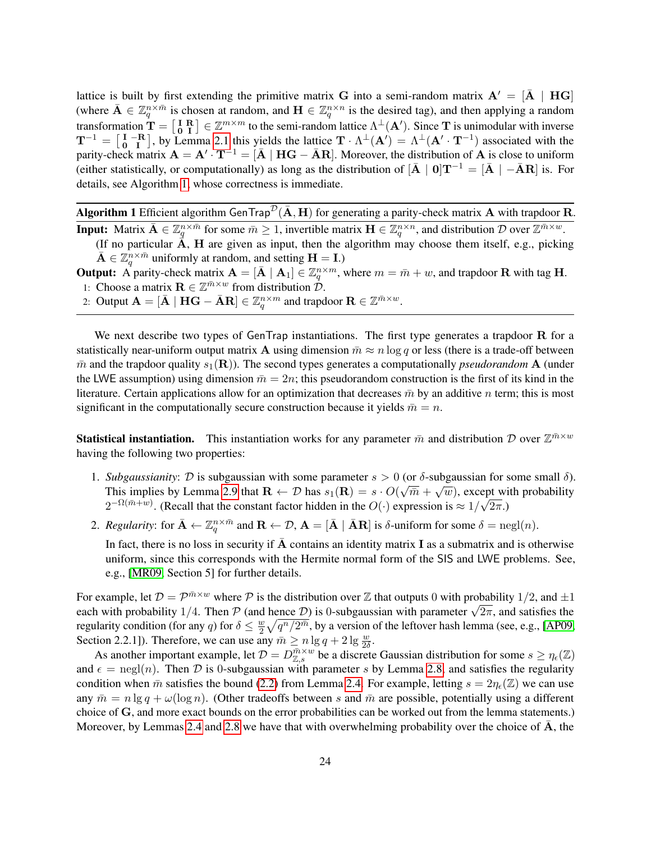lattice is built by first extending the primitive matrix G into a semi-random matrix  $A' = [\bar{A} \mid HG]$ (where  $\bar{\mathbf{A}} \in \mathbb{Z}_q^{n \times \bar{m}}$  is chosen at random, and  $\mathbf{H} \in \mathbb{Z}_q^{n \times n}$  is the desired tag), and then applying a random transformation  $\mathbf{T} = \begin{bmatrix} \mathbf{I} & \mathbf{R} \\ \mathbf{0} & \mathbf{I} \end{bmatrix} \in \mathbb{Z}^{m \times m}$  to the semi-random lattice  $\Lambda^{\perp}(\mathbf{A}')$ . Since T is unimodular with inverse  $T^{-1} = \begin{bmatrix} I & -R \\ 0 & I \end{bmatrix}$ , by Lemma [2.1](#page-9-1) this yields the lattice  $T \cdot \Lambda^{\perp}(A') = \Lambda^{\perp}(A' \cdot T^{-1})$  associated with the parity-check matrix  $\mathbf{A} = \mathbf{A}' \cdot \mathbf{T}^{-1} = [\bar{\mathbf{A}} \mid \mathbf{H}\mathbf{G} - \bar{\mathbf{A}}\mathbf{R}]$ . Moreover, the distribution of  $\mathbf{A}$  is close to uniform (either statistically, or computationally) as long as the distribution of  $\begin{bmatrix} \bar{\mathbf{A}} & 0 \end{bmatrix} \mathbf{T}^{-1} = \begin{bmatrix} \bar{\mathbf{A}} & -\bar{\mathbf{A}} \mathbf{R} \end{bmatrix}$  is. For details, see Algorithm [1,](#page-23-0) whose correctness is immediate.

**Algorithm 1** Efficient algorithm GenTrap<sup> $\mathcal{D}(\bar{\mathbf{A}}, \mathbf{H})$  for generating a parity-check matrix **A** with trapdoor **R**.</sup> **Input:** Matrix  $\bar{\mathbf{A}} \in \mathbb{Z}_q^{n \times \bar{m}}$  for some  $\bar{m} \geq 1$ , invertible matrix  $\mathbf{H} \in \mathbb{Z}_q^{n \times n}$ , and distribution  $\mathcal{D}$  over  $\mathbb{Z}^{\bar{m} \times w}$ .

<span id="page-23-0"></span>(If no particular  $\vec{A}$ , H are given as input, then the algorithm may choose them itself, e.g., picking  $\bar{\mathbf{A}} \in \mathbb{Z}_q^{n \times \bar{m}}$  uniformly at random, and setting  $\mathbf{H} = \mathbf{I}$ .)

**Output:** A parity-check matrix  $\mathbf{A} = [\bar{\mathbf{A}} \mid \mathbf{A}_1] \in \mathbb{Z}_q^{n \times m}$ , where  $m = \bar{m} + w$ , and trapdoor  $\mathbf{R}$  with tag  $\mathbf{H}$ . 1: Choose a matrix  $\mathbf{R} \in \mathbb{Z}^{\bar{m} \times w}$  from distribution  $\mathcal{D}$ .

2: Output  ${\bf A}=[\bar{\bf A}\mid {\bf H} {\bf G}-\bar{\bf A} {\bf R}]\in \mathbb{Z}_q^{n\times m}$  and trapdoor  ${\bf R}\in \mathbb{Z}^{\bar{m}\times w}.$ 

We next describe two types of GenTrap instantiations. The first type generates a trapdoor R for a statistically near-uniform output matrix **A** using dimension  $\bar{m} \approx n \log q$  or less (there is a trade-off between  $\bar{m}$  and the trapdoor quality  $s_1(\mathbf{R})$ ). The second types generates a computationally *pseudorandom* **A** (under the LWE assumption) using dimension  $\bar{m}=2n$ ; this pseudorandom construction is the first of its kind in the literature. Certain applications allow for an optimization that decreases  $\bar{m}$  by an additive n term; this is most significant in the computationally secure construction because it yields  $\bar{m} = n$ .

**Statistical instantiation.** This instantiation works for any parameter  $\bar{m}$  and distribution D over  $\mathbb{Z}^{\bar{m}\times w}$ having the following two properties:

- 1. *Subgaussianity*:  $\mathcal{D}$  is subgaussian with some parameter  $s > 0$  (or  $\delta$ -subgaussian for some small  $\delta$ ). Subguissiantly. D is subgaussian with some parameter  $s > 0$  (or o-subgaussian for some small of  $s$ ).<br>This implies by Lemma [2.9](#page-13-1) that  $\mathbf{R} \leftarrow \mathcal{D}$  has  $s_1(\mathbf{R}) = s \cdot O(\sqrt{\bar{m}} + \sqrt{w})$ , except with probability  $2^{-\Omega(\bar{m}+w)}$ . (Recall that the constant factor hidden in the  $O(\cdot)$  expression is  $\approx 1/$ √  $2\pi$ .)
- 2. *Regularity*: for  $\bar{\mathbf{A}} \leftarrow \mathbb{Z}_q^{n \times \bar{m}}$  and  $\mathbf{R} \leftarrow \mathcal{D}$ ,  $\mathbf{A} = [\bar{\mathbf{A}} \mid \bar{\mathbf{A}} \mathbf{R}]$  is  $\delta$ -uniform for some  $\delta = \text{negl}(n)$ .

In fact, there is no loss in security if  $A$  contains an identity matrix  $I$  as a submatrix and is otherwise uniform, since this corresponds with the Hermite normal form of the SIS and LWE problems. See, e.g., [\[MR09,](#page-39-7) Section 5] for further details.

For example, let  $\mathcal{D} = \mathcal{P}^{\bar{m} \times w}$  where  $\mathcal P$  is the distribution over  $\mathbb Z$  that outputs 0 with probability 1/2, and  $\pm 1$ For example, let  $D = P^{m+1}$  where P is the distribution over  $\mathbb Z$  that outputs 0 with probability  $1/2$ , and  $\pm 1$  each with probability  $1/4$ . Then P (and hence D) is 0-subgaussian with parameter  $\sqrt{2\pi}$ , and satisf regularity condition (for any q) for  $\delta \leq \frac{w}{2}$  $\frac{w}{2}\sqrt{q^n/2^{\bar m}}$ , by a version of the leftover hash lemma (see, e.g., [\[AP09,](#page-37-8) Section 2.2.1]). Therefore, we can use any  $\bar{m} \ge n \lg q + 2 \lg \frac{w}{2\delta}$ .

As another important example, let  $\mathcal{D} = D_{\mathbb{Z},s}^{\pi \times w}$  be a discrete Gaussian distribution for some  $s \geq \eta_{\epsilon}(\mathbb{Z})$ and  $\epsilon = \text{negl}(n)$ . Then D is 0-subgaussian with parameter s by Lemma [2.8,](#page-13-2) and satisfies the regularity condition when  $\bar{m}$  satisfies the bound [\(2.2\)](#page-11-1) from Lemma [2.4.](#page-11-2) For example, letting  $s = 2\eta_{\epsilon}(\mathbb{Z})$  we can use any  $\bar{m} = n \lg q + \omega(\log n)$ . (Other tradeoffs between s and  $\bar{m}$  are possible, potentially using a different choice of G, and more exact bounds on the error probabilities can be worked out from the lemma statements.) Moreover, by Lemmas [2.4](#page-11-2) and [2.8](#page-13-2) we have that with overwhelming probability over the choice of  $\bf{A}$ , the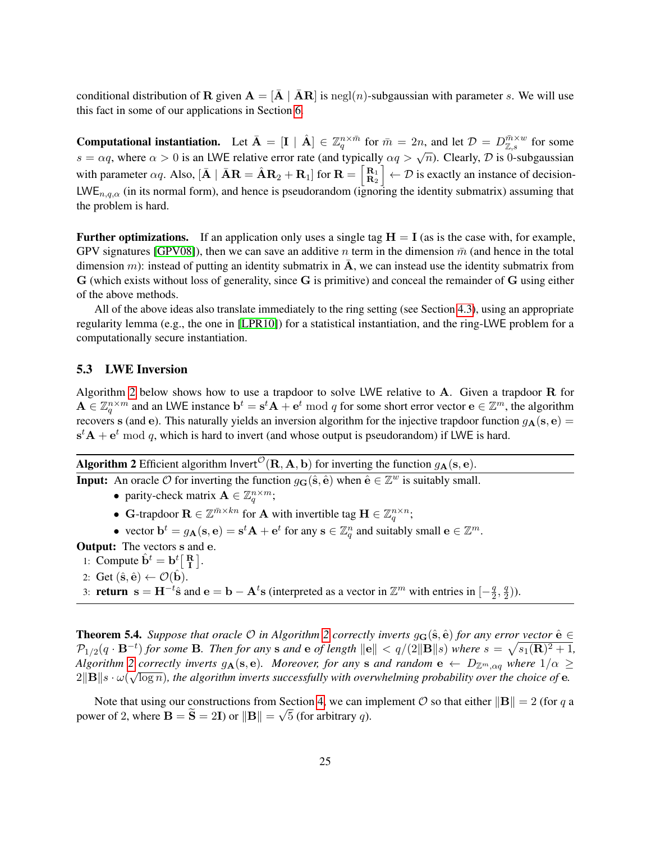conditional distribution of R given  $A = [\overline{A} \mid \overline{A}R]$  is negl(n)-subgaussian with parameter s. We will use this fact in some of our applications in Section [6.](#page-29-0)

**Computational instantiation.** Let  $\bar{\mathbf{A}} = [\mathbf{I} \mid \hat{\mathbf{A}}] \in \mathbb{Z}_q^{n \times \bar{m}}$  for  $\bar{m} = 2n$ , and let  $\mathcal{D} = D_{\mathbb{Z},s}^{\bar{m} \times w}$  for some  $s = \alpha q$ , where  $\alpha > 0$  is an LWE relative error rate (and typically  $\alpha q > \sqrt{n}$ ). Clearly, *D* is 0-subgaussian with parameter  $\alpha q$ . Also,  $[\bar{\mathbf{A}} \mid \bar{\mathbf{A}} \mathbf{R} = \hat{\mathbf{A}} \mathbf{R}_2 + \mathbf{R}_1]$  for  $\mathbf{R} = \begin{bmatrix} \mathbf{R}_1 \\ \mathbf{R}_2 \end{bmatrix}$  $\left\{\mathbf{R}_{1} \atop \mathbf{R}_{2}\right\} \leftarrow \mathcal{D}$  is exactly an instance of decision-LWE<sub>n,q, $\alpha$ </sub> (in its normal form), and hence is pseudorandom (ignoring the identity submatrix) assuming that the problem is hard.

**Further optimizations.** If an application only uses a single tag  $H = I$  (as is the case with, for example, GPV signatures [\[GPV08\]](#page-38-0)), then we can save an additive n term in the dimension  $\bar{m}$  (and hence in the total dimension m): instead of putting an identity submatrix in A, we can instead use the identity submatrix from G (which exists without loss of generality, since G is primitive) and conceal the remainder of G using either of the above methods.

All of the above ideas also translate immediately to the ring setting (see Section [4.3\)](#page-20-0), using an appropriate regularity lemma (e.g., the one in [\[LPR10\]](#page-38-11)) for a statistical instantiation, and the ring-LWE problem for a computationally secure instantiation.

### 5.3 LWE Inversion

Algorithm [2](#page-24-0) below shows how to use a trapdoor to solve LWE relative to A. Given a trapdoor R for  $\mathbf{A} \in \mathbb{Z}_q^{n \times m}$  and an LWE instance  $\mathbf{b}^t = \mathbf{s}^t \mathbf{A} + \mathbf{e}^t \bmod q$  for some short error vector  $\mathbf{e} \in \mathbb{Z}^m$ , the algorithm recovers s (and e). This naturally yields an inversion algorithm for the injective trapdoor function  $g_{\mathbf{A}}(\mathbf{s}, \mathbf{e}) =$  $\mathbf{s}^t \mathbf{A} + \mathbf{e}^t \bmod q$ , which is hard to invert (and whose output is pseudorandom) if LWE is hard.

Algorithm 2 Efficient algorithm Invert<sup> $\mathcal{O}(\mathbf{R}, \mathbf{A}, \mathbf{b})$  for inverting the function  $g_{\mathbf{A}}(\mathbf{s}, \mathbf{e})$ .</sup>

<span id="page-24-0"></span>**Input:** An oracle  $\hat{\mathcal{O}}$  for inverting the function  $g_{\mathbf{G}}(\hat{\mathbf{s}}, \hat{\mathbf{e}})$  when  $\hat{\mathbf{e}} \in \mathbb{Z}^w$  is suitably small.

- parity-check matrix  $\mathbf{A} \in \mathbb{Z}_q^{n \times m}$ ;
- G-trapdoor  $\mathbf{R} \in \mathbb{Z}^{\bar{m} \times kn}$  for A with invertible tag  $\mathbf{H} \in \mathbb{Z}_q^{n \times n}$ ;
- vector  $\mathbf{b}^t = g_\mathbf{A}(\mathbf{s}, \mathbf{e}) = \mathbf{s}^t \mathbf{A} + \mathbf{e}^t$  for any  $\mathbf{s} \in \mathbb{Z}_q^n$  and suitably small  $\mathbf{e} \in \mathbb{Z}^m$ .

Output: The vectors s and e.

- 1: Compute  $\hat{\mathbf{b}}^t = \mathbf{b}^t \begin{bmatrix} \mathbf{R} \\ \mathbf{I} \end{bmatrix}$ .
- 2: Get  $(\hat{\mathbf{s}}, \hat{\mathbf{e}}) \leftarrow \mathcal{O}(\hat{\mathbf{b}})$ .

3: **return**  $\mathbf{s} = \mathbf{H}^{-t}\hat{\mathbf{s}}$  and  $\mathbf{e} = \mathbf{b} - \mathbf{A}^t\mathbf{s}$  (interpreted as a vector in  $\mathbb{Z}^m$  with entries in  $\begin{bmatrix} -\frac{q}{2} \end{bmatrix}$  $\frac{q}{2}, \frac{q}{2}$  $\frac{q}{2})$ ).

Theorem 5.4. *Suppose that oracle*  $\mathcal O$  *in Algorithm* [2](#page-24-0) *correctly inverts*  $g_G(\hat{\mathbf{s}}, \hat{\mathbf{e}})$  *for any error vector*  $\hat{\mathbf{e}} \in$  $\mathcal{P}_{1/2}(q\cdot\mathbf{B}^{-t})$  for some **B**. Then for any **s** and **e** of length  $\|\mathbf{e}\| < q/(2\|\mathbf{B}\|s)$  where  $s = \sqrt{s_1(\mathbf{R})^2+1}$ , *Algorithm* [2](#page-24-0) *correctly inverts*  $g_{\mathbf{A}}(\mathbf{s}, \mathbf{e})$ *. Moreover, for any* **s** *and random*  $\mathbf{e} \leftarrow D_{\mathbb{Z}^m, \alpha q}$  *where*  $1/\alpha \geq 0$  $2\|{\bf B}\|$ s  $\cdot$   $\omega(\sqrt{\log n})$ , the algorithm inverts successfully with overwhelming probability over the choice of  ${\bf e}$ .

Note that using our constructions from Section [4,](#page-15-2) we can implement  $\mathcal O$  so that either  $\|\mathbf{B}\| = 2$  (for q a power of 2, where **B** = **S** = 2**I**) or  $\|\mathbf{B}\| = \sqrt{5}$  (for arbitrary *q*).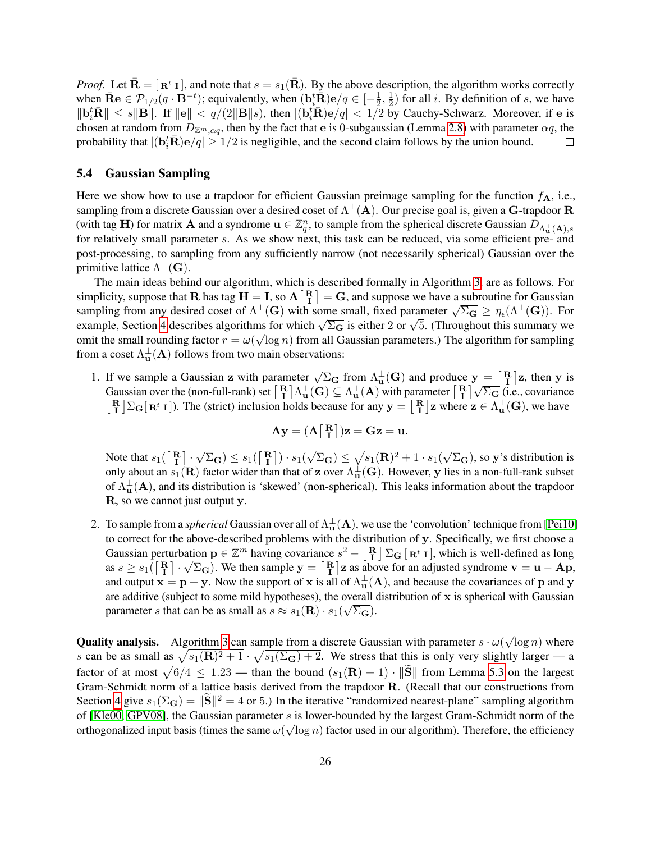*Proof.* Let  $\bar{\mathbf{R}} = [\mathbf{R}^t \mathbf{I}]$ , and note that  $s = s_1(\bar{\mathbf{R}})$ . By the above description, the algorithm works correctly when  $\bar{\mathbf{R}}\mathbf{e} \in \mathcal{P}_{1/2}(q \cdot \mathbf{B}^{-t})$ ; equivalently, when  $(\mathbf{b}_i^t \bar{\mathbf{R}})\mathbf{e}/q \in [-\frac{1}{2}]$  $\frac{1}{2}, \frac{1}{2}$  $\frac{1}{2}$ ) for all *i*. By definition of *s*, we have  $\|\mathbf{b}_i^t\overline{\mathbf{R}}\| \leq s \|\mathbf{B}\|$ . If  $\|\mathbf{e}\| < q/(2\|\mathbf{B}\|s)$ , then  $|(\mathbf{b}_i^t\overline{\mathbf{R}})\mathbf{e}/q| < 1/2$  by Cauchy-Schwarz. Moreover, if e is chosen at random from  $D_{\mathbb{Z}^m,\alpha q}$ , then by the fact that e is 0-subgaussian (Lemma [2.8\)](#page-13-2) with parameter  $\alpha q$ , the probability that  $|(\mathbf{b}_i^t \bar{\mathbf{R}})\mathbf{e}/q| \geq 1/2$  is negligible, and the second claim follows by the union bound.  $\Box$ 

#### <span id="page-25-0"></span>5.4 Gaussian Sampling

Here we show how to use a trapdoor for efficient Gaussian preimage sampling for the function  $f_{\mathbf{A}}$ , i.e., sampling from a discrete Gaussian over a desired coset of  $\Lambda^{\perp}(A)$ . Our precise goal is, given a G-trapdoor R (with tag H) for matrix **A** and a syndrome  $\mathbf{u} \in \mathbb{Z}_q^n$ , to sample from the spherical discrete Gaussian  $D_{\Lambda_{\mathbf{u}}^{\perp}}(\mathbf{A})$ , s for relatively small parameter s. As we show next, this task can be reduced, via some efficient pre- and post-processing, to sampling from any sufficiently narrow (not necessarily spherical) Gaussian over the primitive lattice  $\Lambda^{\perp}(\mathbf{G})$ .

The main ideas behind our algorithm, which is described formally in Algorithm [3,](#page-27-0) are as follows. For simplicity, suppose that **R** has tag  $H = I$ , so  $A \begin{bmatrix} R \\ I \end{bmatrix} = G$ , and suppose we have a subroutine for Gaussian simplicity, suppose that **K** has tag **H** = **1**, so  $A[\begin{bmatrix} 1 \end{bmatrix}] = G$ , and suppose we have a subfolding from any desired coset of  $\Lambda^{\perp}(G)$  with some small, fixed parameter  $\sqrt{\Sigma_G} \ge \eta_{\epsilon}(\Lambda^{\perp}(G))$ . For exampling from any desired coset of  $\Lambda^-(G)$  with some small, fixed parameter  $\sqrt{\Sigma_G} \ge \eta_{\epsilon}(\Lambda^-(G))$ . For example, Section [4](#page-15-2) describes algorithms for which  $\sqrt{\Sigma_G}$  is either 2 or  $\sqrt{5}$ . (Throughout this summary we omit the small rounding factor  $r = \omega(\sqrt{\log n})$  from all Gaussian parameters.) The algorithm for sampling from a coset  $\Lambda_{\mathbf{u}}^{\perp}(\mathbf{A})$  follows from two main observations:

1. If we sample a Gaussian z with parameter  $\sqrt{\Sigma_{\mathbf{G}}}$  from  $\Lambda_{\mathbf{u}}^{\perp}(\mathbf{G})$  and produce  $\mathbf{y} = \begin{bmatrix} \mathbf{R} \\ \mathbf{I} \end{bmatrix}$ z, then y is If we sample a Gaussian z with parameter  $\sqrt{2}$  from  $\Lambda_{\mathbf{u}}(\mathbf{G})$  and produce  $\mathbf{y} = [\mathbf{T}] \mathbf{z}$ , then y is Gaussian over the (non-full-rank) set  $[\mathbf{R}]\Lambda_{\mathbf{u}}^{\perp}(\mathbf{G}) \subsetneq \Lambda_{\mathbf{u}}^{\perp}(\mathbf{A})$  with parameter  $\begin{bmatrix} \mathbf{R} \\ \mathbf{I} \end{bmatrix} \Sigma_{\mathbf{G}}[\mathbf{R}^t \mathbf{I}].$  The (strict) inclusion holds because for any  $\mathbf{y} = \begin{bmatrix} \mathbf{R} \\ \mathbf{I} \end{bmatrix} \mathbf{z}$  where  $\mathbf{z} \in \Lambda_{\mathbf{u}}^{\perp}(\mathbf{G})$ , we have

$$
\mathbf{A}\mathbf{y} = (\mathbf{A}\begin{bmatrix} \mathbf{R} \\ \mathbf{I} \end{bmatrix})\mathbf{z} = \mathbf{G}\mathbf{z} = \mathbf{u}.
$$

Note that  $s_1(\begin{bmatrix} \mathbf{R} \\ \mathbf{I} \end{bmatrix}$ . √  $(\overline{\Sigma_{\mathbf{G}}}) \leq s_1(\begin{bmatrix} \mathbf{R} \\ \mathbf{I} \end{bmatrix}) \cdot s_1(\$ √  $\overline{\Sigma_{\mathbf{G}}}) \leq \sqrt{s_1(\mathbf{R})^2 + 1} \cdot s_1(\sqrt{\}$  $(\overline{\Sigma_{\mathbf{G}}})$ , so y's distribution is only about an  $s_1(\mathbf{R})$  factor wider than that of z over  $\Lambda_{\mathbf{u}}^{\perp}(\mathbf{G})$ . However, y lies in a non-full-rank subset of  $\Lambda_{\mathbf{u}}^{\perp}(\mathbf{A})$ , and its distribution is 'skewed' (non-spherical). This leaks information about the trapdoor R, so we cannot just output y.

2. To sample from a *spherical* Gaussian over all of  $\Lambda_u^{\perp}(A)$ , we use the 'convolution' technique from [\[Pei10\]](#page-39-5) to correct for the above-described problems with the distribution of y. Specifically, we first choose a Gaussian perturbation  $p \in \mathbb{Z}^m$  having covariance  $s^2 - \begin{bmatrix} R \\ I \end{bmatrix} \Sigma_{\mathbf{G}} [\mathbf{R}^t \mathbf{I}]$ , which is well-defined as long as  $s \geq s_1(\begin{bmatrix} \mathbf{R} \\ \mathbf{I} \end{bmatrix} \cdot \sqrt{\Sigma_{\mathbf{G}}})$ . We then sample  $\mathbf{y} = \begin{bmatrix} \mathbf{R} \\ \mathbf{I} \end{bmatrix} \mathbf{z}$  as above for an adjusted syndrome  $\mathbf{v} = \mathbf{u} - \mathbf{A}\mathbf{p}$ , and output  $x = p + y$ . Now the support of x is all of  $\Lambda_u^{\perp}(A)$ , and because the covariances of p and y are additive (subject to some mild hypotheses), the overall distribution of x is spherical with Gaussian parameter s that can be as small as  $s \approx s_1(\mathbf{R}) \cdot s_1(\sqrt{\Sigma_{\mathbf{G}}})$ .

**Quality analysis.** Algorithm [3](#page-27-0) can sample from a discrete Gaussian with parameter  $s \cdot \omega$ √  $\overline{\log n}$ ) where s can be as small as  $\sqrt{s_1(R)^2 + 1} \cdot \sqrt{s_1(\Sigma_G) + 2}$ . We stress that this is only very slightly larger — a factor of at most  $\sqrt{6/4} \le 1.23$  — than the bound  $(s_1(\mathbf{R}) + 1) \cdot ||\mathbf{S}||$  from Lemma [5.3](#page-22-0) on the largest Gram-Schmidt norm of a lattice basis derived from the trapdoor R. (Recall that our constructions from Section [4](#page-15-2) give  $s_1(\Sigma_{\mathbf{G}}) = ||\widetilde{\mathbf{S}}||^2 = 4$  or 5.) In the iterative "randomized nearest-plane" sampling algorithm of [\[Kle00,](#page-38-7) [GPV08\]](#page-38-0), the Gaussian parameter s is lower-bounded by the largest Gram-Schmidt norm of the orthogonalized input basis (times the same  $\omega(\sqrt{\log n})$  factor used in our algorithm). Therefore, the efficiency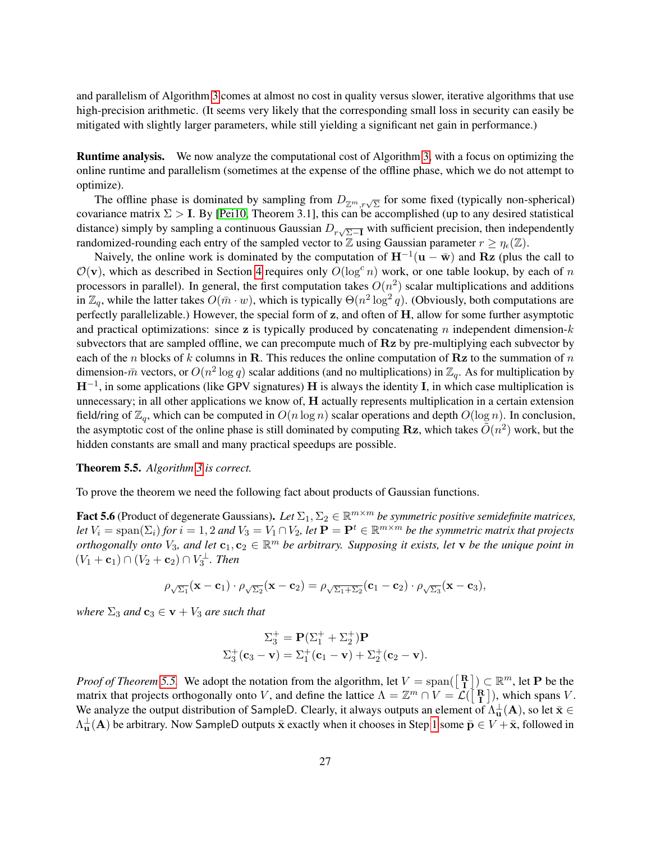and parallelism of Algorithm [3](#page-27-0) comes at almost no cost in quality versus slower, iterative algorithms that use high-precision arithmetic. (It seems very likely that the corresponding small loss in security can easily be mitigated with slightly larger parameters, while still yielding a significant net gain in performance.)

Runtime analysis. We now analyze the computational cost of Algorithm [3,](#page-27-0) with a focus on optimizing the online runtime and parallelism (sometimes at the expense of the offline phase, which we do not attempt to optimize).

The offline phase is dominated by sampling from  $D_{\mathbb{Z}^m,r\sqrt{\Sigma}}$  for some fixed (typically non-spherical) covariance matrix  $\Sigma > I$ . By [\[Pei10,](#page-39-5) Theorem 3.1], this can be accomplished (up to any desired statistical distance) simply by sampling a continuous Gaussian  $D_{r\sqrt{\Sigma-1}}$  with sufficient precision, then independently randomized-rounding each entry of the sampled vector to Z using Gaussian parameter  $r \ge \eta_{\epsilon}(\mathbb{Z})$ .

Naively, the online work is dominated by the computation of  $H^{-1}(u - \bar{w})$  and Rz (plus the call to  $\mathcal{O}(\mathbf{v})$ , which as described in Section [4](#page-15-2) requires only  $O(\log^c n)$  work, or one table lookup, by each of n processors in parallel). In general, the first computation takes  $O(n^2)$  scalar multiplications and additions in  $\mathbb{Z}_q$ , while the latter takes  $O(\bar{m} \cdot w)$ , which is typically  $\Theta(n^2 \log^2 q)$ . (Obviously, both computations are perfectly parallelizable.) However, the special form of z, and often of H, allow for some further asymptotic and practical optimizations: since z is typically produced by concatenating n independent dimension- $k$ subvectors that are sampled offline, we can precompute much of Rz by pre-multiplying each subvector by each of the n blocks of k columns in R. This reduces the online computation of Rz to the summation of n dimension- $\bar{m}$  vectors, or  $O(n^2 \log q)$  scalar additions (and no multiplications) in  $\mathbb{Z}_q$ . As for multiplication by  $H^{-1}$ , in some applications (like GPV signatures) H is always the identity I, in which case multiplication is unnecessary; in all other applications we know of, H actually represents multiplication in a certain extension field/ring of  $\mathbb{Z}_q$ , which can be computed in  $O(n \log n)$  scalar operations and depth  $O(\log n)$ . In conclusion, the asymptotic cost of the online phase is still dominated by computing Rz, which takes  $\tilde{O}(n^2)$  work, but the hidden constants are small and many practical speedups are possible.

#### <span id="page-26-0"></span>Theorem 5.5. *Algorithm [3](#page-27-0) is correct.*

To prove the theorem we need the following fact about products of Gaussian functions.

<span id="page-26-1"></span>Fact 5.6 (Product of degenerate Gaussians). Let  $\Sigma_1, \Sigma_2 \in \mathbb{R}^{m \times m}$  be symmetric positive semidefinite matrices, *let*  $V_i = \text{span}(\Sigma_i)$  *for*  $i = 1, 2$  *and*  $V_3 = V_1 \cap V_2$ *, let*  $\mathbf{P} = \mathbf{P}^t \in \mathbb{R}^{m \times m}$  *be the symmetric matrix that projects orthogonally onto*  $V_3$ , and let  $c_1, c_2 \in \mathbb{R}^m$  be arbitrary. Supposing it exists, let **v** be the unique point in  $(V_1 + c_1) ∩ (V_2 + c_2) ∩ V_3^{\perp}$ . Then

$$
\rho_{\sqrt{\Sigma_1}}(\mathbf{x}-\mathbf{c}_1)\cdot\rho_{\sqrt{\Sigma_2}}(\mathbf{x}-\mathbf{c}_2)=\rho_{\sqrt{\Sigma_1+\Sigma_2}}(\mathbf{c}_1-\mathbf{c}_2)\cdot\rho_{\sqrt{\Sigma_3}}(\mathbf{x}-\mathbf{c}_3),
$$

*where*  $\Sigma_3$  *and*  $\mathbf{c}_3 \in \mathbf{v} + V_3$  *are such that* 

$$
\Sigma_3^+ = \mathbf{P}(\Sigma_1^+ + \Sigma_2^+) \mathbf{P}
$$
  

$$
\Sigma_3^+ (\mathbf{c}_3 - \mathbf{v}) = \Sigma_1^+ (\mathbf{c}_1 - \mathbf{v}) + \Sigma_2^+ (\mathbf{c}_2 - \mathbf{v}).
$$

*Proof of Theorem* [5.5.](#page-26-0) We adopt the notation from the algorithm, let  $V = \text{span}(\begin{bmatrix} \mathbf{R} \\ \mathbf{I} \end{bmatrix}) \subset \mathbb{R}^m$ , let **P** be the *Froof of Theorem 5.5.* We adopt the notation from the argorithm, let  $V = \text{span}(\begin{bmatrix} \mathbf{R} \\ \mathbf{I} \end{bmatrix}) \subset \mathbb{R}^n$ , let  $\mathbf{I}$  be the matrix that projects orthogonally onto V, and define the lattice  $\Lambda = \mathbb{Z}^m \cap V = \mathcal{$ We analyze the output distribution of SampleD. Clearly, it always outputs an element of  $\Lambda_u^{\perp}(A)$ , so let  $\bar{x} \in$  $\Lambda_{\bf u}^\perp({\bf A})$  be arbitrary. Now SampleD outputs  $\bar{\bf x}$  exactly when it chooses in Step [1](#page-27-1) some  $\bar{\bf p}\in V+{\bf \bar x}$ , followed in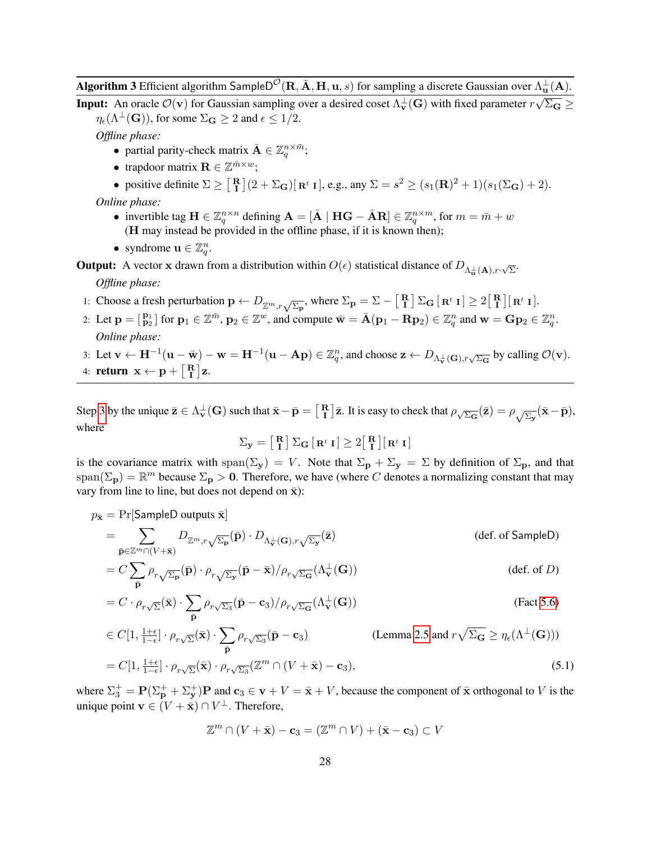**Algorithm 3** Efficient algorithm SampleD<sup>O</sup>(R,  $\bar{A}$ , H, u, s) for sampling a discrete Gaussian over  $\Lambda_u^{\perp}(A)$ . √

<span id="page-27-0"></span>**Input:** An oracle  $\mathcal{O}(\mathbf{v})$  for Gaussian sampling over a desired coset  $\Lambda_{\mathbf{v}}^{\perp}(\mathbf{G})$  with fixed parameter  $r$  $\Sigma_{\mathbf{G}} \geq$  $\eta_{\epsilon}(\Lambda^{\perp}(\mathbf{G}))$ , for some  $\Sigma_{\mathbf{G}} \geq 2$  and  $\epsilon \leq 1/2$ .

*Offline phase:*

- partial parity-check matrix  $\bar{\mathbf{A}} \in \mathbb{Z}_q^{n \times \bar{m}}$ ;
- trapdoor matrix  $\mathbf{R} \in \mathbb{Z}^{\bar{m} \times w}$ ;
- positive definite  $\Sigma \geq \begin{bmatrix} R \\ I \end{bmatrix} (2 + \Sigma_{\mathbf{G}}) [\mathbf{R}^t \mathbf{I}],$  e.g., any  $\Sigma = s^2 \geq (s_1(\mathbf{R})^2 + 1)(s_1(\Sigma_{\mathbf{G}}) + 2)$ .

*Online phase:*

- invertible tag  $\mathbf{H} \in \mathbb{Z}_q^{n \times n}$  defining  $\mathbf{A} = [\bar{\mathbf{A}} \mid \mathbf{H}\mathbf{G} \bar{\mathbf{A}}\mathbf{R}] \in \mathbb{Z}_q^{n \times m}$ , for  $m = \bar{m} + w$ (H may instead be provided in the offline phase, if it is known then);
- syndrome  $\mathbf{u} \in \mathbb{Z}_q^n$ .

**Output:** A vector x drawn from a distribution within  $O(\epsilon)$  statistical distance of  $D_{\Lambda_{\mathbf{u}}^{\perp}(\mathbf{A}), r \cdot \sqrt{\Sigma}}$ .

*Offline phase:*

- <span id="page-27-1"></span>1: Choose a fresh perturbation  $\mathbf{p} \leftarrow D_{\mathbb{Z}^m, r\sqrt{\Sigma_{\mathbf{p}}}}$ , where  $\Sigma_{\mathbf{p}} = \Sigma - \begin{bmatrix} \mathbf{R} \\ \mathbf{I} \end{bmatrix} \Sigma_{\mathbf{G}} [\mathbf{R}^t \mathbf{I}] \geq 2 \begin{bmatrix} \mathbf{R} \\ \mathbf{I} \end{bmatrix} [\mathbf{R}^t \mathbf{I}]$ .
- 2: Let  $\mathbf{p} = \begin{bmatrix} \mathbf{p}_1 \\ \mathbf{p}_2 \end{bmatrix}$  for  $\mathbf{p}_1 \in \mathbb{Z}^{\bar{m}}$ ,  $\mathbf{p}_2 \in \mathbb{Z}^w$ , and compute  $\bar{\mathbf{w}} = \bar{\mathbf{A}}(\mathbf{p}_1 \mathbf{R}\mathbf{p}_2) \in \mathbb{Z}_q^n$  and  $\mathbf{w} = \mathbf{G}\mathbf{p}_2 \in \mathbb{Z}_q^n$ . *Online phase:*
- <span id="page-27-2"></span>3: Let  $\mathbf{v} \leftarrow \mathbf{H}^{-1}(\mathbf{u} - \bar{\mathbf{w}}) - \mathbf{w} = \mathbf{H}^{-1}(\mathbf{u} - \mathbf{A}\mathbf{p}) \in \mathbb{Z}_q^n$ , and choose  $\mathbf{z} \leftarrow D_{\Lambda_{\mathbf{v}}^{\perp}(\mathbf{G}), r\sqrt{\Sigma_{\mathbf{G}}}}$  by calling  $\mathcal{O}(\mathbf{v})$ . 4: **return**  $\mathbf{x} \leftarrow \mathbf{p} + \begin{bmatrix} \mathbf{R} \\ \mathbf{I} \end{bmatrix} \mathbf{z}.$

Step [3](#page-27-2) by the unique  $\bar{\mathbf{z}} \in \Lambda_{\mathbf{v}}^{\perp}(\mathbf{G})$  such that  $\bar{\mathbf{x}} - \bar{\mathbf{p}} = \begin{bmatrix} \mathbf{R} \\ \mathbf{I} \end{bmatrix} \bar{\mathbf{z}}$ . It is easy to check that  $\rho_{\sqrt{\Sigma_{\mathbf{G}}}}(\bar{\mathbf{z}}) = \rho_{\sqrt{\Sigma_{\mathbf{y}}}}(\bar{\mathbf{x}} - \bar{\mathbf{p}})$ , where

$$
\Sigma_{\mathbf{y}} = \begin{bmatrix} \mathbf{R} \\ \mathbf{I} \end{bmatrix} \Sigma_{\mathbf{G}} [\mathbf{R}^t \mathbf{I}] \ge 2 \begin{bmatrix} \mathbf{R} \\ \mathbf{I} \end{bmatrix} [\mathbf{R}^t \mathbf{I}]
$$

is the covariance matrix with span( $\Sigma_y$ ) = V. Note that  $\Sigma_p + \Sigma_y = \Sigma$  by definition of  $\Sigma_p$ , and that  $\text{span}(\Sigma_{\mathbf{p}}) = \mathbb{R}^m$  because  $\Sigma_{\mathbf{p}} > 0$ . Therefore, we have (where C denotes a normalizing constant that may vary from line to line, but does not depend on  $\bar{x}$ ):

$$
p_{\bar{\mathbf{x}}} = \Pr[\mathsf{SampleD outputs } \bar{\mathbf{x}}]
$$

$$
= \sum_{\bar{\mathbf{p}} \in \mathbb{Z}^m \cap (V + \bar{\mathbf{x}})} D_{\mathbb{Z}^m, r\sqrt{\Sigma_{\mathbf{p}}}}(\bar{\mathbf{p}}) \cdot D_{\Lambda_{\mathbf{v}}^{\perp}(\mathbf{G}), r\sqrt{\Sigma_{\mathbf{y}}}}(\bar{\mathbf{z}})
$$
(def. of SampleD)

$$
= C \sum_{\bar{\mathbf{p}}} \rho_{r\sqrt{\Sigma_{\mathbf{p}}}}(\bar{\mathbf{p}}) \cdot \rho_{r\sqrt{\Sigma_{\mathbf{y}}}}(\bar{\mathbf{p}} - \bar{\mathbf{x}}) / \rho_{r\sqrt{\Sigma_{\mathbf{G}}}}(\Lambda_{\mathbf{v}}^{\perp}(\mathbf{G}))
$$
 (def. of *D*)

$$
= C \cdot \rho_{r\sqrt{\Sigma}}(\bar{\mathbf{x}}) \cdot \sum_{\bar{\mathbf{p}}} \rho_{r\sqrt{\Sigma_{3}}}(\bar{\mathbf{p}} - \mathbf{c}_{3}) / \rho_{r\sqrt{\Sigma_{\mathbf{G}}}}(\Lambda_{\mathbf{v}}^{\perp}(\mathbf{G}))
$$
(Fact 5.6)

$$
\in C[1, \frac{1+\epsilon}{1-\epsilon}] \cdot \rho_{r\sqrt{\Sigma}}(\bar{\mathbf{x}}) \cdot \sum_{\bar{\mathbf{p}}} \rho_{r\sqrt{\Sigma_3}}(\bar{\mathbf{p}} - \mathbf{c}_3)
$$
 (Lemma 2.5 and  $r\sqrt{\Sigma_{\mathbf{G}}} \ge \eta_{\epsilon}(\Lambda^{\perp}(\mathbf{G})))$   
=  $C[1, \frac{1+\epsilon}{1-\epsilon}] \cdot \rho_{r\sqrt{\Sigma}}(\bar{\mathbf{x}}) \cdot \rho_{r\sqrt{\Sigma_3}}(\mathbb{Z}^m \cap (V + \bar{\mathbf{x}}) - \mathbf{c}_3),$  (5.1)

where  $\Sigma_3^+ = \mathbf{P}(\Sigma_{\mathbf{p}}^+ + \Sigma_{\mathbf{y}}^+) \mathbf{P}$  and  $\mathbf{c}_3 \in \mathbf{v} + V = \bar{\mathbf{x}} + V$ , because the component of  $\bar{\mathbf{x}}$  orthogonal to V is the unique point  $\mathbf{v} \in (V + \bar{\mathbf{x}}) \cap V^{\perp}$ . Therefore,

<span id="page-27-3"></span>
$$
\mathbb{Z}^m \cap (V + \bar{\mathbf{x}}) - \mathbf{c}_3 = (\mathbb{Z}^m \cap V) + (\bar{\mathbf{x}} - \mathbf{c}_3) \subset V
$$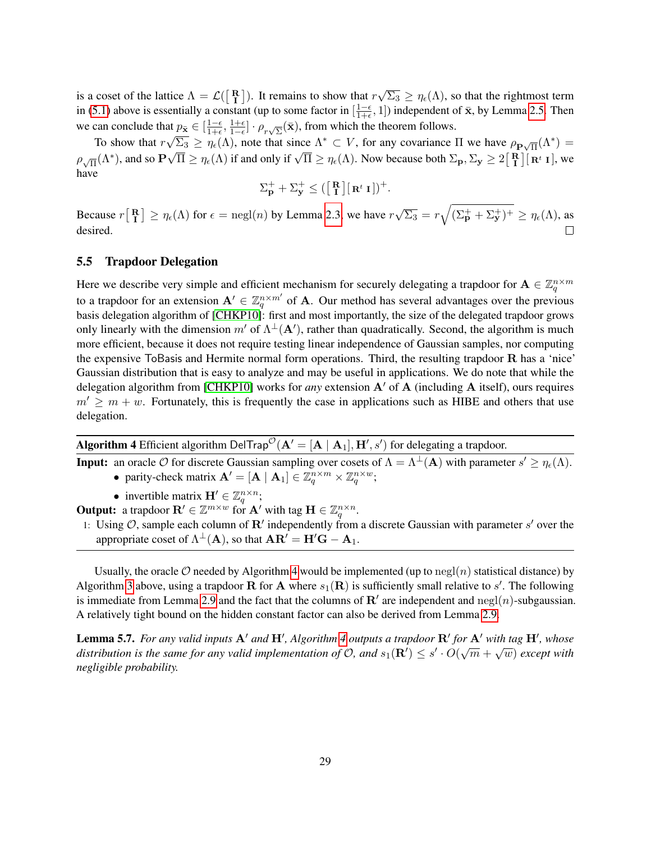is a coset of the lattice  $\Lambda = \mathcal{L}(\begin{bmatrix} \mathbf{R} \\ \mathbf{I} \end{bmatrix})$ . It remains to show that r √  $\overline{\Sigma_3} \ge \eta_\epsilon(\Lambda)$ , so that the rightmost term in [\(5.1\)](#page-27-3) above is essentially a constant (up to some factor in  $\left[\frac{1-\epsilon}{1+\epsilon}\right]$  $\frac{1-\epsilon}{1+\epsilon}$ , 1]) independent of  $\bar{\mathbf{x}}$ , by Lemma [2.5.](#page-12-0) Then we can conclude that  $p_{\bar{\mathbf{x}}} \in [\frac{1-\epsilon}{1+\epsilon}]$ at  $p_{\bar{\mathbf{x}}} \in \left[\frac{1-\epsilon}{1+\epsilon}, \frac{1+\epsilon}{1-\epsilon}\right] \cdot \rho_{r\sqrt{\Sigma}}(\bar{\mathbf{x}})$ , from which the theorem follows.

To show that  $r\sqrt{\Sigma_3} \geq \eta_\epsilon(\Lambda)$ , note that since  $\Lambda^* \subset V$ , for any covariance  $\Pi$  we have  $\rho_{\mathbf{P}\sqrt{\Pi}}(\Lambda^*) =$ Fo show that  $\gamma \sqrt{2}$   $\leq \eta_{\epsilon}(x)$ , hole that since  $\Lambda \subset \mathcal{V}$ , for any covariance  $\Lambda$  we have  $p_{\mathbf{P}\sqrt{\Pi}}(\Lambda^*) =$ <br> $\rho_{\sqrt{\Pi}}(\Lambda^*)$ , and so  $\mathbf{P}\sqrt{\Pi} \geq \eta_{\epsilon}(\Lambda)$  if and only if  $\sqrt{\Pi} \geq \eta_{\epsilon}(\Lambda)$ . Now because both have

$$
\Sigma_{\mathbf{p}}^+ + \Sigma_{\mathbf{y}}^+ \leq (\begin{bmatrix} \mathbf{R} \\ \mathbf{I} \end{bmatrix} [\mathbf{R}^t \mathbf{I} ])^+.
$$

√  $\overline{\Sigma_3} = r \sqrt{(\Sigma_P^+ + \Sigma_Y^+)^+} \ge \eta_\epsilon(\Lambda)$ , as Because  $r\begin{bmatrix} \mathbf{R} \\ \mathbf{I} \end{bmatrix} \geq \eta_{\epsilon}(\Lambda)$  for  $\epsilon = \text{negl}(n)$  by Lemma [2.3,](#page-11-0) we have  $r$ desired.  $\Box$ 

### 5.5 Trapdoor Delegation

Here we describe very simple and efficient mechanism for securely delegating a trapdoor for  $A \in \mathbb{Z}_q^{n \times m}$ to a trapdoor for an extension  $A' \in \mathbb{Z}_q^{n \times m'}$  of A. Our method has several advantages over the previous basis delegation algorithm of [\[CHKP10\]](#page-37-0): first and most importantly, the size of the delegated trapdoor grows only linearly with the dimension m' of  $\Lambda^{\perp}(A')$ , rather than quadratically. Second, the algorithm is much more efficient, because it does not require testing linear independence of Gaussian samples, nor computing the expensive ToBasis and Hermite normal form operations. Third, the resulting trapdoor R has a 'nice' Gaussian distribution that is easy to analyze and may be useful in applications. We do note that while the delegation algorithm from [\[CHKP10\]](#page-37-0) works for *any* extension  $A'$  of A (including A itself), ours requires  $m' \ge m + w$ . Fortunately, this is frequently the case in applications such as HIBE and others that use delegation.

| <b>Algorithm 4</b> Efficient algorithm DelTrap <sup><math>\mathcal{O}(\mathbf{A}' = [\mathbf{A}   \mathbf{A}_1], \mathbf{H}', s')</math> for delegating a trapdoor.</sup> |  |  |  |  |
|---------------------------------------------------------------------------------------------------------------------------------------------------------------------------|--|--|--|--|
|---------------------------------------------------------------------------------------------------------------------------------------------------------------------------|--|--|--|--|

<span id="page-28-0"></span>**Input:** an oracle  $\mathcal O$  for discrete Gaussian sampling over cosets of  $\Lambda = \Lambda^{\perp}(\mathbf A)$  with parameter  $s' \ge \eta_{\epsilon}(\Lambda)$ .

- parity-check matrix  $\mathbf{A}' = [\mathbf{A} | \mathbf{A}_1] \in \mathbb{Z}_q^{n \times m} \times \mathbb{Z}_q^{n \times w}$ ;
- invertible matrix  $\mathbf{H}' \in \mathbb{Z}_q^{n \times n}$ ;

**Output:** a trapdoor  $\mathbf{R}' \in \mathbb{Z}^{m \times w}$  for  $\mathbf{A}'$  with tag  $\mathbf{H} \in \mathbb{Z}_q^{n \times n}$ .

1: Using  $O$ , sample each column of R' independently from a discrete Gaussian with parameter s' over the appropriate coset of  $\Lambda^{\perp}(A)$ , so that  $AR' = H'G - A_1$ .

Usually, the oracle  $\mathcal O$  needed by Algorithm [4](#page-28-0) would be implemented (up to negl(n) statistical distance) by Algorithm [3](#page-27-0) above, using a trapdoor **R** for **A** where  $s_1(\mathbf{R})$  is sufficiently small relative to s'. The following is immediate from Lemma [2.9](#page-13-1) and the fact that the columns of  $\mathbb{R}^{\prime}$  are independent and  $\text{negl}(n)$ -subgaussian. A relatively tight bound on the hidden constant factor can also be derived from Lemma [2.9.](#page-13-1)

**Lemma 5.7.** For any valid inputs  $A'$  and  $H'$ , Algorithm [4](#page-28-0) outputs a trapdoor  $R'$  for  $A'$  with tag  $H'$ , whose *distribution is the same for any valid implementation of O, and s***<sub>1</sub>(** $\mathbb{R}'$ **)**  $\leq$  **s' · O(** $\sqrt{m} + \sqrt{w}$ **) except with dightribution is the same for any valid implementation of O, and s<sub>1</sub>(** $\mathbb{R}'$ **)**  $\leq$  **s' · O(\sqrt{m}** *negligible probability.*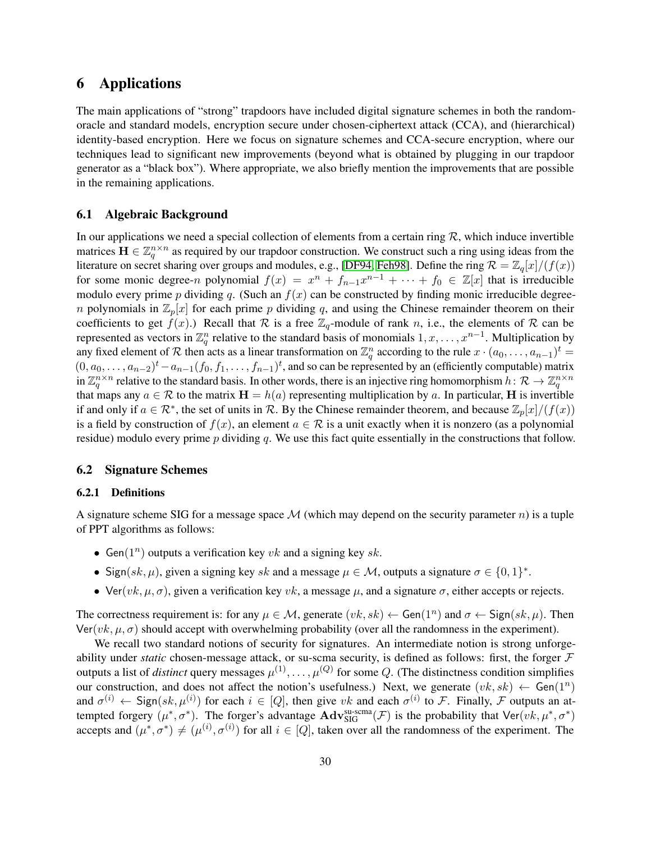# <span id="page-29-0"></span>6 Applications

The main applications of "strong" trapdoors have included digital signature schemes in both the randomoracle and standard models, encryption secure under chosen-ciphertext attack (CCA), and (hierarchical) identity-based encryption. Here we focus on signature schemes and CCA-secure encryption, where our techniques lead to significant new improvements (beyond what is obtained by plugging in our trapdoor generator as a "black box"). Where appropriate, we also briefly mention the improvements that are possible in the remaining applications.

### <span id="page-29-1"></span>6.1 Algebraic Background

In our applications we need a special collection of elements from a certain ring  $\mathcal{R}$ , which induce invertible matrices  $\mathbf{H} \in \mathbb{Z}_q^{n \times n}$  as required by our trapdoor construction. We construct such a ring using ideas from the literature on secret sharing over groups and modules, e.g., [\[DF94,](#page-37-15) [Feh98\]](#page-37-16). Define the ring  $\mathcal{R} = \mathbb{Z}_q[x]/(f(x))$ for some monic degree-n polynomial  $f(x) = x^n + f_{n-1}x^{n-1} + \cdots + f_0 \in \mathbb{Z}[x]$  that is irreducible modulo every prime p dividing q. (Such an  $f(x)$  can be constructed by finding monic irreducible degreen polynomials in  $\mathbb{Z}_p[x]$  for each prime p dividing q, and using the Chinese remainder theorem on their coefficients to get  $f(x)$ .) Recall that R is a free  $\mathbb{Z}_q$ -module of rank n, i.e., the elements of R can be represented as vectors in  $\mathbb{Z}_q^n$  relative to the standard basis of monomials  $1, x, \ldots, x^{n-1}$ . Multiplication by any fixed element of R then acts as a linear transformation on  $\mathbb{Z}_q^n$  according to the rule  $x\cdot (a_0,\ldots,a_{n-1})^t$  $(0, a_0, \ldots, a_{n-2})^t - a_{n-1}(f_0, f_1, \ldots, f_{n-1})^t$ , and so can be represented by an (efficiently computable) matrix in  $\mathbb{Z}_q^{n\times n}$  relative to the standard basis. In other words, there is an injective ring homomorphism  $h\colon\mathcal{R}\to\mathbb{Z}_q^{n\times n}$ that maps any  $a \in \mathcal{R}$  to the matrix  $H = h(a)$  representing multiplication by a. In particular, H is invertible if and only if  $a \in \mathcal{R}^*$ , the set of units in  $\mathcal{R}$ . By the Chinese remainder theorem, and because  $\mathbb{Z}_p[x]/(f(x))$ is a field by construction of  $f(x)$ , an element  $a \in \mathcal{R}$  is a unit exactly when it is nonzero (as a polynomial residue) modulo every prime  $p$  dividing  $q$ . We use this fact quite essentially in the constructions that follow.

### 6.2 Signature Schemes

### 6.2.1 Definitions

A signature scheme SIG for a message space  $\mathcal M$  (which may depend on the security parameter n) is a tuple of PPT algorithms as follows:

- Gen( $1^n$ ) outputs a verification key vk and a signing key sk.
- Sign(sk,  $\mu$ ), given a signing key sk and a message  $\mu \in \mathcal{M}$ , outputs a signature  $\sigma \in \{0,1\}^*$ .
- Ver( $vk, µ, σ$ ), given a verification key vk, a message  $µ$ , and a signature  $σ$ , either accepts or rejects.

The correctness requirement is: for any  $\mu \in \mathcal{M}$ , generate  $(vk, sk) \leftarrow$  Gen $(1^n)$  and  $\sigma \leftarrow$  Sign $(sk, \mu)$ . Then  $\text{Ver}(vk, \mu, \sigma)$  should accept with overwhelming probability (over all the randomness in the experiment).

We recall two standard notions of security for signatures. An intermediate notion is strong unforgeability under *static* chosen-message attack, or su-scma security, is defined as follows: first, the forger F outputs a list of *distinct* query messages  $\mu^{(1)}, \ldots, \mu^{(Q)}$  for some Q. (The distinctness condition simplifies our construction, and does not affect the notion's usefulness.) Next, we generate  $(vk, sk) \leftarrow Gen(1^n)$ and  $\sigma^{(i)} \leftarrow$  Sign $(sk, \mu^{(i)} )$  for each  $i \in [Q]$ , then give vk and each  $\sigma^{(i)}$  to F. Finally, F outputs an attempted forgery  $(\mu^*, \sigma^*)$ . The forger's advantage  $\mathbf{Adv}_{\text{SIG}}^{\text{su-scma}}(\mathcal{F})$  is the probability that  $\mathsf{Ver}(vk, \mu^*, \sigma^*)$ accepts and  $(\mu^*, \sigma^*) \neq (\mu^{(i)}, \sigma^{(i)})$  for all  $i \in [Q]$ , taken over all the randomness of the experiment. The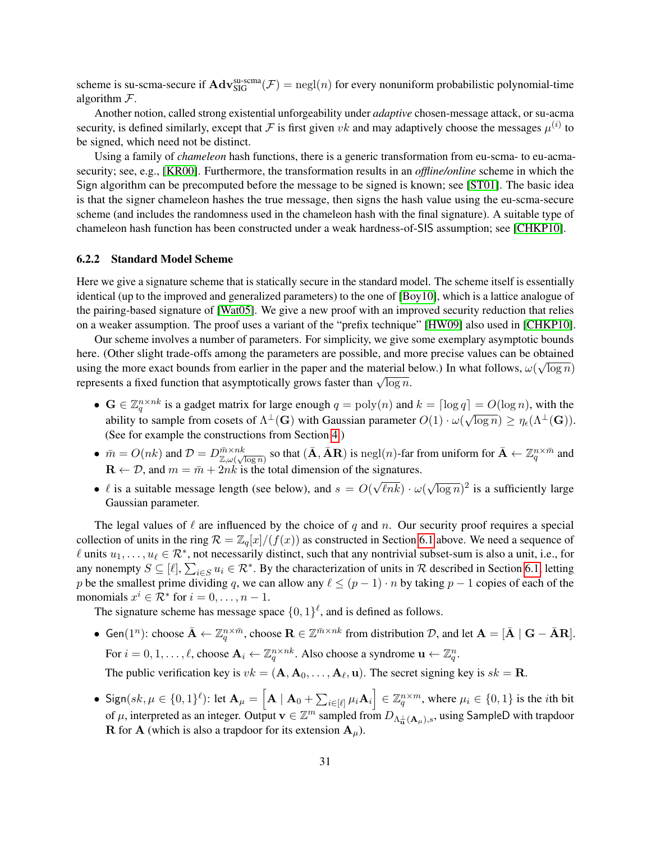scheme is su-scma-secure if  $\text{Adv}_{\text{SIG}}^{\text{su-scma}}(\mathcal{F}) = \text{negl}(n)$  for every nonuniform probabilistic polynomial-time algorithm  $F$ .

Another notion, called strong existential unforgeability under *adaptive* chosen-message attack, or su-acma security, is defined similarly, except that F is first given vk and may adaptively choose the messages  $\mu^{(i)}$  to be signed, which need not be distinct.

Using a family of *chameleon* hash functions, there is a generic transformation from eu-scma- to eu-acmasecurity; see, e.g., [\[KR00\]](#page-38-13). Furthermore, the transformation results in an *offline/online* scheme in which the Sign algorithm can be precomputed before the message to be signed is known; see [\[ST01\]](#page-39-16). The basic idea is that the signer chameleon hashes the true message, then signs the hash value using the eu-scma-secure scheme (and includes the randomness used in the chameleon hash with the final signature). A suitable type of chameleon hash function has been constructed under a weak hardness-of-SIS assumption; see [\[CHKP10\]](#page-37-0).

#### 6.2.2 Standard Model Scheme

Here we give a signature scheme that is statically secure in the standard model. The scheme itself is essentially identical (up to the improved and generalized parameters) to the one of [\[Boy10\]](#page-37-6), which is a lattice analogue of the pairing-based signature of [\[Wat05\]](#page-40-1). We give a new proof with an improved security reduction that relies on a weaker assumption. The proof uses a variant of the "prefix technique" [\[HW09\]](#page-38-14) also used in [\[CHKP10\]](#page-37-0).

Our scheme involves a number of parameters. For simplicity, we give some exemplary asymptotic bounds here. (Other slight trade-offs among the parameters are possible, and more precise values can be obtained using the more exact bounds from earlier in the paper and the material below.) In what follows,  $\omega(\sqrt{\log n})$ dising the more exact bounds from earlier in the paper and the material terms of represents a fixed function that asymptotically grows faster than  $\sqrt{\log n}$ .

- $G \in \mathbb{Z}_q^{n \times nk}$  is a gadget matrix for large enough  $q = \text{poly}(n)$  and  $k = \lceil \log q \rceil = O(\log n)$ , with the  $\mathbf{G} \in \mathbb{Z}_q$  is a gauged matrix for large enough  $q = \text{poly}(n)$  and  $\kappa = |\log q| = O(\log n)$ , while the ability to sample from cosets of  $\Lambda^{\perp}(\mathbf{G})$  with Gaussian parameter  $O(1) \cdot \omega(\sqrt{\log n}) \ge \eta_{\epsilon}(\Lambda^{\perp}(\mathbf{G}))$ . (See for example the constructions from Section [4.](#page-15-2))
- $\bar{m} = O(nk)$  and  $\mathcal{D} = D_{\mathbb{Z},\omega(\sqrt{\log n})}^{\bar{m}\times nk}$  so that  $(\bar{\mathbf{A}}, \bar{\mathbf{A}}\mathbf{R})$  is negl(n)-far from uniform for  $\bar{\mathbf{A}} \leftarrow \mathbb{Z}_q^{n\times \bar{m}}$  and  $\mathbf{R} \leftarrow \mathcal{D}$ , and  $m = \bar{m} + 2nk$  is the total dimension of the signatures. √
- $\ell$  is a suitable message length (see below), and  $s = O(\ell)$  $\ell nk) \cdot \omega($ √  $\overline{\log n}$ )<sup>2</sup> is a sufficiently large Gaussian parameter.

The legal values of  $\ell$  are influenced by the choice of q and n. Our security proof requires a special collection of units in the ring  $\mathcal{R} = \mathbb{Z}_q[x]/(f(x))$  as constructed in Section [6.1](#page-29-1) above. We need a sequence of  $\ell$  units  $u_1, \ldots, u_\ell \in \mathcal{R}^*$ , not necessarily distinct, such that any nontrivial subset-sum is also a unit, i.e., for any nonempty  $S \subseteq [\ell], \sum_{i \in S} u_i \in \mathcal{R}^*$ . By the characterization of units in  $\mathcal R$  described in Section [6.1,](#page-29-1) letting p be the smallest prime dividing q, we can allow any  $\ell \leq (p - 1) \cdot n$  by taking  $p - 1$  copies of each of the monomials  $x^i \in \mathcal{R}^*$  for  $i = 0, \ldots, n - 1$ .

The signature scheme has message space  $\{0,1\}^{\ell}$ , and is defined as follows.

- Gen $(1^n)$ : choose  $\bar{\mathbf{A}} \leftarrow \mathbb{Z}_q^{n \times \bar{m}}$ , choose  $\mathbf{R} \in \mathbb{Z}^{\bar{m} \times nk}$  from distribution  $\mathcal{D}$ , and let  $\mathbf{A} = [\bar{\mathbf{A}} \mid \mathbf{G} \bar{\mathbf{A}} \mathbf{R}]$ . For  $i = 0, 1, \ldots, \ell$ , choose  $\mathbf{A}_i \leftarrow \mathbb{Z}_q^{n \times nk}$ . Also choose a syndrome  $\mathbf{u} \leftarrow \mathbb{Z}_q^n$ . The public verification key is  $vk = (\mathbf{A}, \mathbf{A}_0, \dots, \mathbf{A}_\ell, \mathbf{u})$ . The secret signing key is  $sk = \mathbf{R}$ .
- Sign(sk,  $\mu \in \{0,1\}^{\ell}$ ): let  $\mathbf{A}_{\mu} = \left[\mathbf{A} \mid \mathbf{A}_0 + \sum_{i \in [\ell]} \mu_i \mathbf{A}_i\right] \in \mathbb{Z}_q^{n \times m}$ , where  $\mu_i \in \{0,1\}$  is the *i*th bit of  $\mu$ , interpreted as an integer. Output  $\mathbf{v} \in \mathbb{Z}^m$  sampled from  $D_{\Lambda_{\mathbf{u}}^{\perp}(\mathbf{A}_{\mu}),s}$ , using SampleD with trapdoor **R** for **A** (which is also a trapdoor for its extension  $A_{\mu}$ ).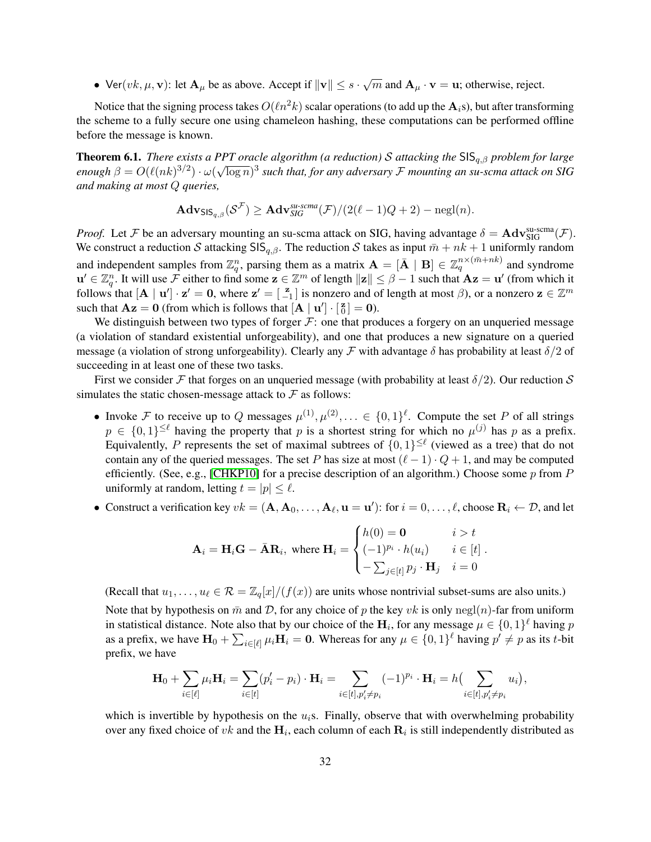• Ver $(vk, \mu, \mathbf{v})$ : let  $\mathbf{A}_{\mu}$  be as above. Accept if  $\|\mathbf{v}\| \leq s \cdot \sqrt{m}$  and  $\mathbf{A}_{\mu} \cdot \mathbf{v} = \mathbf{u}$ ; otherwise, reject.

Notice that the signing process takes  $O(\ell n^2k)$  scalar operations (to add up the  $\mathbf{A}_i$ s), but after transforming the scheme to a fully secure one using chameleon hashing, these computations can be performed offline before the message is known.

**Theorem 6.1.** *There exists a PPT oracle algorithm (a reduction)* S *attacking the*  $\text{SIS}_{q,\beta}$  *problem for large*  $e$ nough  $\beta = O(\ell(nk)^{3/2}) \cdot \omega(\sqrt{\log n})^3$  such that, for any adversary  ${\cal F}$  mounting an su-scma attack on SIG *and making at most* Q *queries,*

$$
\mathbf{Adv}_{\mathsf{SIS}_{q,\beta}}(\mathcal{S}^{\mathcal{F}}) \geq \mathbf{Adv}_{\mathsf{SIG}}^{\mathsf{sur-}scma}(\mathcal{F})/(2(\ell-1)Q+2) - \mathrm{negl}(n).
$$

*Proof.* Let F be an adversary mounting an su-scma attack on SIG, having advantage  $\delta = \mathbf{Adv}_{\text{SIG}}^{\text{su-scma}}(\mathcal{F})$ . We construct a reduction S attacking  $\text{SIS}_{q,\beta}$ . The reduction S takes as input  $\bar{m} + nk + 1$  uniformly random and independent samples from  $\mathbb{Z}_q^n$ , parsing them as a matrix  $\mathbf{A} = [\bar{\mathbf{A}} \mid \mathbf{B}] \in \mathbb{Z}_q^{n \times (\bar{m}+nk)}$  and syndrome  $\mathbf{u}' \in \mathbb{Z}_q^n$ . It will use F either to find some  $\mathbf{z} \in \mathbb{Z}^m$  of length  $\|\mathbf{z}\| \leq \beta - 1$  such that  $\mathbf{A}\mathbf{z} = \mathbf{u}'$  (from which it follows that  $[\mathbf{A} \mid \mathbf{u}'] \cdot \mathbf{z}' = \mathbf{0}$ , where  $\mathbf{z}' = \begin{bmatrix} \mathbf{z} \\ -1 \end{bmatrix}$  is nonzero and of length at most  $\beta$ ), or a nonzero  $\mathbf{z} \in \mathbb{Z}^m$ such that  $\mathbf{A}\mathbf{z} = \mathbf{0}$  (from which is follows that  $[\mathbf{A} \mid \mathbf{u}'] \cdot [\frac{\mathbf{z}}{0}] = \mathbf{0}$ ).

We distinguish between two types of forger  $F$ : one that produces a forgery on an unqueried message (a violation of standard existential unforgeability), and one that produces a new signature on a queried message (a violation of strong unforgeability). Clearly any F with advantage  $\delta$  has probability at least  $\delta/2$  of succeeding in at least one of these two tasks.

First we consider F that forges on an unqueried message (with probability at least  $\delta/2$ ). Our reduction S simulates the static chosen-message attack to  $\mathcal F$  as follows:

- Invoke F to receive up to Q messages  $\mu^{(1)}, \mu^{(2)}, \ldots \in \{0,1\}^{\ell}$ . Compute the set P of all strings  $p \in \{0,1\}^{\leq \ell}$  having the property that p is a shortest string for which no  $\mu^{(j)}$  has p as a prefix. Equivalently, P represents the set of maximal subtrees of  $\{0,1\}^{\leq \ell}$  (viewed as a tree) that do not contain any of the queried messages. The set P has size at most  $(\ell - 1) \cdot Q + 1$ , and may be computed efficiently. (See, e.g., [\[CHKP10\]](#page-37-0) for a precise description of an algorithm.) Choose some  $p$  from  $P$ uniformly at random, letting  $t = |p| \leq \ell$ .
- Construct a verification key  $vk = (\mathbf{A}, \mathbf{A}_0, \dots, \mathbf{A}_\ell, \mathbf{u} = \mathbf{u}')$ : for  $i = 0, \dots, \ell$ , choose  $\mathbf{R}_i \leftarrow \mathcal{D}$ , and let

$$
\mathbf{A}_{i} = \mathbf{H}_{i}\mathbf{G} - \bar{\mathbf{A}}\mathbf{R}_{i}, \text{ where } \mathbf{H}_{i} = \begin{cases} h(0) = \mathbf{0} & i > t \\ (-1)^{p_{i}} \cdot h(u_{i}) & i \in [t] \\ -\sum_{j \in [t]} p_{j} \cdot \mathbf{H}_{j} & i = 0 \end{cases}
$$

(Recall that  $u_1, \ldots, u_\ell \in \mathcal{R} = \mathbb{Z}_q[x]/(f(x))$  are units whose nontrivial subset-sums are also units.) Note that by hypothesis on  $\bar{m}$  and D, for any choice of p the key vk is only negl(n)-far from uniform in statistical distance. Note also that by our choice of the  $H_i$ , for any message  $\mu \in \{0,1\}^{\ell}$  having  $p$ as a prefix, we have  $H_0 + \sum_{i \in [\ell]} \mu_i H_i = 0$ . Whereas for any  $\mu \in \{0,1\}^{\ell}$  having  $p' \neq p$  as its t-bit prefix, we have

$$
\mathbf{H}_0 + \sum_{i \in [\ell]} \mu_i \mathbf{H}_i = \sum_{i \in [t]} (p_i' - p_i) \cdot \mathbf{H}_i = \sum_{i \in [t], p_i' \neq p_i} (-1)^{p_i} \cdot \mathbf{H}_i = h \Big( \sum_{i \in [t], p_i' \neq p_i} u_i \Big),
$$

which is invertible by hypothesis on the  $u_i$ s. Finally, observe that with overwhelming probability over any fixed choice of vk and the  $H_i$ , each column of each  $R_i$  is still independently distributed as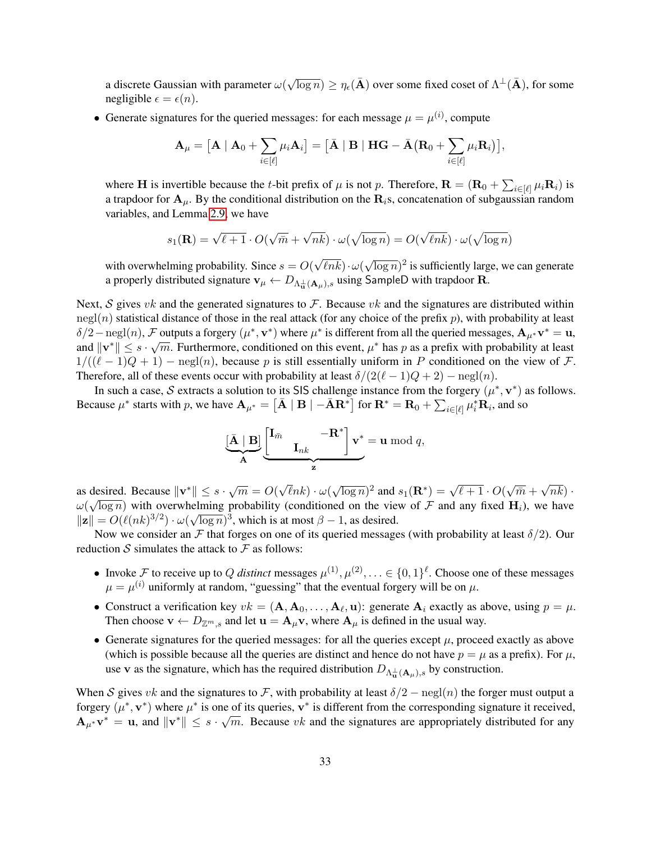a discrete Gaussian with parameter  $\omega($  $\sqrt{\log n}) \ge \eta_{\epsilon}(\bar{\mathbf{A}})$  over some fixed coset of  $\Lambda^{\perp}(\bar{\mathbf{A}})$ , for some negligible  $\epsilon = \epsilon(n)$ .

• Generate signatures for the queried messages: for each message  $\mu = \mu^{(i)}$ , compute

$$
\mathbf{A}_{\mu} = \left[\mathbf{A} \mid \mathbf{A}_{0} + \sum_{i \in [\ell]} \mu_{i} \mathbf{A}_{i}\right] = \left[\bar{\mathbf{A}} \mid \mathbf{B} \mid \mathbf{H}\mathbf{G} - \bar{\mathbf{A}}\left(\mathbf{R}_{0} + \sum_{i \in [\ell]} \mu_{i} \mathbf{R}_{i}\right)\right],
$$

where H is invertible because the t-bit prefix of  $\mu$  is not p. Therefore,  $\mathbf{R} = (\mathbf{R}_0 + \sum_{i \in [\ell]} \mu_i \mathbf{R}_i)$  is a trapdoor for  $A_\mu$ . By the conditional distribution on the  $R_i$ s, concatenation of subgaussian random variables, and Lemma [2.9,](#page-13-1) we have

$$
s_1(\mathbf{R}) = \sqrt{\ell+1} \cdot O(\sqrt{\bar{m}} + \sqrt{n k}) \cdot \omega(\sqrt{\log n}) = O(\sqrt{\ell n k}) \cdot \omega(\sqrt{\log n})
$$

with overwhelming probability. Since  $s = O($ √  $\ell n k$ )  $\cdot \omega($ √  $\overline{\log n}$ )<sup>2</sup> is sufficiently large, we can generate a properly distributed signature  $\mathbf{v}_{\mu} \leftarrow D_{\Lambda_{\mathbf{u}}^{\perp}(\mathbf{A}_{\mu}),s}$  using SampleD with trapdoor R.

Next,  $S$  gives  $vk$  and the generated signatures to  $F$ . Because  $vk$  and the signatures are distributed within  $negl(n)$  statistical distance of those in the real attack (for any choice of the prefix p), with probability at least  $\delta/2 - \text{negl}(n)$ , F outputs a forgery  $(\mu^*, \mathbf{v}^*)$  where  $\mu^*$  is different from all the queried messages,  $\mathbf{A}_{\mu^*} \mathbf{v}^* = \mathbf{u}$ , and  $\|\mathbf{v}^*\| \leq s \cdot \sqrt{m}$ . Furthermore, conditioned on this event,  $\mu^*$  has p as a prefix with probability at least  $1/((\ell - 1)Q + 1)$  – negl(n), because p is still essentially uniform in P conditioned on the view of F. Therefore, all of these events occur with probability at least  $\delta/(2(\ell - 1)Q + 2) - \text{negl}(n)$ .

In such a case, S extracts a solution to its SIS challenge instance from the forgery  $(\mu^*, \mathbf{v}^*)$  as follows. Because  $\mu^*$  starts with p, we have  $\mathbf{A}_{\mu^*} = \begin{bmatrix} \bar{\mathbf{A}} & \mathbf{B} & \mathbf{-\bar{A}} \mathbf{R}^* \end{bmatrix}$  for  $\mathbf{R}^* = \mathbf{R}_0 + \sum_{i \in [\ell]} \mu_i^* \mathbf{R}_i$ , and so

$$
\underbrace{[\bar{\mathbf{A}} \mid \mathbf{B}]}_{\mathbf{A}} \underbrace{\begin{bmatrix} \mathbf{I}_{\bar{m}} & -\mathbf{R}^* \\ & \mathbf{I}_{nk} \end{bmatrix} \mathbf{v}^*}_{\mathbf{z}} = \mathbf{u} \bmod q,
$$

as desired. Because  $\|\mathbf{v}^*\| \leq s \cdot \sqrt{m} = O(\sqrt{m})$ √  $\ell nk\} \cdot \omega($ √  $\overline{\log n}$ )<sup>2</sup> and  $s_1(\mathbf{R}^*) = \sqrt{\ell+1} \cdot O(n)$ √  $\bar{m}$  + √ desired. Because  $\|\mathbf{v}^*\| \leq s \cdot \sqrt{m} = O(\sqrt{\ln k}) \cdot \omega(\sqrt{\log n})^2$  and  $s_1(\mathbf{R}^*) = \sqrt{\ell+1} \cdot O(\sqrt{\overline{m}} + \sqrt{n}k) \cdot$  $\omega(\sqrt{\log n})$  with overwhelming probability (conditioned on the view of F and any fixed  $H_i$ ), we have  $\|\mathbf{z}\| = O(\ell(nk)^{3/2}) \cdot \omega(\sqrt{\log n})^3$ , which is at most  $\beta - 1$ , as desired.

Now we consider an F that forges on one of its queried messages (with probability at least  $\delta/2$ ). Our reduction S simulates the attack to  $\mathcal F$  as follows:

- Invoke F to receive up to Q distinct messages  $\mu^{(1)}, \mu^{(2)}, \ldots \in \{0, 1\}^{\ell}$ . Choose one of these messages  $\mu = \mu^{(i)}$  uniformly at random, "guessing" that the eventual forgery will be on  $\mu$ .
- Construct a verification key  $vk = (\mathbf{A}, \mathbf{A}_0, \dots, \mathbf{A}_\ell, \mathbf{u})$ : generate  $\mathbf{A}_i$  exactly as above, using  $p = \mu$ . Then choose  $\mathbf{v} \leftarrow D_{\mathbb{Z}^m,s}$  and let  $\mathbf{u} = \mathbf{A}_{\mu} \mathbf{v}$ , where  $\mathbf{A}_{\mu}$  is defined in the usual way.
- Generate signatures for the queried messages: for all the queries except  $\mu$ , proceed exactly as above (which is possible because all the queries are distinct and hence do not have  $p = \mu$  as a prefix). For  $\mu$ , use v as the signature, which has the required distribution  $D_{\Lambda_{\mathbf{u}}^{\perp}(\mathbf{A}_{\mu}),s}$  by construction.

When S gives vk and the signatures to F, with probability at least  $\delta/2 - \text{negl}(n)$  the forger must output a forgery  $(\mu^*, \mathbf{v}^*)$  where  $\mu^*$  is one of its queries,  $\mathbf{v}^*$  is different from the corresponding signature it received,  $A_{\mu^*}v^* = u$ , and  $||v^*|| \leq s \cdot \sqrt{m}$ . Because vk and the signatures are appropriately distributed for any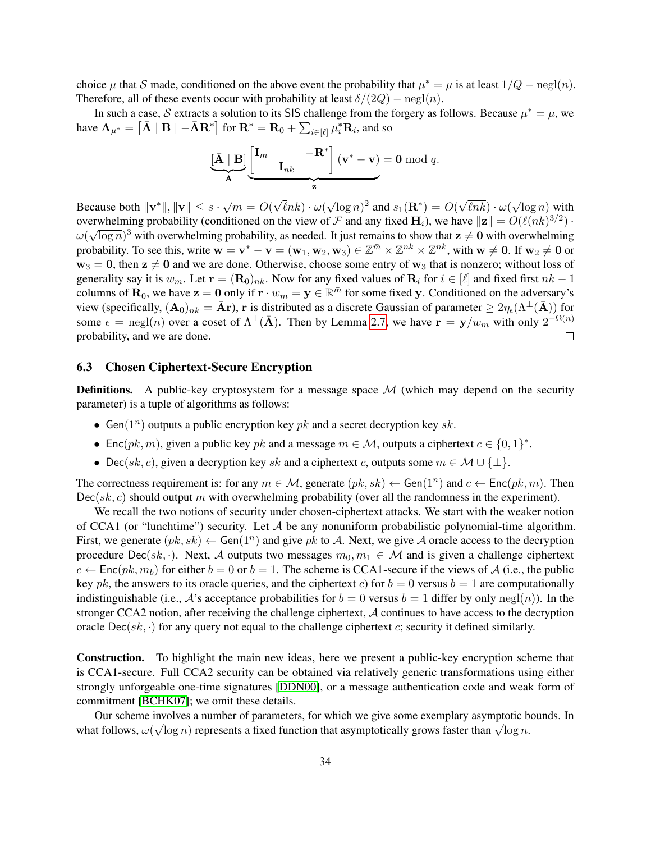choice  $\mu$  that S made, conditioned on the above event the probability that  $\mu^* = \mu$  is at least  $1/Q - \text{negl}(n)$ . Therefore, all of these events occur with probability at least  $\delta/(2Q)$  – negl(n).

In such a case, S extracts a solution to its SIS challenge from the forgery as follows. Because  $\mu^* = \mu$ , we have  $\mathbf{A}_{\mu^*} = \left[ \bar{\mathbf{A}} \mid \mathbf{B} \mid -\bar{\mathbf{A}} \mathbf{R}^* \right]$  for  $\mathbf{R}^* = \mathbf{R}_0 + \sum_{i \in [\ell]} \mu_i^* \mathbf{R}_i$ , and so

$$
\underbrace{[\bar{\mathbf{A}} \mid \mathbf{B}]}_{\mathbf{A}} \underbrace{\begin{bmatrix} \mathbf{I}_{\bar{m}} & -\mathbf{R}^* \\ & \mathbf{I}_{nk} \end{bmatrix} (\mathbf{v}^* - \mathbf{v}) = \mathbf{0} \bmod q.
$$

√ √ Because both  $\|\mathbf{v}^*\|, \|\mathbf{v}\| \leq s \cdot \sqrt{m} = O(k)$ √ √  $\overline{\log n}$ )<sup>2</sup> and  $s_1(\mathbf{R}^*) = O($  $\ell nk\} \cdot \omega($  $\ell nk\} \cdot \omega($  $\overline{\log n}$ ) with overwhelming probability (conditioned on the view of F and any fixed  $H_i$ ), we have  $||z|| = O(\ell(nk)^{3/2})$ .  $\omega(\sqrt{\log n})^3$  with overwhelming probability, as needed. It just remains to show that  $z\neq 0$  with overwhelming probability. To see this, write  $w = v^* - v = (w_1, w_2, w_3) \in \mathbb{Z}^{\bar{m}} \times \mathbb{Z}^{nk} \times \mathbb{Z}^{nk}$ , with  $w \neq 0$ . If  $w_2 \neq 0$  or  $w_3 = 0$ , then  $z \neq 0$  and we are done. Otherwise, choose some entry of  $w_3$  that is nonzero; without loss of generality say it is  $w_m$ . Let  $\mathbf{r} = (\mathbf{R}_0)_{nk}$ . Now for any fixed values of  $\mathbf{R}_i$  for  $i \in [\ell]$  and fixed first  $nk - 1$ columns of  $\mathbf{R}_0$ , we have  $\mathbf{z} = \mathbf{0}$  only if  $\mathbf{r} \cdot w_m = \mathbf{y} \in \mathbb{R}^{\bar{m}}$  for some fixed y. Conditioned on the adversary's view (specifically,  $({\bf A}_0)_{nk} = \bar{\bf A}$ r), r is distributed as a discrete Gaussian of parameter  $\geq 2\eta_\epsilon(\Lambda^\perp(\bar{\bf A}))$  for some  $\epsilon = \text{negl}(n)$  over a coset of  $\Lambda^{\perp}(\bar{A})$ . Then by Lemma [2.7,](#page-12-1) we have  $\mathbf{r} = \mathbf{y}/w_m$  with only  $2^{-\Omega(n)}$ probability, and we are done.  $\Box$ 

### 6.3 Chosen Ciphertext-Secure Encryption

**Definitions.** A public-key cryptosystem for a message space  $M$  (which may depend on the security parameter) is a tuple of algorithms as follows:

- Gen( $1^n$ ) outputs a public encryption key pk and a secret decryption key sk.
- Enc(pk, m), given a public key pk and a message  $m \in \mathcal{M}$ , outputs a ciphertext  $c \in \{0, 1\}^*$ .
- Dec(sk, c), given a decryption key sk and a ciphertext c, outputs some  $m \in \mathcal{M} \cup \{\perp\}.$

The correctness requirement is: for any  $m \in \mathcal{M}$ , generate  $(pk, sk) \leftarrow$  Gen $(1^n)$  and  $c \leftarrow$  Enc $(pk, m)$ . Then  $Dec(sk, c)$  should output m with overwhelming probability (over all the randomness in the experiment).

We recall the two notions of security under chosen-ciphertext attacks. We start with the weaker notion of CCA1 (or "lunchtime") security. Let  $A$  be any nonuniform probabilistic polynomial-time algorithm. First, we generate  $(pk, sk) \leftarrow$  Gen $(1^n)$  and give pk to A. Next, we give A oracle access to the decryption procedure Dec(sk, ·). Next, A outputs two messages  $m_0, m_1 \in \mathcal{M}$  and is given a challenge ciphertext  $c \leftarrow \text{Enc}(pk, m_b)$  for either  $b = 0$  or  $b = 1$ . The scheme is CCA1-secure if the views of A (i.e., the public key pk, the answers to its oracle queries, and the ciphertext c) for  $b = 0$  versus  $b = 1$  are computationally indistinguishable (i.e., A's acceptance probabilities for  $b = 0$  versus  $b = 1$  differ by only negl(n)). In the stronger CCA2 notion, after receiving the challenge ciphertext, A continues to have access to the decryption oracle  $\text{Dec}(sk, \cdot)$  for any query not equal to the challenge ciphertext c; security it defined similarly.

Construction. To highlight the main new ideas, here we present a public-key encryption scheme that is CCA1-secure. Full CCA2 security can be obtained via relatively generic transformations using either strongly unforgeable one-time signatures [\[DDN00\]](#page-37-17), or a message authentication code and weak form of commitment [\[BCHK07\]](#page-37-13); we omit these details.

Our scheme involves a number of parameters, for which we give some exemplary asymptotic bounds. In Uniformly asymptotic of parameters, for which we give some exemplary asymptotic b<br>what follows,  $\omega(\sqrt{\log n})$  represents a fixed function that asymptotically grows faster than  $\sqrt{\log n}$ .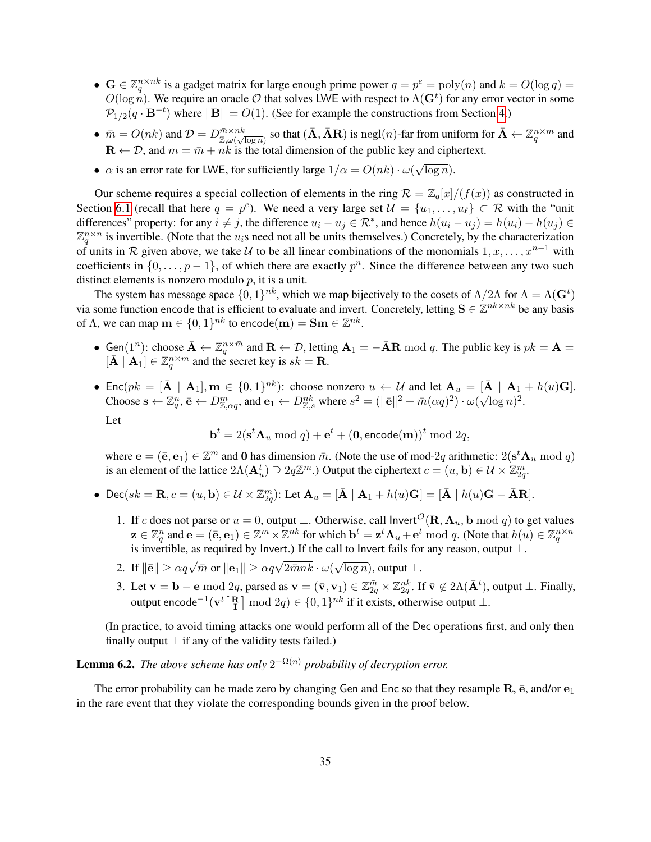- $\mathbf{G} \in \mathbb{Z}_q^{n \times nk}$  is a gadget matrix for large enough prime power  $q = p^e = \text{poly}(n)$  and  $k = O(\log q) =$  $O(\log n)$ . We require an oracle O that solves LWE with respect to  $\Lambda(\mathbf{G}^t)$  for any error vector in some  $\mathcal{P}_{1/2}(q \cdot \mathbf{B}^{-t})$  where  $\|\mathbf{B}\| = O(1)$ . (See for example the constructions from Section [4.](#page-15-2))
- $\bar{m} = O(nk)$  and  $\mathcal{D} = D_{\mathbb{Z},\omega(\sqrt{\log n})}^{\bar{m}\times nk}$  so that  $(\bar{\mathbf{A}}, \bar{\mathbf{A}}\mathbf{R})$  is negl(n)-far from uniform for  $\bar{\mathbf{A}} \leftarrow \mathbb{Z}_q^{n\times \bar{m}}$  and  $\mathbf{R} \leftarrow \mathcal{D}$ , and  $m = \bar{m} + nk$  is the total dimension of the public key and ciphertext.
- $\alpha$  is an error rate for LWE, for sufficiently large  $1/\alpha = O(nk) \cdot \omega(\sqrt{\log n})$ . √

Our scheme requires a special collection of elements in the ring  $\mathcal{R} = \mathbb{Z}_q[x]/(f(x))$  as constructed in Section [6.1](#page-29-1) (recall that here  $q = p^e$ ). We need a very large set  $\mathcal{U} = \{u_1, \dots, u_\ell\} \subset \mathcal{R}$  with the "unit" differences" property: for any  $i \neq j$ , the difference  $u_i - u_j \in \mathcal{R}^*$ , and hence  $h(u_i - u_j) = h(u_i) - h(u_j) \in$  $\mathbb{Z}_q^{n \times n}$  is invertible. (Note that the  $u_i$ s need not all be units themselves.) Concretely, by the characterization of units in R given above, we take U to be all linear combinations of the monomials  $1, x, \ldots, x^{n-1}$  with coefficients in  $\{0, \ldots, p-1\}$ , of which there are exactly  $p^n$ . Since the difference between any two such distinct elements is nonzero modulo  $p$ , it is a unit.

The system has message space  $\{0,1\}^{nk}$ , which we map bijectively to the cosets of  $\Lambda/2\Lambda$  for  $\Lambda = \Lambda(\mathbf{G}^t)$ via some function encode that is efficient to evaluate and invert. Concretely, letting  $S \in \mathbb{Z}^{nk \times nk}$  be any basis of  $\Lambda$ , we can map  $\mathbf{m} \in \{0,1\}^{nk}$  to encode $(\mathbf{m}) = \mathbf{Sm} \in \mathbb{Z}^{nk}$ .

- Gen $(1^n)$ : choose  $\bar{\mathbf{A}} \leftarrow \mathbb{Z}_q^{n \times \bar{m}}$  and  $\mathbf{R} \leftarrow \mathcal{D}$ , letting  $\mathbf{A}_1 = -\bar{\mathbf{A}}\mathbf{R} \mod q$ . The public key is  $pk = \mathbf{A} =$  $[\bar{\mathbf{A}} \mid \mathbf{A}_1] \in \mathbb{Z}_q^{n \times m}$  and the secret key is  $sk = \mathbf{R}$ .
- Enc $(pk = [\bar{A} | A_1], m \in \{0,1\}^{nk})$ : choose nonzero  $u \leftarrow U$  and let  $A_u = [\bar{A} | A_1 + h(u)G]$ . Choose  $\mathbf{s} \leftarrow \mathbb{Z}_q^n$ ,  $\bar{\mathbf{e}} \leftarrow D_{\mathbb{Z},\alpha q}^{\bar{m}}$ , and  $\mathbf{e}_1 \leftarrow D_{\mathbb{Z},s}^{nk}$  where  $s^2 = (\|\bar{\mathbf{e}}\|^2 + \bar{m}(\alpha q)^2) \cdot \omega$ √  $\overline{\log n})^2$ . Let

$$
\mathbf{b}^t = 2(\mathbf{s}^t \mathbf{A}_u \bmod q) + \mathbf{e}^t + (\mathbf{0}, \mathsf{encode}(\mathbf{m}))^t \bmod 2q,
$$

where  $\mathbf{e} = (\bar{\mathbf{e}}, \mathbf{e}_1) \in \mathbb{Z}^m$  and 0 has dimension  $\bar{m}$ . (Note the use of mod-2q arithmetic:  $2(\mathbf{s}^t \mathbf{A}_u \bmod q)$ is an element of the lattice  $2\Lambda(\mathbf{A}_u^t) \supseteq 2q\mathbb{Z}^m$ .) Output the ciphertext  $c = (u, \mathbf{b}) \in \mathcal{U} \times \mathbb{Z}_{2q}^m$ .

- Dec(sk =  $\mathbf{R}, c = (u, \mathbf{b}) \in \mathcal{U} \times \mathbb{Z}_{2q}^m$ ): Let  $\mathbf{A}_u = [\bar{\mathbf{A}} \mid \mathbf{A}_1 + h(u)\mathbf{G}] = [\bar{\mathbf{A}} \mid h(u)\mathbf{G} \bar{\mathbf{A}}\mathbf{R}]$ .
	- 1. If c does not parse or  $u = 0$ , output  $\perp$ . Otherwise, call Invert<sup> $\mathcal{O}(\mathbf{R}, \mathbf{A}_u, \mathbf{b} \mod q)$  to get values</sup>  $\mathbf{z} \in \mathbb{Z}_q^n$  and  $\mathbf{e} = (\bar{\mathbf{e}}, \mathbf{e}_1) \in \mathbb{Z}^{\bar{m}} \times \mathbb{Z}^{nk}$  for which  $\mathbf{b}^t = \mathbf{z}^t \mathbf{A}_u + \mathbf{e}^t \bmod q$ . (Note that  $h(u) \in \mathbb{Z}_q^{n \times n}$ is invertible, as required by Invert.) If the call to Invert fails for any reason, output ⊥.
	- 2. If  $\|\bar{\mathbf{e}}\| \ge \alpha q \sqrt{\bar{m}} \text{ or } \|\mathbf{e}_1\| \ge \alpha q \sqrt{2\bar{m}nk} \cdot \omega(n)$ √  $\overline{\log n}$ ), output  $\bot$ .
	- 3. Let  $\mathbf{v} = \mathbf{b} \mathbf{e} \bmod 2q$ , parsed as  $\mathbf{v} = (\bar{\mathbf{v}}, \mathbf{v}_1) \in \mathbb{Z}_{2q}^{\bar{m}} \times \mathbb{Z}_{2q}^{nk}$ . If  $\bar{\mathbf{v}} \notin 2\Lambda(\bar{\mathbf{A}}^t)$ , output  $\bot$ . Finally, output encode<sup>-1</sup>( $\mathbf{v}^t$ [ $\mathbf{R}$ ] mod 2*q*) ∈ {0, 1}<sup>nk</sup> if it exists, otherwise output ⊥.

<span id="page-34-1"></span><span id="page-34-0"></span>(In practice, to avoid timing attacks one would perform all of the Dec operations first, and only then finally output  $\perp$  if any of the validity tests failed.)

# **Lemma 6.2.** The above scheme has only  $2^{-\Omega(n)}$  probability of decryption error.

The error probability can be made zero by changing Gen and Enc so that they resample  $\mathbf{R}$ ,  $\bar{\mathbf{e}}$ , and/or  $\mathbf{e}_1$ in the rare event that they violate the corresponding bounds given in the proof below.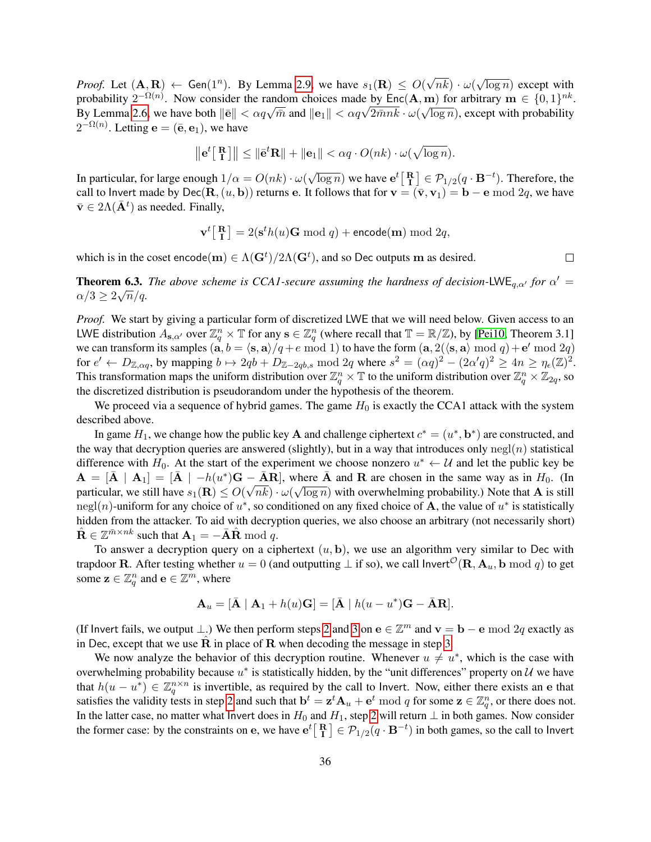*Proof.* Let  $(A, R) \leftarrow$  Gen $(1^n)$ . By Lemma [2.9,](#page-13-1) we have  $s_1(R) \leq O(n)$ √  $nk) \cdot \omega($ √  $\overline{\log n}$ ) except with probability  $2^{-\Omega(n)}$ . Now consider the random choices made by Enc(A, m) for arbitrary  $m \in \{0,1\}^{nk}$ . By Lemma [2.6,](#page-12-2) we have both  $\|\bar{e}\| < \alpha q \sqrt{\bar{m}}$  and  $\|e_1\| < \alpha q \sqrt{2 \bar{m} n k} \cdot \omega(\sqrt{\log n})$ , except with probability  $2^{-\Omega(n)}$ . Letting  $\mathbf{e} = (\bar{\mathbf{e}}, \mathbf{e}_1)$ , we have

$$
\|\mathbf{e}^t\begin{bmatrix} \mathbf{R} \\ \mathbf{I} \end{bmatrix}\| \le \|\bar{\mathbf{e}}^t\mathbf{R}\| + \|\mathbf{e}_1\| < \alpha q \cdot O(nk) \cdot \omega(\sqrt{\log n}).
$$

In particular, for large enough  $1/\alpha = O(nk) \cdot \omega(n)$ √  $\overline{\log n}$ ) we have  $e^t\begin{bmatrix} \mathbf{R} \\ \mathbf{I} \end{bmatrix} \in \mathcal{P}_{1/2}(q \cdot \mathbf{B}^{-t})$ . Therefore, the call to Invert made by Dec(R,  $(u, b)$ ) returns e. It follows that for  $\mathbf{v} = (\bar{\mathbf{v}}, \mathbf{v}_1) = \mathbf{b} - \mathbf{e} \bmod 2q$ , we have  $\bar{\mathbf{v}} \in 2\Lambda(\bar{\mathbf{A}}^t)$  as needed. Finally,

$$
\mathbf{v}^t \big[ \begin{array}{c} \mathbf{R} \\ \mathbf{I} \end{array} \big] = 2(\mathbf{s}^t h(u) \mathbf{G} \bmod q) + \text{encode}(\mathbf{m}) \bmod 2q,
$$

which is in the coset encode $(m) \in \Lambda(\mathbf{G}^t)/2\Lambda(\mathbf{G}^t)$ , and so Dec outputs m as desired.

 $\Box$ 

**Theorem 6.3.** *The above scheme is CCA1-secure assuming the hardness of decision-LWE<sub>q,* $\alpha'$ *</sub> for*  $\alpha' =$  $\alpha/3 \geq 2\sqrt{n}/q$ .

*Proof.* We start by giving a particular form of discretized LWE that we will need below. Given access to an LWE distribution  $A_{s,\alpha'}$  over  $\mathbb{Z}_q^n \times \mathbb{T}$  for any  $s \in \mathbb{Z}_q^n$  (where recall that  $\mathbb{T} = \mathbb{R}/\mathbb{Z}$ ), by [\[Pei10,](#page-39-5) Theorem 3.1] we can transform its samples  $(a, b = \langle s, a \rangle/q + e \mod 1)$  to have the form  $(a, 2(\langle s, a \rangle \mod q)+e' \mod 2q)$ for  $e' \leftarrow D_{\mathbb{Z}, \alpha q}$ , by mapping  $b \mapsto 2qb + D_{\mathbb{Z}-2qb,s}$  mod 2q where  $s^2 = (\alpha q)^2 - (2\alpha'q)^2 \geq 4n \geq \eta_{\epsilon}(\mathbb{Z})^2$ . This transformation maps the uniform distribution over  $\mathbb{Z}_q^n\times\mathbb{T}$  to the uniform distribution over  $\mathbb{Z}_q^n\times\mathbb{Z}_{2q}$ , so the discretized distribution is pseudorandom under the hypothesis of the theorem.

We proceed via a sequence of hybrid games. The game  $H_0$  is exactly the CCA1 attack with the system described above.

In game  $H_1$ , we change how the public key **A** and challenge ciphertext  $c^* = (u^*, \mathbf{b}^*)$  are constructed, and the way that decryption queries are answered (slightly), but in a way that introduces only  $negl(n)$  statistical difference with  $H_0$ . At the start of the experiment we choose nonzero  $u^* \leftarrow U$  and let the public key be  $\mathbf{A} = [\mathbf{\overline{A}} \mid \mathbf{A}_1] = [\mathbf{\overline{A}} \mid -h(u^*)\mathbf{G} - \mathbf{\overline{A}}\mathbf{R}]$ , where  $\mathbf{\overline{A}}$  and  $\mathbf{R}$  are chosen in the same way as in  $H_0$ . (In particular, we still have  $s_1({\bf R})\leq O(\sqrt{nk})\cdot\omega(\sqrt{\log n})$  with overwhelming probability.) Note that  ${\bf A}$  is still negl(n)-uniform for any choice of  $u^*$ , so conditioned on any fixed choice of **A**, the value of  $u^*$  is statistically hidden from the attacker. To aid with decryption queries, we also choose an arbitrary (not necessarily short)  $\hat{\mathbf{R}} \in \mathbb{Z}^{\bar{m} \times nk}$  such that  $\mathbf{A}_1 = -\bar{\mathbf{A}} \hat{\mathbf{R}} \bmod q$ .

To answer a decryption query on a ciphertext  $(u, b)$ , we use an algorithm very similar to Dec with trapdoor R. After testing whether  $u = 0$  (and outputting  $\perp$  if so), we call  $\mathsf{Invert}^{\mathcal{O}}(\mathbf{R}, \mathbf{A}_u, \mathbf{b} \mod q)$  to get some  $\mathbf{z} \in \mathbb{Z}_q^n$  and  $\mathbf{e} \in \mathbb{Z}^m$ , where

$$
\mathbf{A}_u = [\bar{\mathbf{A}} \mid \mathbf{A}_1 + h(u)\mathbf{G}] = [\bar{\mathbf{A}} \mid h(u - u^*)\mathbf{G} - \bar{\mathbf{A}}\mathbf{R}].
$$

(If Invert fails, we output  $\perp$ .) We then perform steps [2](#page-34-0) and [3](#page-34-1) on  $e \in \mathbb{Z}^m$  and  $\mathbf{v} = \mathbf{b} - \mathbf{e} \bmod 2q$  exactly as in Dec, except that we use  $R$  in place of  $R$  when decoding the message in step [3.](#page-34-1)

We now analyze the behavior of this decryption routine. Whenever  $u \neq u^*$ , which is the case with overwhelming probability because  $u^*$  is statistically hidden, by the "unit differences" property on  $\mathcal U$  we have that  $h(u - u^*) \in \mathbb{Z}_q^{n \times n}$  is invertible, as required by the call to Invert. Now, either there exists an e that satisfies the validity tests in step [2](#page-34-0) and such that  $\mathbf{b}^t = \mathbf{z}^t \mathbf{A}_u + \mathbf{e}^t \bmod q$  for some  $\mathbf{z} \in \mathbb{Z}_q^n$ , or there does not. In the latter case, no matter what Invert does in  $H_0$  and  $H_1$ , step [2](#page-34-0) will return  $\perp$  in both games. Now consider the former case: by the constraints on e, we have  $e^t\left[\frac{R}{I}\right] \in \mathcal{P}_{1/2}(q \cdot B^{-t})$  in both games, so the call to Invert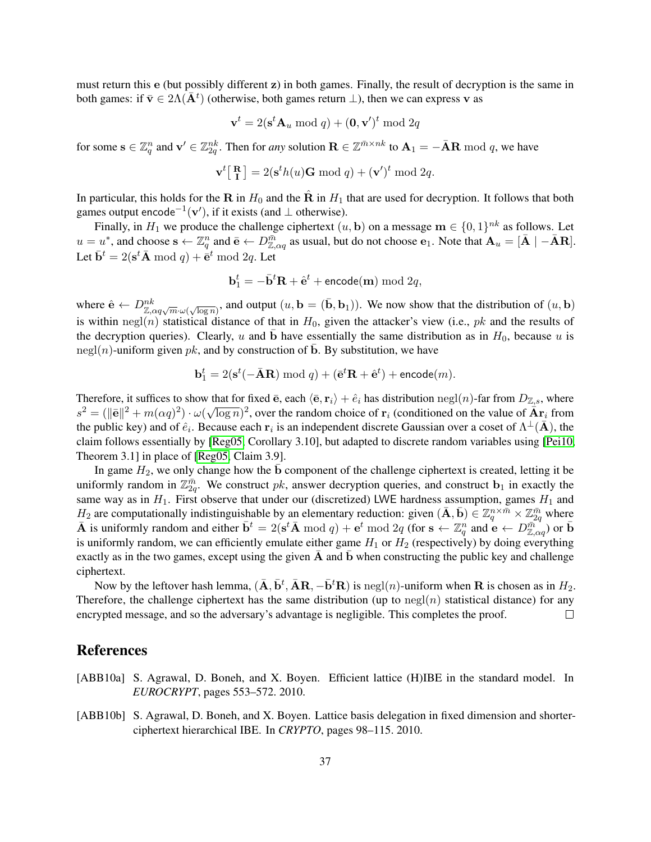must return this e (but possibly different z) in both games. Finally, the result of decryption is the same in both games: if  $\bar{v} \in 2\Lambda(\bar{A}^t)$  (otherwise, both games return  $\bot$ ), then we can express v as

$$
\mathbf{v}^t = 2(\mathbf{s}^t \mathbf{A}_u \bmod q) + (\mathbf{0}, \mathbf{v}')^t \bmod 2q
$$

for some  $\mathbf{s} \in \mathbb{Z}_q^n$  and  $\mathbf{v}' \in \mathbb{Z}_{2q}^{nk}$ . Then for *any* solution  $\mathbf{R} \in \mathbb{Z}^{\bar{m} \times nk}$  to  $\mathbf{A}_1 = -\bar{\mathbf{A}}\mathbf{R}$  mod q, we have

$$
\mathbf{v}^t \begin{bmatrix} \mathbf{R} \\ \mathbf{I} \end{bmatrix} = 2(\mathbf{s}^t h(u) \mathbf{G} \bmod q) + (\mathbf{v}')^t \bmod 2q.
$$

In particular, this holds for the R in  $H_0$  and the  $\hat{R}$  in  $H_1$  that are used for decryption. It follows that both games output encode<sup>-1</sup>( $\mathbf{v}'$ ), if it exists (and  $\perp$  otherwise).

Finally, in  $H_1$  we produce the challenge ciphertext  $(u, \mathbf{b})$  on a message  $\mathbf{m} \in \{0, 1\}^{nk}$  as follows. Let  $u = u^*$ , and choose  $\mathbf{s} \leftarrow \mathbb{Z}_q^n$  and  $\bar{\mathbf{e}} \leftarrow D_{\mathbb{Z}, \alpha q}^{\bar{m}}$  as usual, but do not choose  $\mathbf{e}_1$ . Note that  $\mathbf{A}_u = [\bar{\mathbf{A}} \mid -\bar{\mathbf{A}}\mathbf{R}]$ . Let  $\bar{\mathbf{b}}^t = 2(\mathbf{s}^t \bar{\mathbf{A}} \bmod q) + \bar{\mathbf{e}}^t \bmod 2q$ . Let

$$
\mathbf{b}_1^t = -\bar{\mathbf{b}}^t \mathbf{R} + \hat{\mathbf{e}}^t + \texttt{encode}(\mathbf{m}) \bmod 2q,
$$

where  $\hat{\mathbf{e}} \leftarrow D_{\mathbb{Z},\alpha q\sqrt{m}\cdot\omega(\sqrt{\log n})}^{nk}$ , and output  $(u,\mathbf{b}=(\bar{\mathbf{b}},\mathbf{b}_1))$ . We now show that the distribution of  $(u,\mathbf{b})$ is within negl(n) statistical distance of that in  $H_0$ , given the attacker's view (i.e., pk and the results of the decryption queries). Clearly, u and  $\bar{b}$  have essentially the same distribution as in  $H_0$ , because u is negl(n)-uniform given pk, and by construction of  $\bar{b}$ . By substitution, we have

$$
\mathbf{b}_1^t = 2(\mathbf{s}^t(-\bar{\mathbf{A}}\mathbf{R}) \bmod q) + (\bar{\mathbf{e}}^t \mathbf{R} + \hat{\mathbf{e}}^t) + \text{encode}(m).
$$

Therefore, it suffices to show that for fixed  $\bar{e}$ , each  $\langle \bar{e}, r_i \rangle + \hat{e}_i$  has distribution negl(n)-far from  $D_{\mathbb{Z},s}$ , where  $s^2 = (\|\bar{\mathbf{e}}\|^2 + m(\alpha q)^2) \cdot \omega$ √  $\overline{\log n})^2$ , over the random choice of  $r_i$  (conditioned on the value of  $\overline{\mathbf{A}}\mathbf{r}_i$  from the public key) and of  $\hat{e}_i$ . Because each  $r_i$  is an independent discrete Gaussian over a coset of  $\Lambda^{\perp}(\bar{A})$ , the claim follows essentially by [\[Reg05,](#page-39-6) Corollary 3.10], but adapted to discrete random variables using [\[Pei10,](#page-39-5) Theorem 3.1] in place of [\[Reg05,](#page-39-6) Claim 3.9].

In game  $H_2$ , we only change how the  $\bar{b}$  component of the challenge ciphertext is created, letting it be uniformly random in  $\mathbb{Z}_{2q}^{\bar{m}}$ . We construct pk, answer decryption queries, and construct  $\mathbf{b}_1$  in exactly the same way as in  $H_1$ . First observe that under our (discretized) LWE hardness assumption, games  $H_1$  and  $H_2$  are computationally indistinguishable by an elementary reduction: given  $(\bar{\mathbf{A}}, \bar{\mathbf{b}}) \in \mathbb{Z}_q^{n \times \bar{m}} \times \mathbb{Z}_{2q}^{\bar{m}}$  where  $\bar{\mathbf{A}}$  is uniformly random and either  $\bar{\mathbf{b}}^t = 2(\mathbf{s}^t \bar{\mathbf{A}} \bmod q) + \mathbf{e}^t \bmod 2q$  (for  $\mathbf{s} \leftarrow \mathbb{Z}_q^n$  and  $\mathbf{e} \leftarrow D_{\mathbb{Z},\alpha q}^{\bar{m}^{-q}}$ ) or  $\bar{\mathbf{b}}$ is uniformly random, we can efficiently emulate either game  $H_1$  or  $H_2$  (respectively) by doing everything exactly as in the two games, except using the given  $\overline{A}$  and  $\overline{b}$  when constructing the public key and challenge ciphertext.

Now by the leftover hash lemma,  $(\bar{\mathbf{A}}, \bar{\mathbf{b}}^t, \bar{\mathbf{A}}\mathbf{R}, -\bar{\mathbf{b}}^t\mathbf{R})$  is negl $(n)$ -uniform when  $\mathbf{R}$  is chosen as in  $H_2$ . Therefore, the challenge ciphertext has the same distribution (up to  $negl(n)$  statistical distance) for any encrypted message, and so the adversary's advantage is negligible. This completes the proof.  $\Box$ 

# References

- <span id="page-36-0"></span>[ABB10a] S. Agrawal, D. Boneh, and X. Boyen. Efficient lattice (H)IBE in the standard model. In *EUROCRYPT*, pages 553–572. 2010.
- <span id="page-36-1"></span>[ABB10b] S. Agrawal, D. Boneh, and X. Boyen. Lattice basis delegation in fixed dimension and shorterciphertext hierarchical IBE. In *CRYPTO*, pages 98–115. 2010.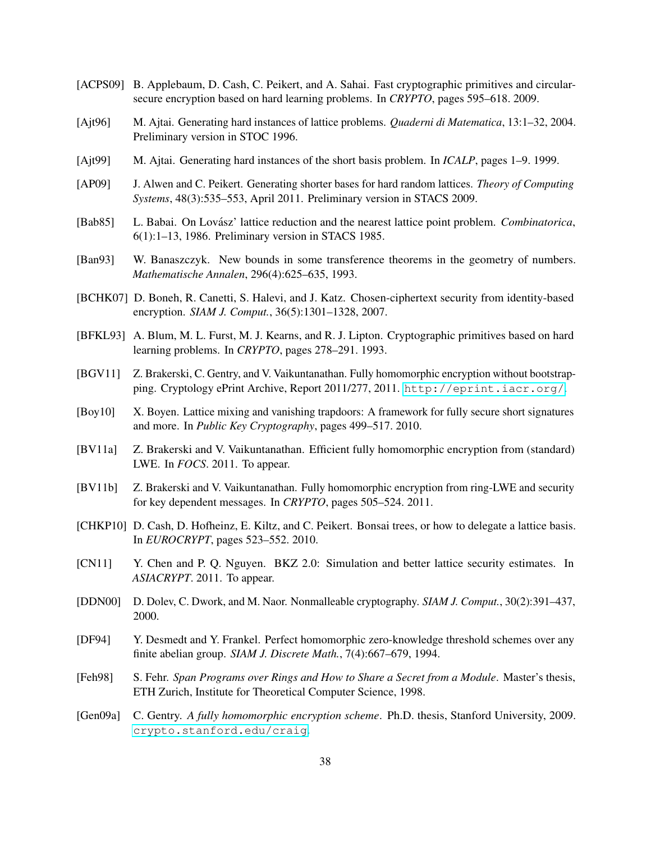- <span id="page-37-5"></span>[ACPS09] B. Applebaum, D. Cash, C. Peikert, and A. Sahai. Fast cryptographic primitives and circularsecure encryption based on hard learning problems. In *CRYPTO*, pages 595–618. 2009.
- <span id="page-37-10"></span>[Ajt96] M. Ajtai. Generating hard instances of lattice problems. *Quaderni di Matematica*, 13:1–32, 2004. Preliminary version in STOC 1996.
- <span id="page-37-7"></span>[Ajt99] M. Ajtai. Generating hard instances of the short basis problem. In *ICALP*, pages 1–9. 1999.
- <span id="page-37-8"></span>[AP09] J. Alwen and C. Peikert. Generating shorter bases for hard random lattices. *Theory of Computing Systems*, 48(3):535–553, April 2011. Preliminary version in STACS 2009.
- <span id="page-37-9"></span>[Bab85] L. Babai. On Lovász' lattice reduction and the nearest lattice point problem. *Combinatorica*, 6(1):1–13, 1986. Preliminary version in STACS 1985.
- <span id="page-37-14"></span>[Ban93] W. Banaszczyk. New bounds in some transference theorems in the geometry of numbers. *Mathematische Annalen*, 296(4):625–635, 1993.
- <span id="page-37-13"></span>[BCHK07] D. Boneh, R. Canetti, S. Halevi, and J. Katz. Chosen-ciphertext security from identity-based encryption. *SIAM J. Comput.*, 36(5):1301–1328, 2007.
- <span id="page-37-11"></span>[BFKL93] A. Blum, M. L. Furst, M. J. Kearns, and R. J. Lipton. Cryptographic primitives based on hard learning problems. In *CRYPTO*, pages 278–291. 1993.
- <span id="page-37-4"></span>[BGV11] Z. Brakerski, C. Gentry, and V. Vaikuntanathan. Fully homomorphic encryption without bootstrapping. Cryptology ePrint Archive, Report 2011/277, 2011. <http://eprint.iacr.org/>.
- <span id="page-37-6"></span>[Boy10] X. Boyen. Lattice mixing and vanishing trapdoors: A framework for fully secure short signatures and more. In *Public Key Cryptography*, pages 499–517. 2010.
- <span id="page-37-3"></span>[BV11a] Z. Brakerski and V. Vaikuntanathan. Efficient fully homomorphic encryption from (standard) LWE. In *FOCS*. 2011. To appear.
- <span id="page-37-2"></span>[BV11b] Z. Brakerski and V. Vaikuntanathan. Fully homomorphic encryption from ring-LWE and security for key dependent messages. In *CRYPTO*, pages 505–524. 2011.
- <span id="page-37-0"></span>[CHKP10] D. Cash, D. Hofheinz, E. Kiltz, and C. Peikert. Bonsai trees, or how to delegate a lattice basis. In *EUROCRYPT*, pages 523–552. 2010.
- <span id="page-37-12"></span>[CN11] Y. Chen and P. Q. Nguyen. BKZ 2.0: Simulation and better lattice security estimates. In *ASIACRYPT*. 2011. To appear.
- <span id="page-37-17"></span>[DDN00] D. Dolev, C. Dwork, and M. Naor. Nonmalleable cryptography. *SIAM J. Comput.*, 30(2):391–437, 2000.
- <span id="page-37-15"></span>[DF94] Y. Desmedt and Y. Frankel. Perfect homomorphic zero-knowledge threshold schemes over any finite abelian group. *SIAM J. Discrete Math.*, 7(4):667–679, 1994.
- <span id="page-37-16"></span>[Feh98] S. Fehr. *Span Programs over Rings and How to Share a Secret from a Module*. Master's thesis, ETH Zurich, Institute for Theoretical Computer Science, 1998.
- <span id="page-37-1"></span>[Gen09a] C. Gentry. *A fully homomorphic encryption scheme*. Ph.D. thesis, Stanford University, 2009. <crypto.stanford.edu/craig>.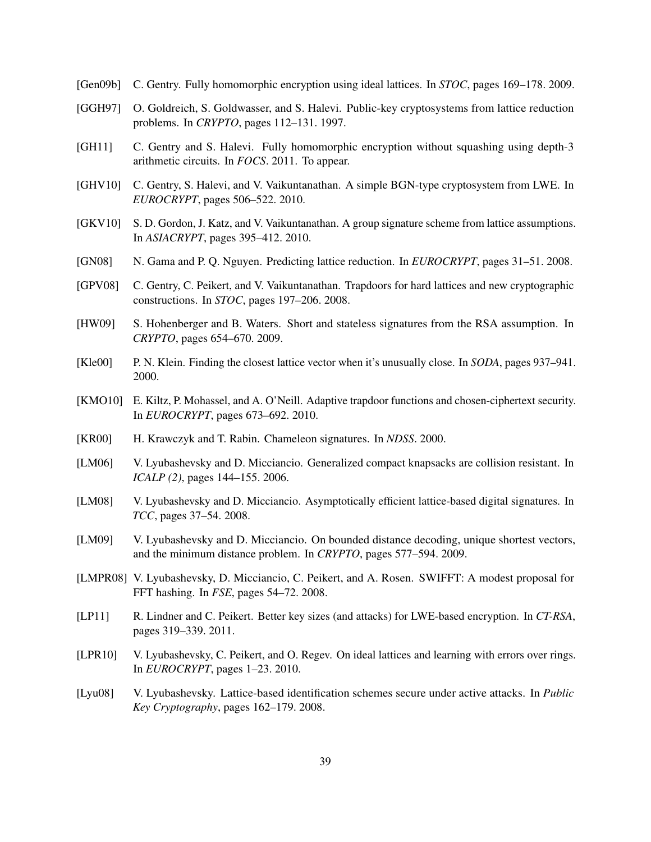- <span id="page-38-1"></span>[Gen09b] C. Gentry. Fully homomorphic encryption using ideal lattices. In *STOC*, pages 169–178. 2009.
- <span id="page-38-12"></span>[GGH97] O. Goldreich, S. Goldwasser, and S. Halevi. Public-key cryptosystems from lattice reduction problems. In *CRYPTO*, pages 112–131. 1997.
- <span id="page-38-2"></span>[GH11] C. Gentry and S. Halevi. Fully homomorphic encryption without squashing using depth-3 arithmetic circuits. In *FOCS*. 2011. To appear.
- <span id="page-38-5"></span>[GHV10] C. Gentry, S. Halevi, and V. Vaikuntanathan. A simple BGN-type cryptosystem from LWE. In *EUROCRYPT*, pages 506–522. 2010.
- <span id="page-38-6"></span>[GKV10] S. D. Gordon, J. Katz, and V. Vaikuntanathan. A group signature scheme from lattice assumptions. In *ASIACRYPT*, pages 395–412. 2010.
- <span id="page-38-8"></span>[GN08] N. Gama and P. Q. Nguyen. Predicting lattice reduction. In *EUROCRYPT*, pages 31–51. 2008.
- <span id="page-38-0"></span>[GPV08] C. Gentry, C. Peikert, and V. Vaikuntanathan. Trapdoors for hard lattices and new cryptographic constructions. In *STOC*, pages 197–206. 2008.
- <span id="page-38-14"></span>[HW09] S. Hohenberger and B. Waters. Short and stateless signatures from the RSA assumption. In *CRYPTO*, pages 654–670. 2009.
- <span id="page-38-7"></span>[Kle00] P. N. Klein. Finding the closest lattice vector when it's unusually close. In *SODA*, pages 937–941. 2000.
- <span id="page-38-15"></span>[KMO10] E. Kiltz, P. Mohassel, and A. O'Neill. Adaptive trapdoor functions and chosen-ciphertext security. In *EUROCRYPT*, pages 673–692. 2010.
- <span id="page-38-13"></span>[KR00] H. Krawczyk and T. Rabin. Chameleon signatures. In *NDSS*. 2000.
- <span id="page-38-9"></span>[LM06] V. Lyubashevsky and D. Micciancio. Generalized compact knapsacks are collision resistant. In *ICALP (2)*, pages 144–155. 2006.
- <span id="page-38-3"></span>[LM08] V. Lyubashevsky and D. Micciancio. Asymptotically efficient lattice-based digital signatures. In *TCC*, pages 37–54. 2008.
- <span id="page-38-17"></span>[LM09] V. Lyubashevsky and D. Micciancio. On bounded distance decoding, unique shortest vectors, and the minimum distance problem. In *CRYPTO*, pages 577–594. 2009.
- <span id="page-38-10"></span>[LMPR08] V. Lyubashevsky, D. Micciancio, C. Peikert, and A. Rosen. SWIFFT: A modest proposal for FFT hashing. In *FSE*, pages 54–72. 2008.
- <span id="page-38-16"></span>[LP11] R. Lindner and C. Peikert. Better key sizes (and attacks) for LWE-based encryption. In *CT-RSA*, pages 319–339. 2011.
- <span id="page-38-11"></span>[LPR10] V. Lyubashevsky, C. Peikert, and O. Regev. On ideal lattices and learning with errors over rings. In *EUROCRYPT*, pages 1–23. 2010.
- <span id="page-38-4"></span>[Lyu08] V. Lyubashevsky. Lattice-based identification schemes secure under active attacks. In *Public Key Cryptography*, pages 162–179. 2008.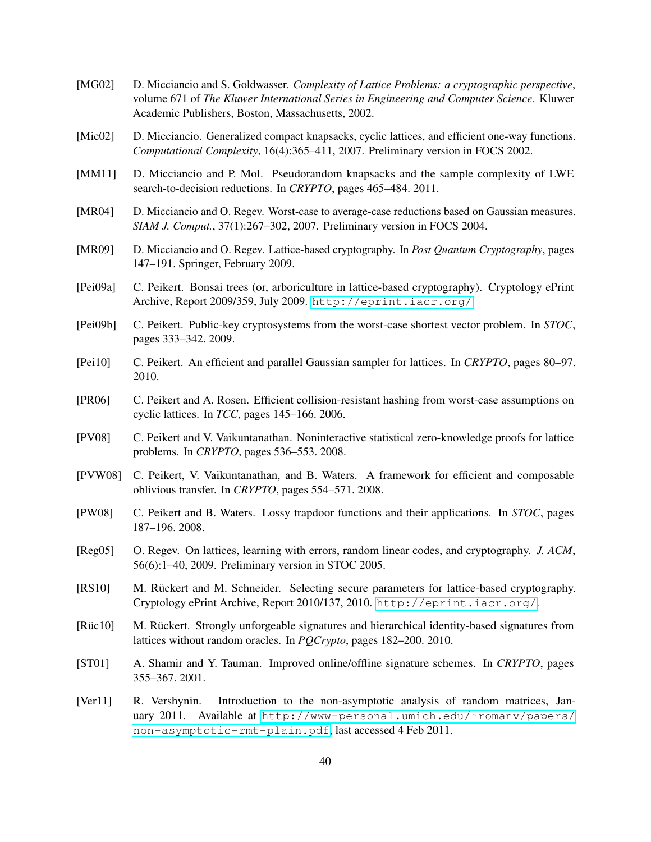- <span id="page-39-12"></span>[MG02] D. Micciancio and S. Goldwasser. *Complexity of Lattice Problems: a cryptographic perspective*, volume 671 of *The Kluwer International Series in Engineering and Computer Science*. Kluwer Academic Publishers, Boston, Massachusetts, 2002.
- <span id="page-39-8"></span>[Mic02] D. Micciancio. Generalized compact knapsacks, cyclic lattices, and efficient one-way functions. *Computational Complexity*, 16(4):365–411, 2007. Preliminary version in FOCS 2002.
- <span id="page-39-15"></span>[MM11] D. Micciancio and P. Mol. Pseudorandom knapsacks and the sample complexity of LWE search-to-decision reductions. In *CRYPTO*, pages 465–484. 2011.
- <span id="page-39-13"></span>[MR04] D. Micciancio and O. Regev. Worst-case to average-case reductions based on Gaussian measures. *SIAM J. Comput.*, 37(1):267–302, 2007. Preliminary version in FOCS 2004.
- <span id="page-39-7"></span>[MR09] D. Micciancio and O. Regev. Lattice-based cryptography. In *Post Quantum Cryptography*, pages 147–191. Springer, February 2009.
- <span id="page-39-10"></span>[Pei09a] C. Peikert. Bonsai trees (or, arboriculture in lattice-based cryptography). Cryptology ePrint Archive, Report 2009/359, July 2009. <http://eprint.iacr.org/>.
- <span id="page-39-3"></span>[Pei09b] C. Peikert. Public-key cryptosystems from the worst-case shortest vector problem. In *STOC*, pages 333–342. 2009.
- <span id="page-39-5"></span>[Pei10] C. Peikert. An efficient and parallel Gaussian sampler for lattices. In *CRYPTO*, pages 80–97. 2010.
- <span id="page-39-9"></span>[PR06] C. Peikert and A. Rosen. Efficient collision-resistant hashing from worst-case assumptions on cyclic lattices. In *TCC*, pages 145–166. 2006.
- <span id="page-39-1"></span>[PV08] C. Peikert and V. Vaikuntanathan. Noninteractive statistical zero-knowledge proofs for lattice problems. In *CRYPTO*, pages 536–553. 2008.
- <span id="page-39-2"></span>[PVW08] C. Peikert, V. Vaikuntanathan, and B. Waters. A framework for efficient and composable oblivious transfer. In *CRYPTO*, pages 554–571. 2008.
- <span id="page-39-0"></span>[PW08] C. Peikert and B. Waters. Lossy trapdoor functions and their applications. In *STOC*, pages 187–196. 2008.
- <span id="page-39-6"></span>[Reg05] O. Regev. On lattices, learning with errors, random linear codes, and cryptography. *J. ACM*, 56(6):1–40, 2009. Preliminary version in STOC 2005.
- <span id="page-39-11"></span>[RS10] M. Rückert and M. Schneider. Selecting secure parameters for lattice-based cryptography. Cryptology ePrint Archive, Report 2010/137, 2010. <http://eprint.iacr.org/>.
- <span id="page-39-4"></span>[Rüc10] M. Rückert. Strongly unforgeable signatures and hierarchical identity-based signatures from lattices without random oracles. In *PQCrypto*, pages 182–200. 2010.
- <span id="page-39-16"></span>[ST01] A. Shamir and Y. Tauman. Improved online/offline signature schemes. In *CRYPTO*, pages 355–367. 2001.
- <span id="page-39-14"></span>[Ver11] R. Vershynin. Introduction to the non-asymptotic analysis of random matrices, January 2011. Available at http://www-personal.umich.edu/~romanv/papers/ [non-asymptotic-rmt-plain.pdf](http://www-personal.umich.edu/~romanv/papers/non-asymptotic-rmt-plain.pdf), last accessed 4 Feb 2011.